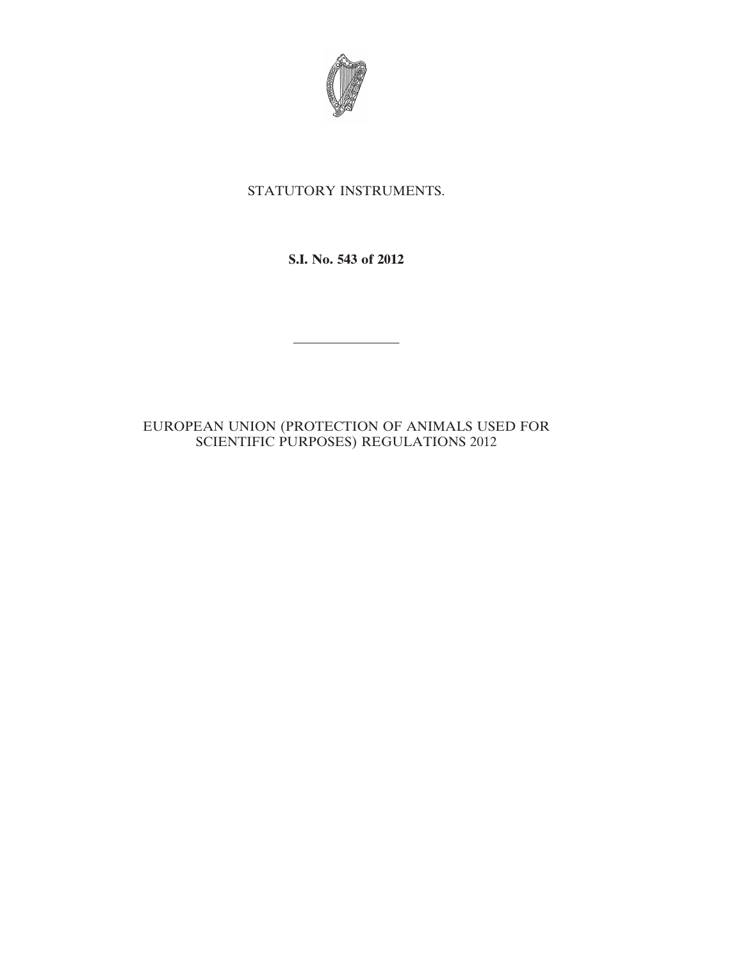

# STATUTORY INSTRUMENTS.

**S.I. No. 543 of 2012**

————————

# EUROPEAN UNION (PROTECTION OF ANIMALS USED FOR SCIENTIFIC PURPOSES) REGULATIONS 2012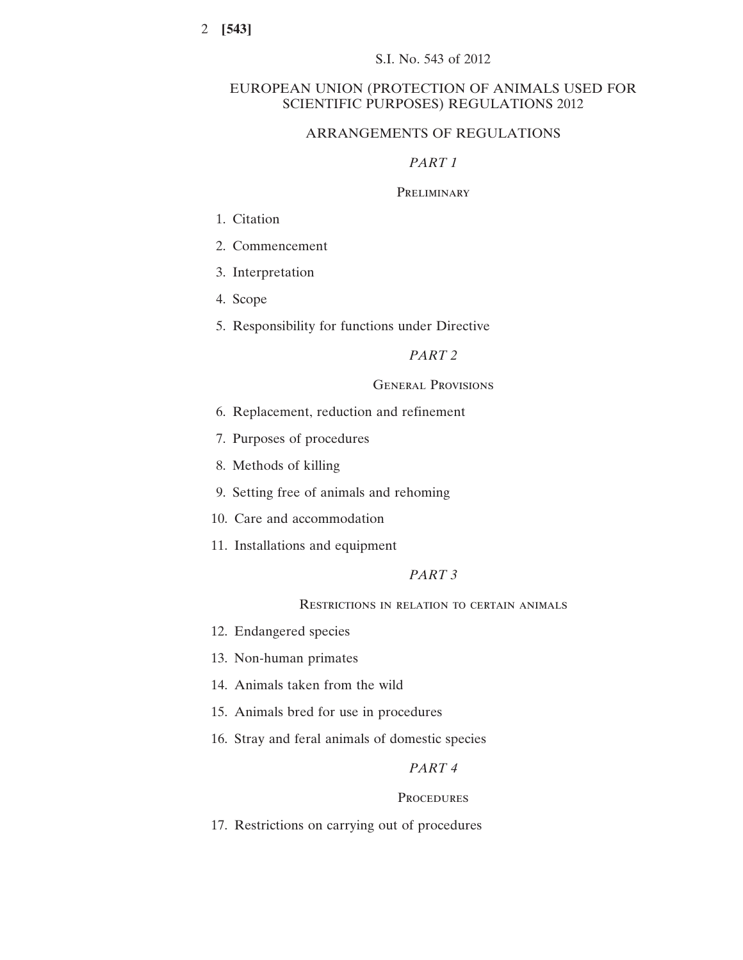# EUROPEAN UNION (PROTECTION OF ANIMALS USED FOR SCIENTIFIC PURPOSES) REGULATIONS 2012

# ARRANGEMENTS OF REGULATIONS

# *PART 1*

#### **PRELIMINARY**

- 1. Citation
- 2. Commencement
- 3. Interpretation
- 4. Scope
- 5. Responsibility for functions under Directive

# *PART 2*

#### General Provisions

- 6. Replacement, reduction and refinement
- 7. Purposes of procedures
- 8. Methods of killing
- 9. Setting free of animals and rehoming
- 10. Care and accommodation
- 11. Installations and equipment

# *PART 3*

## Restrictions in relation to certain animals

- 12. Endangered species
- 13. Non-human primates
- 14. Animals taken from the wild
- 15. Animals bred for use in procedures
- 16. Stray and feral animals of domestic species

# *PART 4*

# **PROCEDURES**

17. Restrictions on carrying out of procedures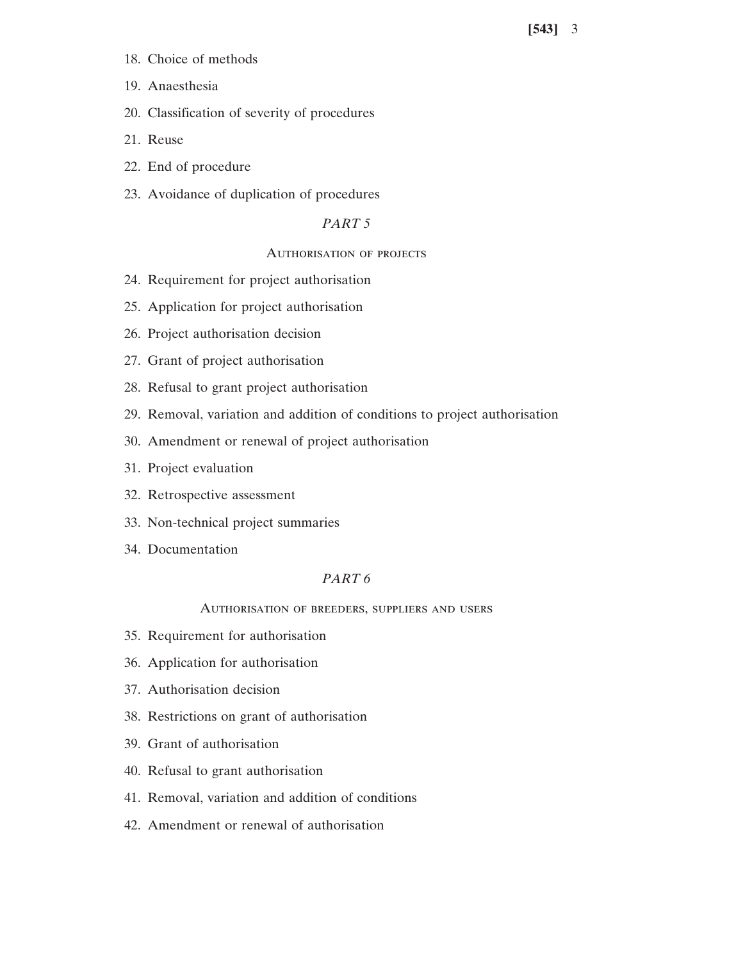- 18. Choice of methods
- 19. Anaesthesia
- 20. Classification of severity of procedures
- 21. Reuse
- 22. End of procedure
- 23. Avoidance of duplication of procedures

# *PART 5*

# Authorisation of projects

- 24. Requirement for project authorisation
- 25. Application for project authorisation
- 26. Project authorisation decision
- 27. Grant of project authorisation
- 28. Refusal to grant project authorisation
- 29. Removal, variation and addition of conditions to project authorisation
- 30. Amendment or renewal of project authorisation
- 31. Project evaluation
- 32. Retrospective assessment
- 33. Non-technical project summaries
- 34. Documentation

# *PART 6*

Authorisation of breeders, suppliers and users

- 35. Requirement for authorisation
- 36. Application for authorisation
- 37. Authorisation decision
- 38. Restrictions on grant of authorisation
- 39. Grant of authorisation
- 40. Refusal to grant authorisation
- 41. Removal, variation and addition of conditions
- 42. Amendment or renewal of authorisation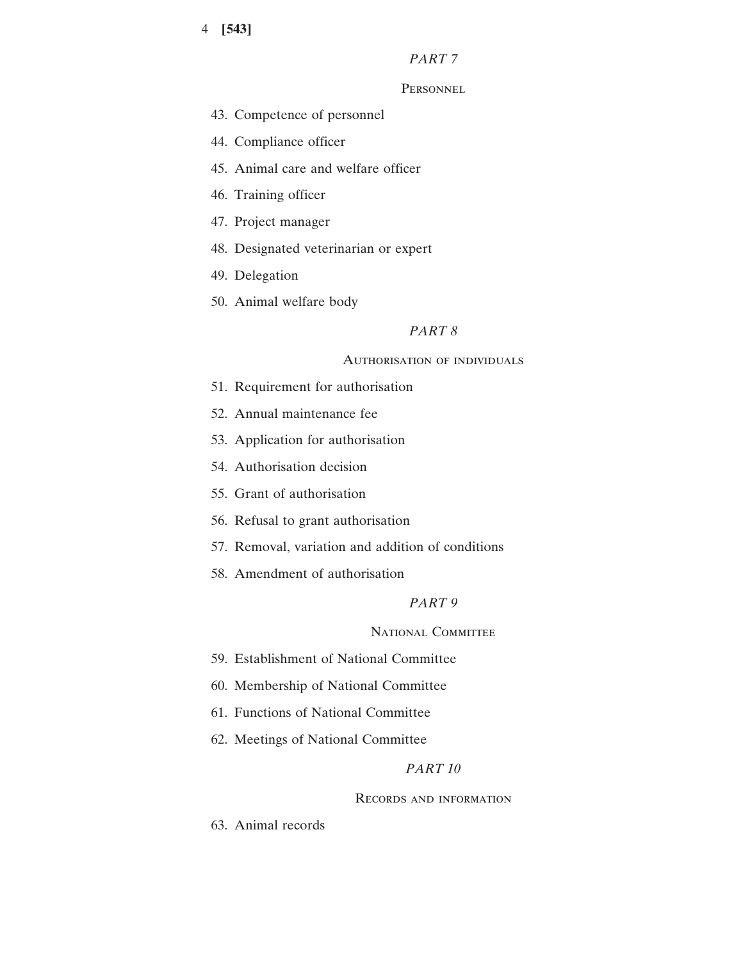# *PART 7*

# **PERSONNEL**

- 43. Competence of personnel
- 44. Compliance officer
- 45. Animal care and welfare officer
- 46. Training officer
- 47. Project manager
- 48. Designated veterinarian or expert
- 49. Delegation
- 50. Animal welfare body

# *PART 8*

# Authorisation of individuals

- 51. Requirement for authorisation
- 52. Annual maintenance fee
- 53. Application for authorisation
- 54. Authorisation decision
- 55. Grant of authorisation
- 56. Refusal to grant authorisation
- 57. Removal, variation and addition of conditions
- 58. Amendment of authorisation

# *PART 9*

# NATIONAL COMMITTEE

- 59. Establishment of National Committee
- 60. Membership of National Committee
- 61. Functions of National Committee
- 62. Meetings of National Committee

# *PART 10*

#### Records and information

63. Animal records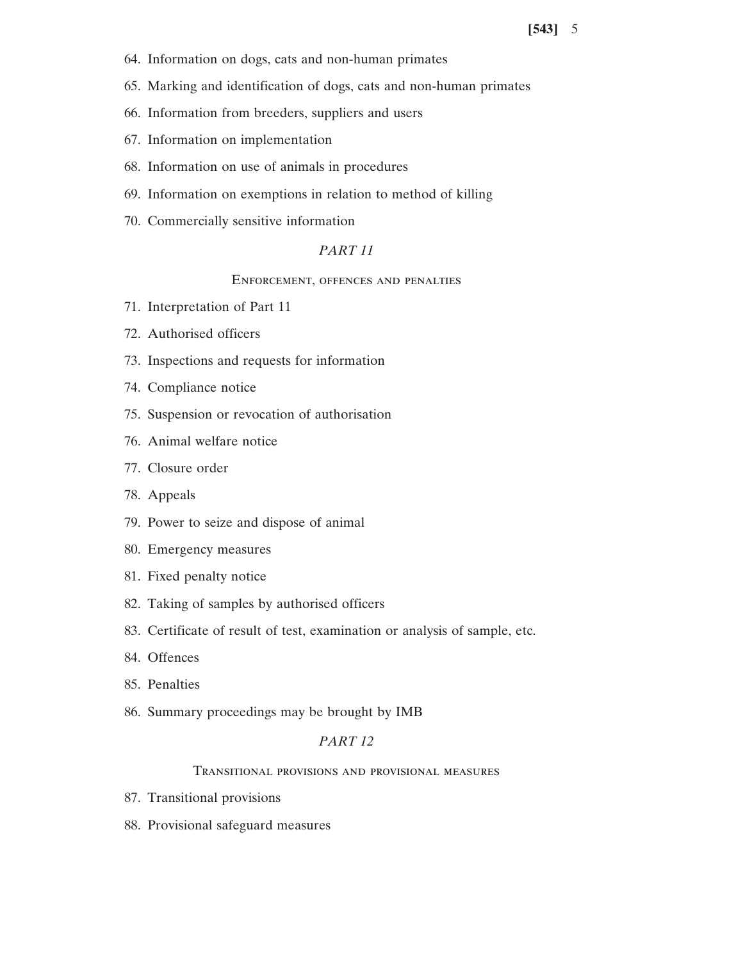- 64. Information on dogs, cats and non-human primates
- 65. Marking and identification of dogs, cats and non-human primates
- 66. Information from breeders, suppliers and users
- 67. Information on implementation
- 68. Information on use of animals in procedures
- 69. Information on exemptions in relation to method of killing
- 70. Commercially sensitive information

# *PART 11*

# Enforcement, offences and penalties

- 71. Interpretation of Part 11
- 72. Authorised officers
- 73. Inspections and requests for information
- 74. Compliance notice
- 75. Suspension or revocation of authorisation
- 76. Animal welfare notice
- 77. Closure order
- 78. Appeals
- 79. Power to seize and dispose of animal
- 80. Emergency measures
- 81. Fixed penalty notice
- 82. Taking of samples by authorised officers
- 83. Certificate of result of test, examination or analysis of sample, etc.
- 84. Offences
- 85. Penalties
- 86. Summary proceedings may be brought by IMB

# *PART 12*

# Transitional provisions and provisional measures

- 87. Transitional provisions
- 88. Provisional safeguard measures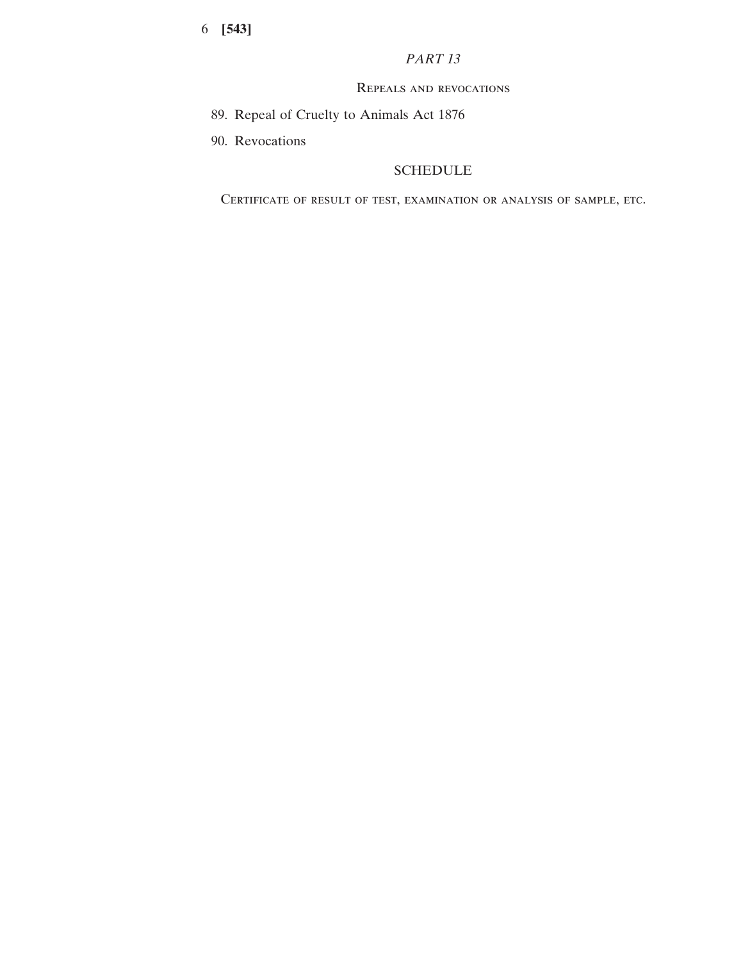# *PART 13*

# Repeals and revocations

- 89. Repeal of Cruelty to Animals Act 1876
- 90. Revocations

# SCHEDULE

Certificate of result of test, examination or analysis of sample, etc.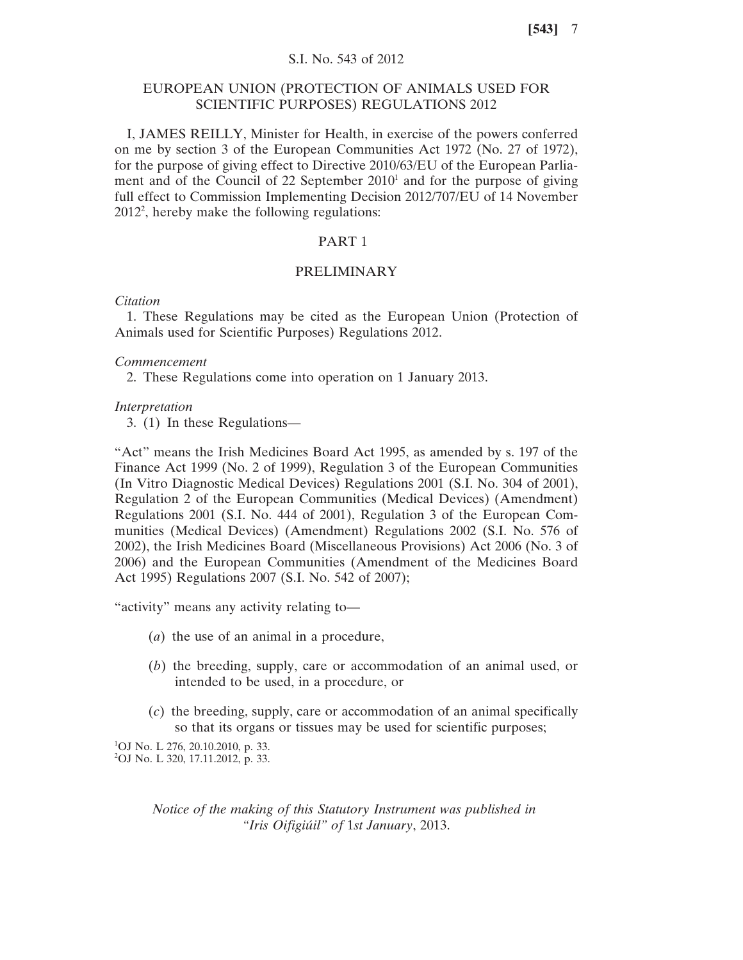# S.I. No. 543 of 2012

# EUROPEAN UNION (PROTECTION OF ANIMALS USED FOR SCIENTIFIC PURPOSES) REGULATIONS 2012

I, JAMES REILLY, Minister for Health, in exercise of the powers conferred on me by section 3 of the European Communities Act 1972 (No. 27 of 1972), for the purpose of giving effect to Directive 2010/63/EU of the European Parliament and of the Council of 22 September  $2010<sup>1</sup>$  and for the purpose of giving full effect to Commission Implementing Decision 2012/707/EU of 14 November 20122 , hereby make the following regulations:

# PART 1

# PRELIMINARY

#### *Citation*

1. These Regulations may be cited as the European Union (Protection of Animals used for Scientific Purposes) Regulations 2012.

## *Commencement*

2. These Regulations come into operation on 1 January 2013.

#### *Interpretation*

3. (1) In these Regulations—

"Act" means the Irish Medicines Board Act 1995, as amended by s. 197 of the Finance Act 1999 (No. 2 of 1999), Regulation 3 of the European Communities (In Vitro Diagnostic Medical Devices) Regulations 2001 (S.I. No. 304 of 2001), Regulation 2 of the European Communities (Medical Devices) (Amendment) Regulations 2001 (S.I. No. 444 of 2001), Regulation 3 of the European Communities (Medical Devices) (Amendment) Regulations 2002 (S.I. No. 576 of 2002), the Irish Medicines Board (Miscellaneous Provisions) Act 2006 (No. 3 of 2006) and the European Communities (Amendment of the Medicines Board Act 1995) Regulations 2007 (S.I. No. 542 of 2007);

"activity" means any activity relating to—

- (*a*) the use of an animal in a procedure,
- (*b*) the breeding, supply, care or accommodation of an animal used, or intended to be used, in a procedure, or
- (*c*) the breeding, supply, care or accommodation of an animal specifically so that its organs or tissues may be used for scientific purposes;

1 OJ No. L 276, 20.10.2010, p. 33. 2 OJ No. L 320, 17.11.2012, p. 33.

> *Notice of the making of this Statutory Instrument was published in "Iris Oifigiúil" of* 1*st January*, 2013.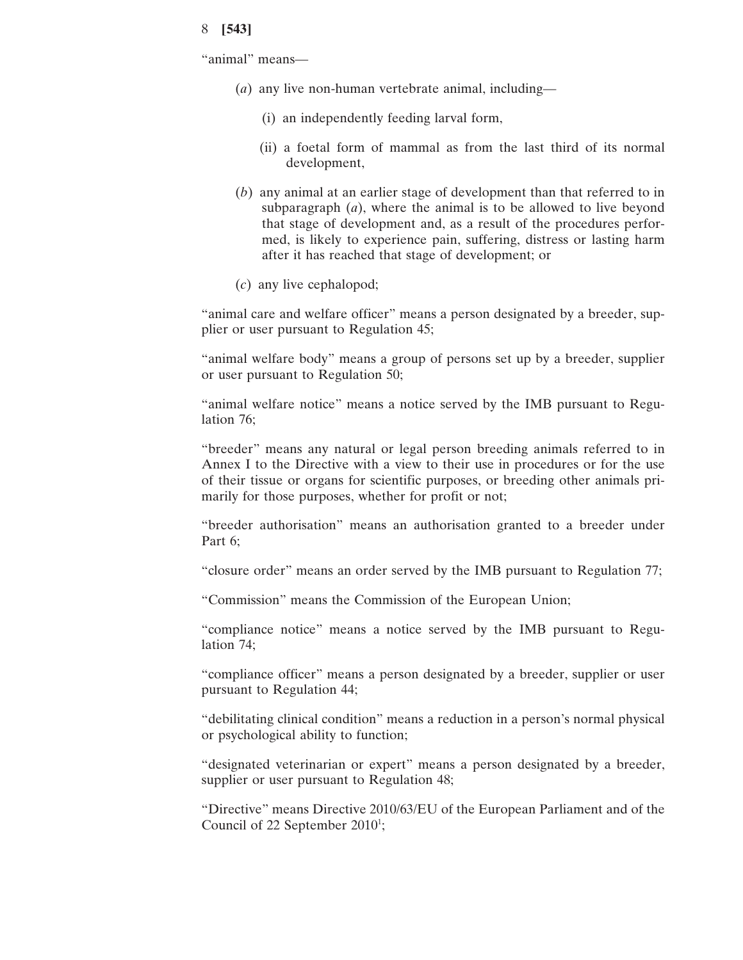"animal" means—

- (*a*) any live non-human vertebrate animal, including—
	- (i) an independently feeding larval form,
	- (ii) a foetal form of mammal as from the last third of its normal development,
- (*b*) any animal at an earlier stage of development than that referred to in subparagraph (*a*), where the animal is to be allowed to live beyond that stage of development and, as a result of the procedures performed, is likely to experience pain, suffering, distress or lasting harm after it has reached that stage of development; or
- (*c*) any live cephalopod;

"animal care and welfare officer" means a person designated by a breeder, supplier or user pursuant to Regulation 45;

"animal welfare body" means a group of persons set up by a breeder, supplier or user pursuant to Regulation 50;

"animal welfare notice" means a notice served by the IMB pursuant to Regulation 76;

"breeder" means any natural or legal person breeding animals referred to in Annex I to the Directive with a view to their use in procedures or for the use of their tissue or organs for scientific purposes, or breeding other animals primarily for those purposes, whether for profit or not;

"breeder authorisation" means an authorisation granted to a breeder under Part 6;

"closure order" means an order served by the IMB pursuant to Regulation 77;

"Commission" means the Commission of the European Union;

"compliance notice" means a notice served by the IMB pursuant to Regulation 74;

"compliance officer" means a person designated by a breeder, supplier or user pursuant to Regulation 44;

"debilitating clinical condition" means a reduction in a person's normal physical or psychological ability to function;

"designated veterinarian or expert" means a person designated by a breeder, supplier or user pursuant to Regulation 48;

"Directive" means Directive 2010/63/EU of the European Parliament and of the Council of 22 September 2010<sup>1</sup>;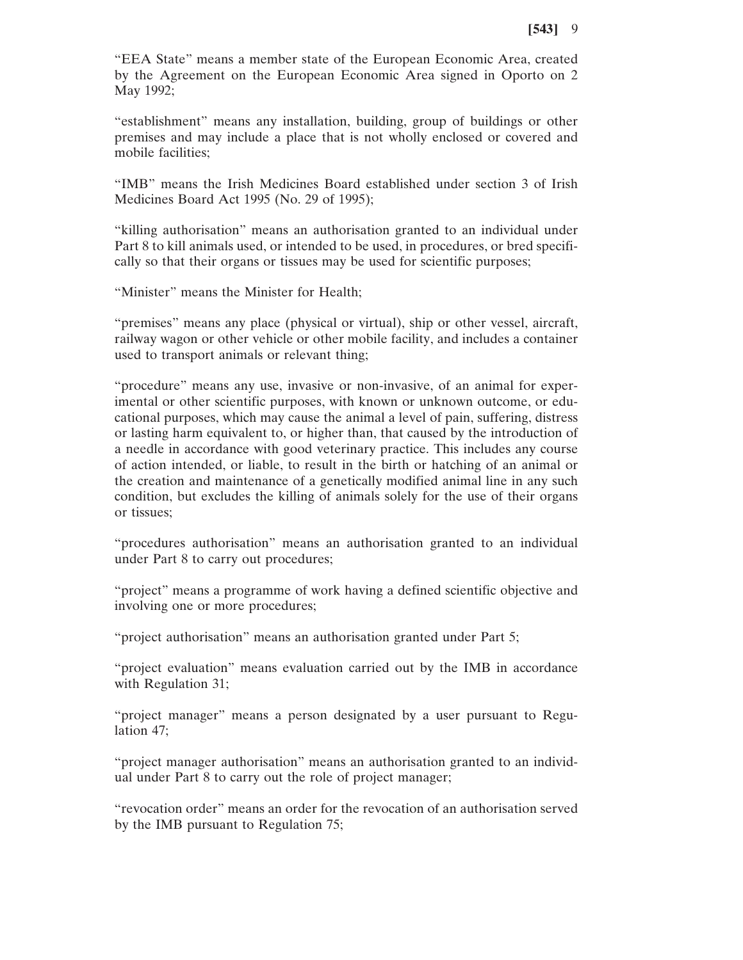"EEA State" means a member state of the European Economic Area, created by the Agreement on the European Economic Area signed in Oporto on 2 May 1992;

"establishment" means any installation, building, group of buildings or other premises and may include a place that is not wholly enclosed or covered and mobile facilities;

"IMB" means the Irish Medicines Board established under section 3 of Irish Medicines Board Act 1995 (No. 29 of 1995);

"killing authorisation" means an authorisation granted to an individual under Part 8 to kill animals used, or intended to be used, in procedures, or bred specifically so that their organs or tissues may be used for scientific purposes;

"Minister" means the Minister for Health;

"premises" means any place (physical or virtual), ship or other vessel, aircraft, railway wagon or other vehicle or other mobile facility, and includes a container used to transport animals or relevant thing;

"procedure" means any use, invasive or non-invasive, of an animal for experimental or other scientific purposes, with known or unknown outcome, or educational purposes, which may cause the animal a level of pain, suffering, distress or lasting harm equivalent to, or higher than, that caused by the introduction of a needle in accordance with good veterinary practice. This includes any course of action intended, or liable, to result in the birth or hatching of an animal or the creation and maintenance of a genetically modified animal line in any such condition, but excludes the killing of animals solely for the use of their organs or tissues;

"procedures authorisation" means an authorisation granted to an individual under Part 8 to carry out procedures;

"project" means a programme of work having a defined scientific objective and involving one or more procedures;

"project authorisation" means an authorisation granted under Part 5;

"project evaluation" means evaluation carried out by the IMB in accordance with Regulation 31;

"project manager" means a person designated by a user pursuant to Regulation 47;

"project manager authorisation" means an authorisation granted to an individual under Part 8 to carry out the role of project manager;

"revocation order" means an order for the revocation of an authorisation served by the IMB pursuant to Regulation 75;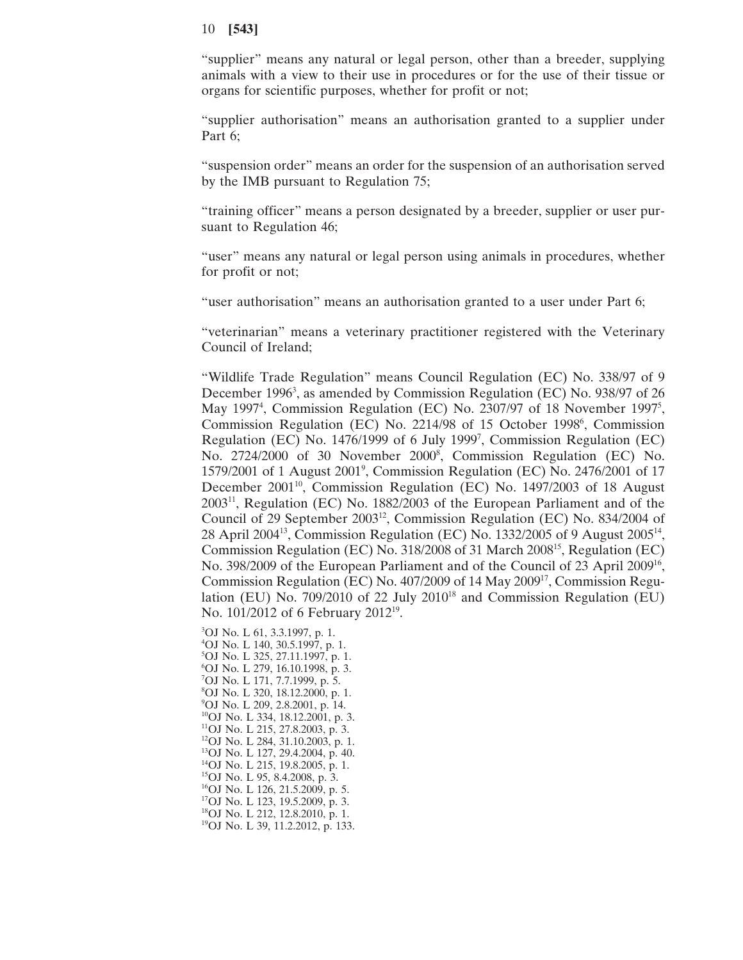"supplier" means any natural or legal person, other than a breeder, supplying animals with a view to their use in procedures or for the use of their tissue or organs for scientific purposes, whether for profit or not;

"supplier authorisation" means an authorisation granted to a supplier under Part 6;

"suspension order" means an order for the suspension of an authorisation served by the IMB pursuant to Regulation 75;

"training officer" means a person designated by a breeder, supplier or user pursuant to Regulation 46;

"user" means any natural or legal person using animals in procedures, whether for profit or not;

"user authorisation" means an authorisation granted to a user under Part 6;

"veterinarian" means a veterinary practitioner registered with the Veterinary Council of Ireland;

"Wildlife Trade Regulation" means Council Regulation (EC) No. 338/97 of 9 December 1996<sup>3</sup>, as amended by Commission Regulation (EC) No. 938/97 of 26 May 1997<sup>4</sup>, Commission Regulation (EC) No. 2307/97 of 18 November 1997<sup>5</sup>, Commission Regulation (EC) No. 2214/98 of 15 October 1998<sup>6</sup>, Commission Regulation (EC) No. 1476/1999 of 6 July 19997 , Commission Regulation (EC) No. 2724/2000 of 30 November 2000<sup>8</sup>, Commission Regulation (EC) No. 1579/2001 of 1 August 20019 , Commission Regulation (EC) No. 2476/2001 of 17 December 2001<sup>10</sup>, Commission Regulation (EC) No. 1497/2003 of 18 August 200311, Regulation (EC) No. 1882/2003 of the European Parliament and of the Council of 29 September 2003<sup>12</sup>, Commission Regulation (EC) No. 834/2004 of 28 April 200413, Commission Regulation (EC) No. 1332/2005 of 9 August 200514, Commission Regulation (EC) No. 318/2008 of 31 March 200815, Regulation (EC) No. 398/2009 of the European Parliament and of the Council of 23 April 200916, Commission Regulation (EC) No. 407/2009 of 14 May 200917, Commission Regulation (EU) No. 709/2010 of 22 July  $2010^{18}$  and Commission Regulation (EU) No. 101/2012 of 6 February 201219.

3 OJ No. L 61, 3.3.1997, p. 1. 4 OJ No. L 140, 30.5.1997, p. 1. 5 OJ No. L 325, 27.11.1997, p. 1. 6 OJ No. L 279, 16.10.1998, p. 3. 7 OJ No. L 171, 7.7.1999, p. 5. 8 OJ No. L 320, 18.12.2000, p. 1. 9 OJ No. L 209, 2.8.2001, p. 14. 10OJ No. L 334, 18.12.2001, p. 3. 11OJ No. L 215, 27.8.2003, p. 3.  $^{12}$ OJ No. L 284, 31.10.2003, p. 1. 13OJ No. L 127, 29.4.2004, p. 40. 14OJ No. L 215, 19.8.2005, p. 1.  $15$ OJ No. L 95, 8.4.2008, p. 3.  $16$ OJ No. L 126, 21.5.2009, p. 5. 17OJ No. L 123, 19.5.2009, p. 3. 18OJ No. L 212, 12.8.2010, p. 1. 19OJ No. L 39, 11.2.2012, p. 133.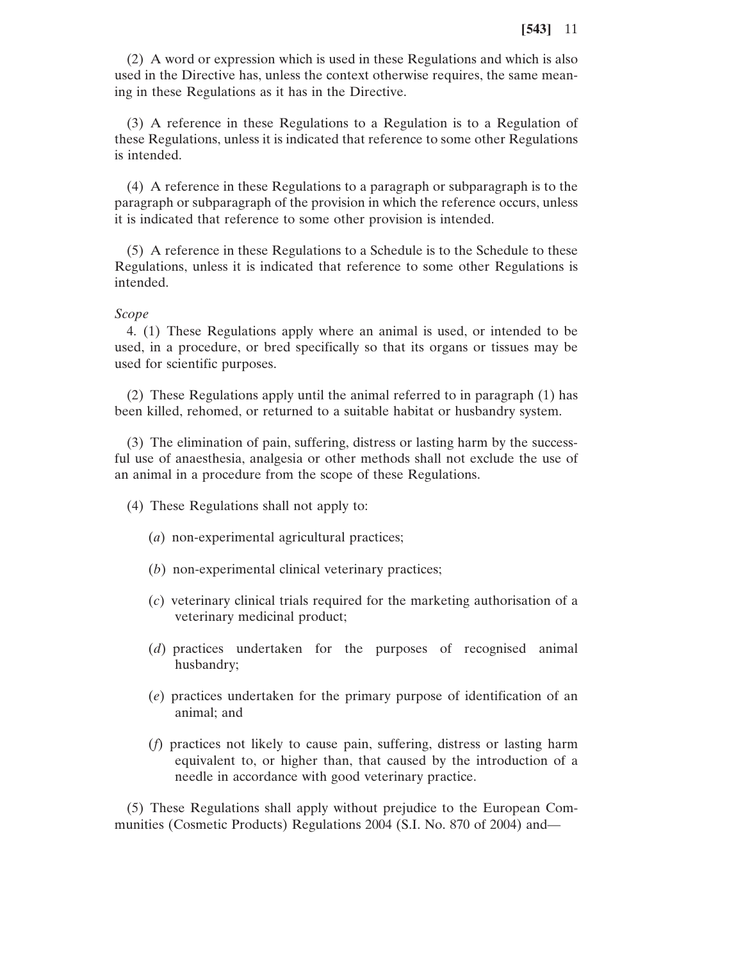(2) A word or expression which is used in these Regulations and which is also used in the Directive has, unless the context otherwise requires, the same meaning in these Regulations as it has in the Directive.

(3) A reference in these Regulations to a Regulation is to a Regulation of these Regulations, unless it is indicated that reference to some other Regulations is intended.

(4) A reference in these Regulations to a paragraph or subparagraph is to the paragraph or subparagraph of the provision in which the reference occurs, unless it is indicated that reference to some other provision is intended.

(5) A reference in these Regulations to a Schedule is to the Schedule to these Regulations, unless it is indicated that reference to some other Regulations is intended.

## *Scope*

4. (1) These Regulations apply where an animal is used, or intended to be used, in a procedure, or bred specifically so that its organs or tissues may be used for scientific purposes.

(2) These Regulations apply until the animal referred to in paragraph (1) has been killed, rehomed, or returned to a suitable habitat or husbandry system.

(3) The elimination of pain, suffering, distress or lasting harm by the successful use of anaesthesia, analgesia or other methods shall not exclude the use of an animal in a procedure from the scope of these Regulations.

- (4) These Regulations shall not apply to:
	- (*a*) non-experimental agricultural practices;
	- (*b*) non-experimental clinical veterinary practices;
	- (*c*) veterinary clinical trials required for the marketing authorisation of a veterinary medicinal product;
	- (*d*) practices undertaken for the purposes of recognised animal husbandry;
	- (*e*) practices undertaken for the primary purpose of identification of an animal; and
	- (*f*) practices not likely to cause pain, suffering, distress or lasting harm equivalent to, or higher than, that caused by the introduction of a needle in accordance with good veterinary practice.

(5) These Regulations shall apply without prejudice to the European Communities (Cosmetic Products) Regulations 2004 (S.I. No. 870 of 2004) and—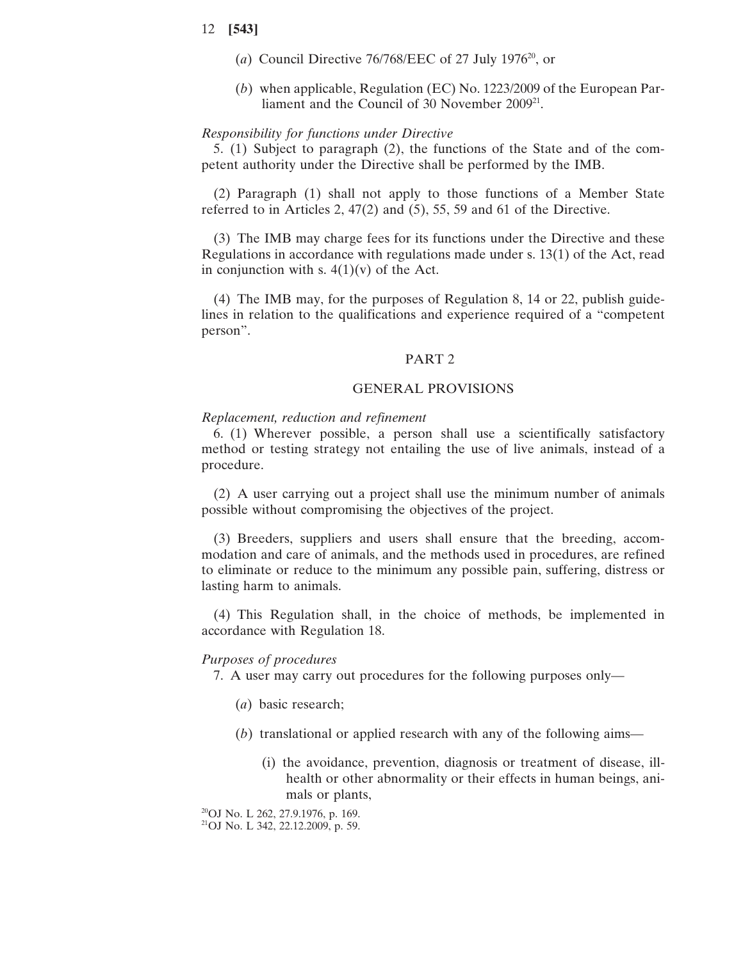- (*a*) Council Directive 76/768/EEC of 27 July 1976<sup>20</sup>, or
- (*b*) when applicable, Regulation (EC) No. 1223/2009 of the European Parliament and the Council of 30 November 2009<sup>21</sup>.

# *Responsibility for functions under Directive*

5. (1) Subject to paragraph (2), the functions of the State and of the competent authority under the Directive shall be performed by the IMB.

(2) Paragraph (1) shall not apply to those functions of a Member State referred to in Articles 2, 47(2) and (5), 55, 59 and 61 of the Directive.

(3) The IMB may charge fees for its functions under the Directive and these Regulations in accordance with regulations made under s. 13(1) of the Act, read in conjunction with s.  $4(1)(v)$  of the Act.

(4) The IMB may, for the purposes of Regulation 8, 14 or 22, publish guidelines in relation to the qualifications and experience required of a "competent person".

#### PART 2

# GENERAL PROVISIONS

#### *Replacement, reduction and refinement*

6. (1) Wherever possible, a person shall use a scientifically satisfactory method or testing strategy not entailing the use of live animals, instead of a procedure.

(2) A user carrying out a project shall use the minimum number of animals possible without compromising the objectives of the project.

(3) Breeders, suppliers and users shall ensure that the breeding, accommodation and care of animals, and the methods used in procedures, are refined to eliminate or reduce to the minimum any possible pain, suffering, distress or lasting harm to animals.

(4) This Regulation shall, in the choice of methods, be implemented in accordance with Regulation 18.

#### *Purposes of procedures*

7. A user may carry out procedures for the following purposes only—

- (*a*) basic research;
- (*b*) translational or applied research with any of the following aims—
	- (i) the avoidance, prevention, diagnosis or treatment of disease, illhealth or other abnormality or their effects in human beings, animals or plants,

20OJ No. L 262, 27.9.1976, p. 169.

21OJ No. L 342, 22.12.2009, p. 59.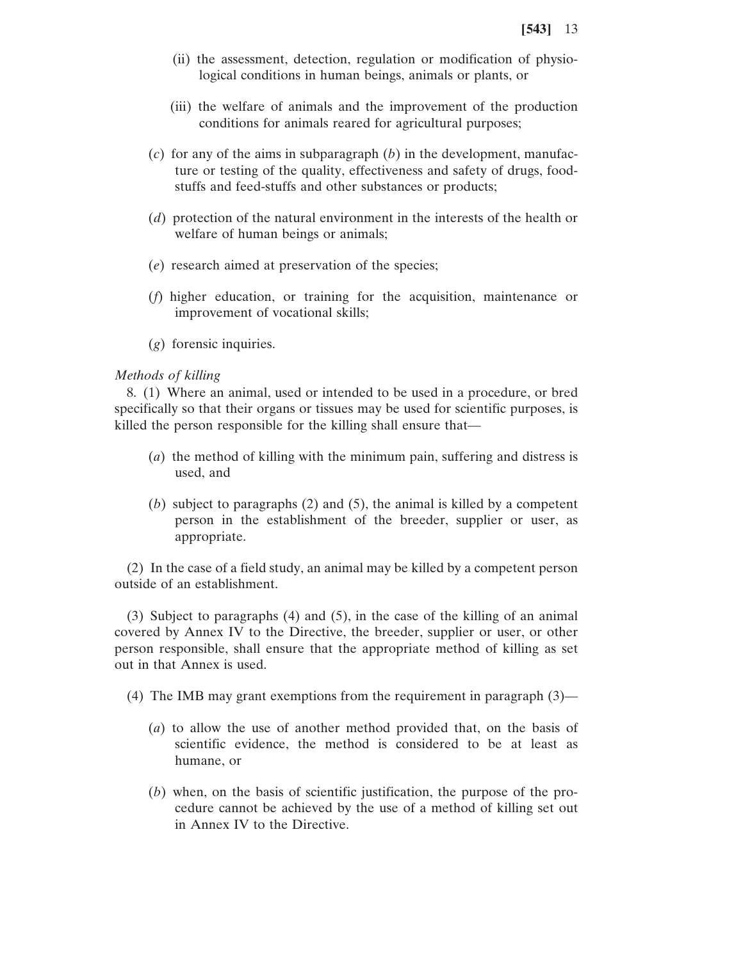- (ii) the assessment, detection, regulation or modification of physiological conditions in human beings, animals or plants, or
- (iii) the welfare of animals and the improvement of the production conditions for animals reared for agricultural purposes;
- (*c*) for any of the aims in subparagraph (*b*) in the development, manufacture or testing of the quality, effectiveness and safety of drugs, foodstuffs and feed-stuffs and other substances or products;
- (*d*) protection of the natural environment in the interests of the health or welfare of human beings or animals;
- (*e*) research aimed at preservation of the species;
- (*f*) higher education, or training for the acquisition, maintenance or improvement of vocational skills;
- (*g*) forensic inquiries.

# *Methods of killing*

8. (1) Where an animal, used or intended to be used in a procedure, or bred specifically so that their organs or tissues may be used for scientific purposes, is killed the person responsible for the killing shall ensure that—

- (*a*) the method of killing with the minimum pain, suffering and distress is used, and
- (*b*) subject to paragraphs (2) and (5), the animal is killed by a competent person in the establishment of the breeder, supplier or user, as appropriate.

(2) In the case of a field study, an animal may be killed by a competent person outside of an establishment.

(3) Subject to paragraphs (4) and (5), in the case of the killing of an animal covered by Annex IV to the Directive, the breeder, supplier or user, or other person responsible, shall ensure that the appropriate method of killing as set out in that Annex is used.

(4) The IMB may grant exemptions from the requirement in paragraph (3)—

- (*a*) to allow the use of another method provided that, on the basis of scientific evidence, the method is considered to be at least as humane, or
- (*b*) when, on the basis of scientific justification, the purpose of the procedure cannot be achieved by the use of a method of killing set out in Annex IV to the Directive.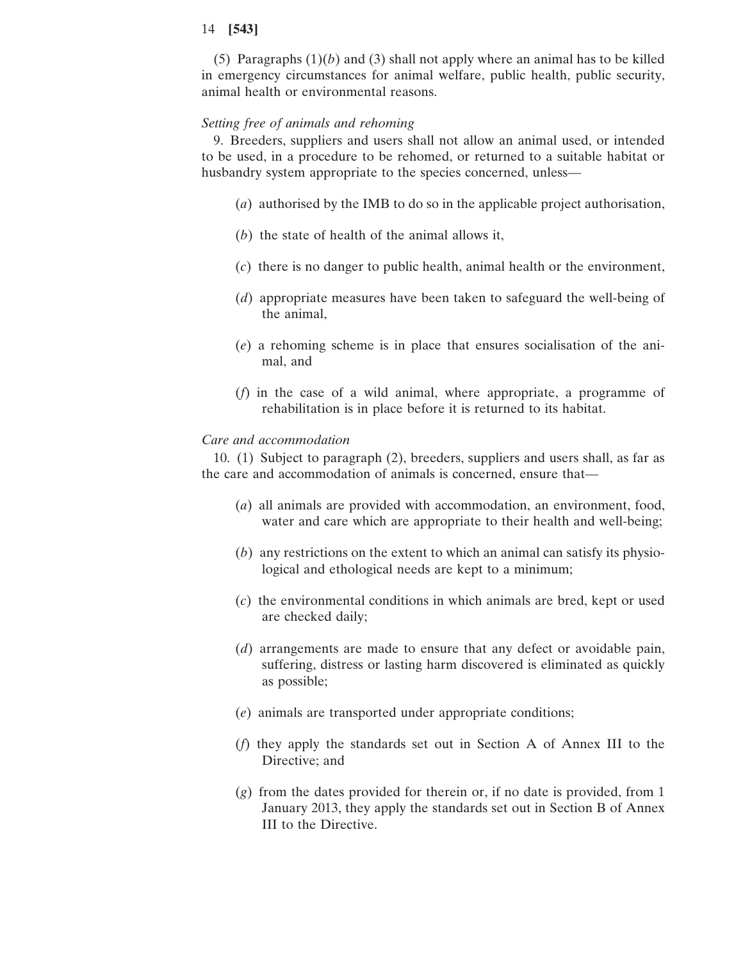(5) Paragraphs  $(1)(b)$  and  $(3)$  shall not apply where an animal has to be killed in emergency circumstances for animal welfare, public health, public security, animal health or environmental reasons.

# *Setting free of animals and rehoming*

9. Breeders, suppliers and users shall not allow an animal used, or intended to be used, in a procedure to be rehomed, or returned to a suitable habitat or husbandry system appropriate to the species concerned, unless—

- (*a*) authorised by the IMB to do so in the applicable project authorisation,
- (*b*) the state of health of the animal allows it,
- (*c*) there is no danger to public health, animal health or the environment,
- (*d*) appropriate measures have been taken to safeguard the well-being of the animal,
- (*e*) a rehoming scheme is in place that ensures socialisation of the animal, and
- (*f*) in the case of a wild animal, where appropriate, a programme of rehabilitation is in place before it is returned to its habitat.

## *Care and accommodation*

10. (1) Subject to paragraph (2), breeders, suppliers and users shall, as far as the care and accommodation of animals is concerned, ensure that—

- (*a*) all animals are provided with accommodation, an environment, food, water and care which are appropriate to their health and well-being;
- (*b*) any restrictions on the extent to which an animal can satisfy its physiological and ethological needs are kept to a minimum;
- (*c*) the environmental conditions in which animals are bred, kept or used are checked daily;
- (*d*) arrangements are made to ensure that any defect or avoidable pain, suffering, distress or lasting harm discovered is eliminated as quickly as possible;
- (*e*) animals are transported under appropriate conditions;
- (*f*) they apply the standards set out in Section A of Annex III to the Directive; and
- (*g*) from the dates provided for therein or, if no date is provided, from 1 January 2013, they apply the standards set out in Section B of Annex III to the Directive.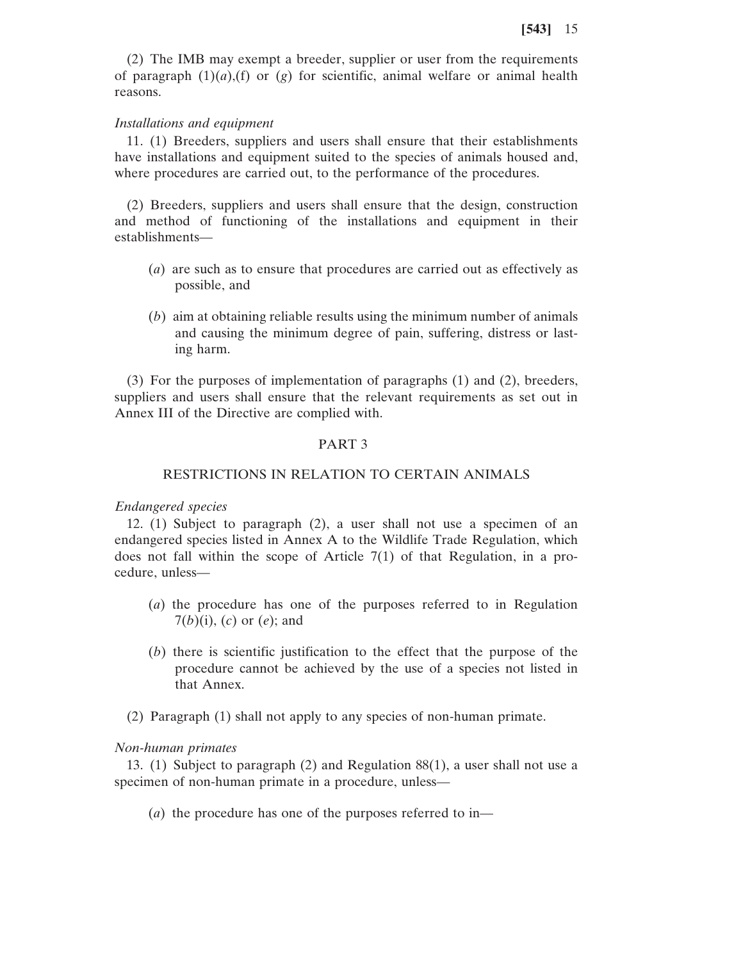(2) The IMB may exempt a breeder, supplier or user from the requirements of paragraph  $(1)(a)$ , (f) or  $(g)$  for scientific, animal welfare or animal health reasons.

#### *Installations and equipment*

11. (1) Breeders, suppliers and users shall ensure that their establishments have installations and equipment suited to the species of animals housed and, where procedures are carried out, to the performance of the procedures.

(2) Breeders, suppliers and users shall ensure that the design, construction and method of functioning of the installations and equipment in their establishments—

- (*a*) are such as to ensure that procedures are carried out as effectively as possible, and
- (*b*) aim at obtaining reliable results using the minimum number of animals and causing the minimum degree of pain, suffering, distress or lasting harm.

(3) For the purposes of implementation of paragraphs (1) and (2), breeders, suppliers and users shall ensure that the relevant requirements as set out in Annex III of the Directive are complied with.

#### PART 3

# RESTRICTIONS IN RELATION TO CERTAIN ANIMALS

# *Endangered species*

12. (1) Subject to paragraph (2), a user shall not use a specimen of an endangered species listed in Annex A to the Wildlife Trade Regulation, which does not fall within the scope of Article 7(1) of that Regulation, in a procedure, unless—

- (*a*) the procedure has one of the purposes referred to in Regulation 7(*b*)(i), (*c*) or (*e*); and
- (*b*) there is scientific justification to the effect that the purpose of the procedure cannot be achieved by the use of a species not listed in that Annex.
- (2) Paragraph (1) shall not apply to any species of non-human primate.

## *Non-human primates*

13. (1) Subject to paragraph (2) and Regulation 88(1), a user shall not use a specimen of non-human primate in a procedure, unless—

(*a*) the procedure has one of the purposes referred to in—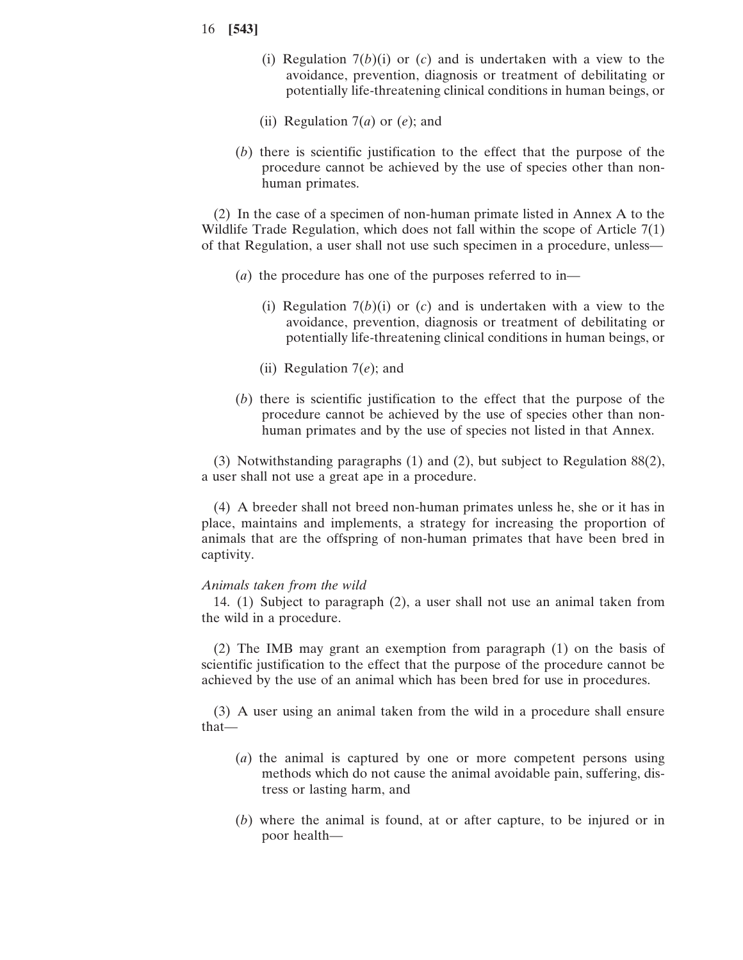- 16 **[543]**
	- (i) Regulation 7(*b*)(i) or (*c*) and is undertaken with a view to the avoidance, prevention, diagnosis or treatment of debilitating or potentially life-threatening clinical conditions in human beings, or
	- (ii) Regulation 7(*a*) or (*e*); and
	- (*b*) there is scientific justification to the effect that the purpose of the procedure cannot be achieved by the use of species other than nonhuman primates.

(2) In the case of a specimen of non-human primate listed in Annex A to the Wildlife Trade Regulation, which does not fall within the scope of Article 7(1) of that Regulation, a user shall not use such specimen in a procedure, unless—

- (*a*) the procedure has one of the purposes referred to in—
	- (i) Regulation 7(*b*)(i) or (*c*) and is undertaken with a view to the avoidance, prevention, diagnosis or treatment of debilitating or potentially life-threatening clinical conditions in human beings, or
	- (ii) Regulation 7(*e*); and
- (*b*) there is scientific justification to the effect that the purpose of the procedure cannot be achieved by the use of species other than nonhuman primates and by the use of species not listed in that Annex.

(3) Notwithstanding paragraphs (1) and (2), but subject to Regulation 88(2), a user shall not use a great ape in a procedure.

(4) A breeder shall not breed non-human primates unless he, she or it has in place, maintains and implements, a strategy for increasing the proportion of animals that are the offspring of non-human primates that have been bred in captivity.

# *Animals taken from the wild*

14. (1) Subject to paragraph (2), a user shall not use an animal taken from the wild in a procedure.

(2) The IMB may grant an exemption from paragraph (1) on the basis of scientific justification to the effect that the purpose of the procedure cannot be achieved by the use of an animal which has been bred for use in procedures.

(3) A user using an animal taken from the wild in a procedure shall ensure that—

- (*a*) the animal is captured by one or more competent persons using methods which do not cause the animal avoidable pain, suffering, distress or lasting harm, and
- (*b*) where the animal is found, at or after capture, to be injured or in poor health—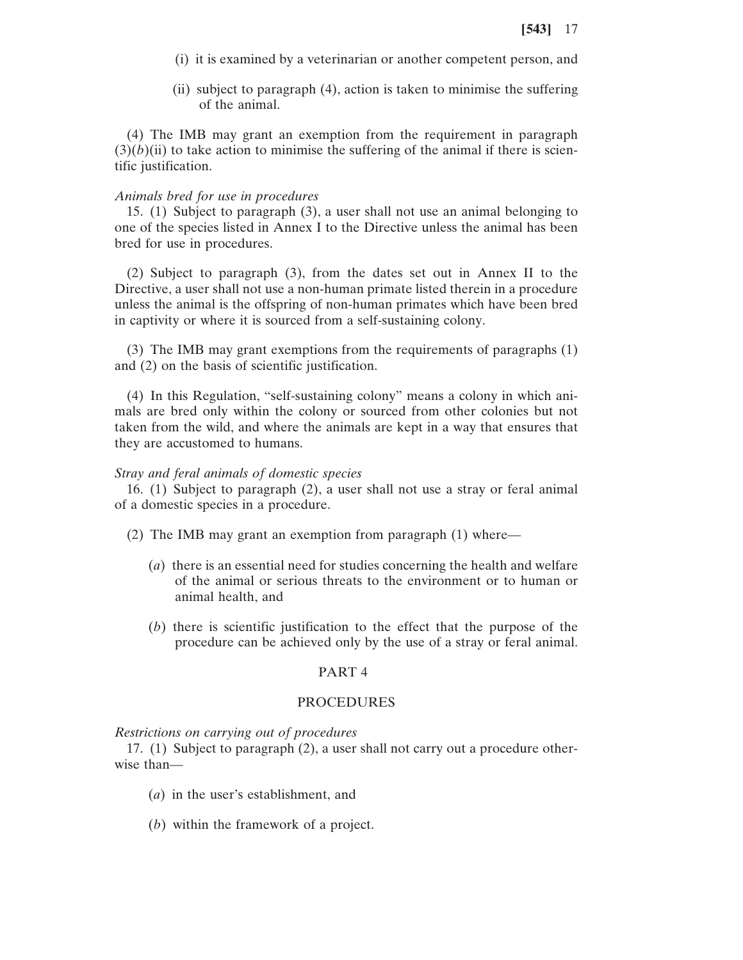- (i) it is examined by a veterinarian or another competent person, and
- (ii) subject to paragraph (4), action is taken to minimise the suffering of the animal.

(4) The IMB may grant an exemption from the requirement in paragraph  $(3)(b)(ii)$  to take action to minimise the suffering of the animal if there is scientific justification.

# *Animals bred for use in procedures*

15. (1) Subject to paragraph (3), a user shall not use an animal belonging to one of the species listed in Annex I to the Directive unless the animal has been bred for use in procedures.

(2) Subject to paragraph (3), from the dates set out in Annex II to the Directive, a user shall not use a non-human primate listed therein in a procedure unless the animal is the offspring of non-human primates which have been bred in captivity or where it is sourced from a self-sustaining colony.

(3) The IMB may grant exemptions from the requirements of paragraphs (1) and (2) on the basis of scientific justification.

(4) In this Regulation, "self-sustaining colony" means a colony in which animals are bred only within the colony or sourced from other colonies but not taken from the wild, and where the animals are kept in a way that ensures that they are accustomed to humans.

## *Stray and feral animals of domestic species*

16. (1) Subject to paragraph (2), a user shall not use a stray or feral animal of a domestic species in a procedure.

- (2) The IMB may grant an exemption from paragraph (1) where—
	- (*a*) there is an essential need for studies concerning the health and welfare of the animal or serious threats to the environment or to human or animal health, and
	- (*b*) there is scientific justification to the effect that the purpose of the procedure can be achieved only by the use of a stray or feral animal.

# PART 4

# PROCEDURES

*Restrictions on carrying out of procedures*

17. (1) Subject to paragraph (2), a user shall not carry out a procedure otherwise than—

- (*a*) in the user's establishment, and
- (*b*) within the framework of a project.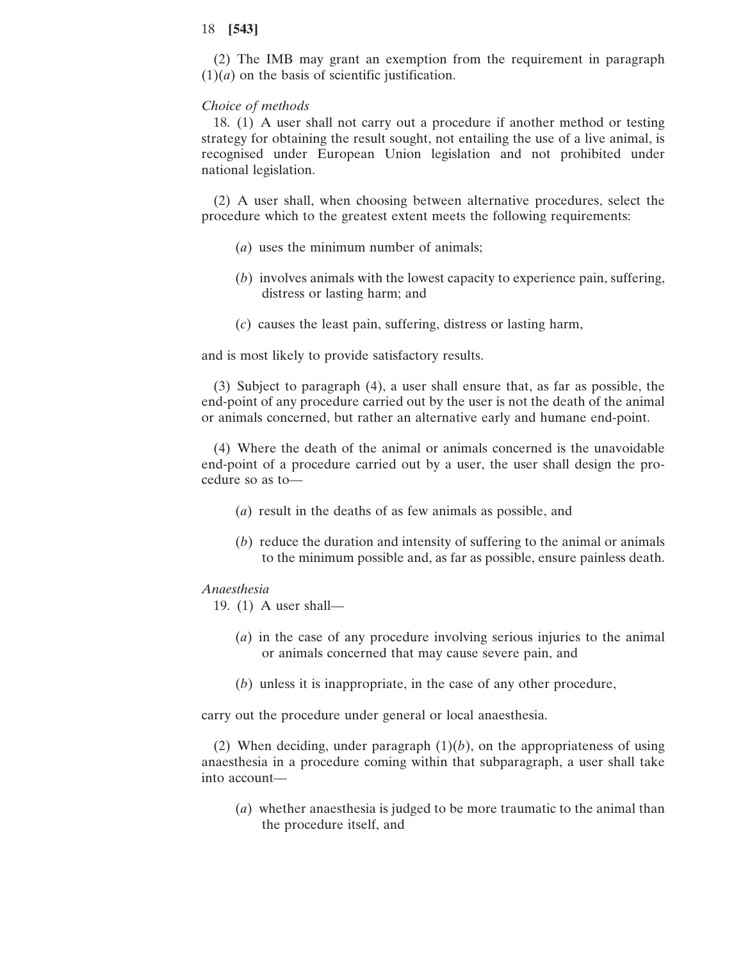(2) The IMB may grant an exemption from the requirement in paragraph  $(1)(a)$  on the basis of scientific justification.

#### *Choice of methods*

18. (1) A user shall not carry out a procedure if another method or testing strategy for obtaining the result sought, not entailing the use of a live animal, is recognised under European Union legislation and not prohibited under national legislation.

(2) A user shall, when choosing between alternative procedures, select the procedure which to the greatest extent meets the following requirements:

- (*a*) uses the minimum number of animals;
- (*b*) involves animals with the lowest capacity to experience pain, suffering, distress or lasting harm; and
- (*c*) causes the least pain, suffering, distress or lasting harm,

and is most likely to provide satisfactory results.

(3) Subject to paragraph (4), a user shall ensure that, as far as possible, the end-point of any procedure carried out by the user is not the death of the animal or animals concerned, but rather an alternative early and humane end-point.

(4) Where the death of the animal or animals concerned is the unavoidable end-point of a procedure carried out by a user, the user shall design the procedure so as to—

- (*a*) result in the deaths of as few animals as possible, and
- (*b*) reduce the duration and intensity of suffering to the animal or animals to the minimum possible and, as far as possible, ensure painless death.

## *Anaesthesia*

- 19. (1) A user shall—
	- (*a*) in the case of any procedure involving serious injuries to the animal or animals concerned that may cause severe pain, and
	- (*b*) unless it is inappropriate, in the case of any other procedure,

carry out the procedure under general or local anaesthesia.

(2) When deciding, under paragraph  $(1)(b)$ , on the appropriateness of using anaesthesia in a procedure coming within that subparagraph, a user shall take into account—

(*a*) whether anaesthesia is judged to be more traumatic to the animal than the procedure itself, and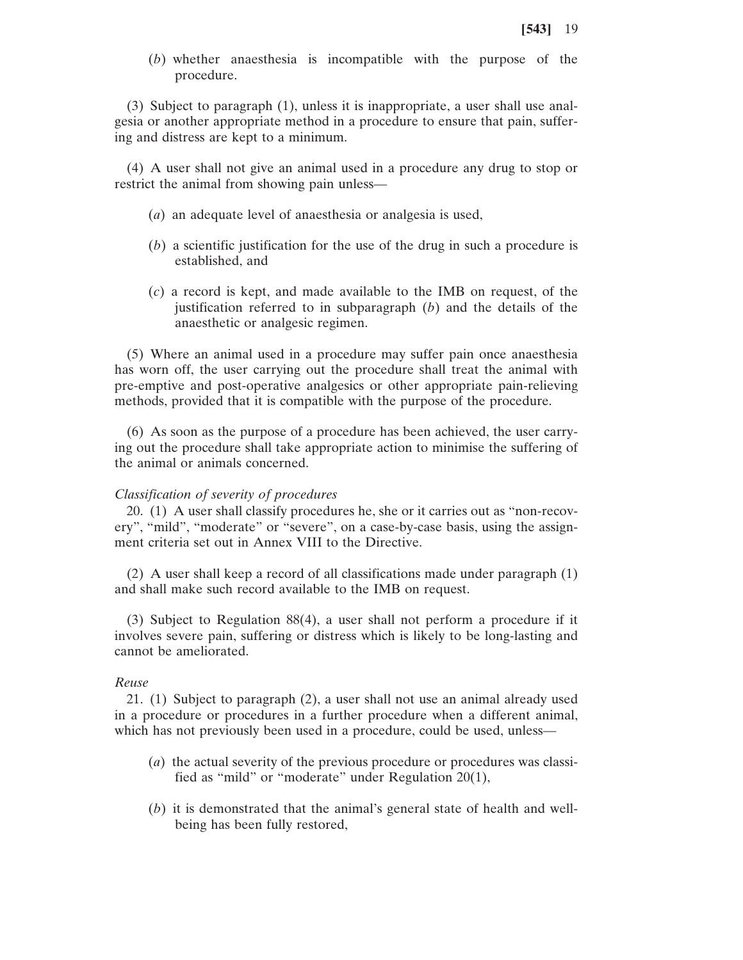(*b*) whether anaesthesia is incompatible with the purpose of the procedure.

(3) Subject to paragraph (1), unless it is inappropriate, a user shall use analgesia or another appropriate method in a procedure to ensure that pain, suffering and distress are kept to a minimum.

(4) A user shall not give an animal used in a procedure any drug to stop or restrict the animal from showing pain unless—

- (*a*) an adequate level of anaesthesia or analgesia is used,
- (*b*) a scientific justification for the use of the drug in such a procedure is established, and
- (*c*) a record is kept, and made available to the IMB on request, of the justification referred to in subparagraph (*b*) and the details of the anaesthetic or analgesic regimen.

(5) Where an animal used in a procedure may suffer pain once anaesthesia has worn off, the user carrying out the procedure shall treat the animal with pre-emptive and post-operative analgesics or other appropriate pain-relieving methods, provided that it is compatible with the purpose of the procedure.

(6) As soon as the purpose of a procedure has been achieved, the user carrying out the procedure shall take appropriate action to minimise the suffering of the animal or animals concerned.

# *Classification of severity of procedures*

20. (1) A user shall classify procedures he, she or it carries out as "non-recovery", "mild", "moderate" or "severe", on a case-by-case basis, using the assignment criteria set out in Annex VIII to the Directive.

(2) A user shall keep a record of all classifications made under paragraph (1) and shall make such record available to the IMB on request.

(3) Subject to Regulation 88(4), a user shall not perform a procedure if it involves severe pain, suffering or distress which is likely to be long-lasting and cannot be ameliorated.

# *Reuse*

21. (1) Subject to paragraph (2), a user shall not use an animal already used in a procedure or procedures in a further procedure when a different animal, which has not previously been used in a procedure, could be used, unless—

- (*a*) the actual severity of the previous procedure or procedures was classified as "mild" or "moderate" under Regulation 20(1),
- (*b*) it is demonstrated that the animal's general state of health and wellbeing has been fully restored,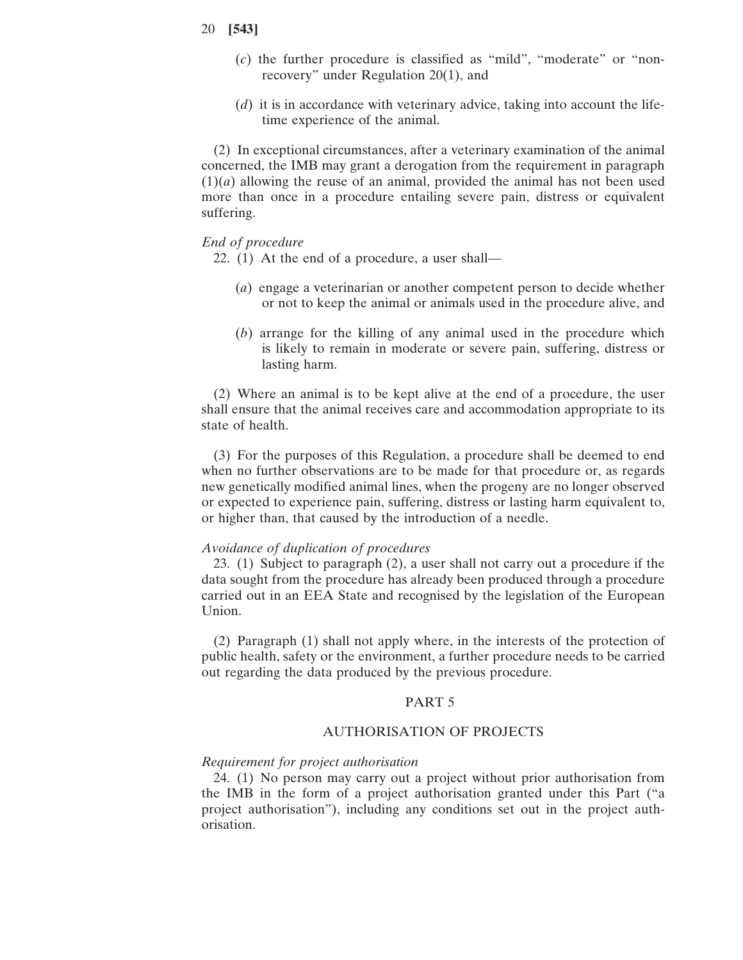- (*c*) the further procedure is classified as "mild", "moderate" or "nonrecovery" under Regulation 20(1), and
- (*d*) it is in accordance with veterinary advice, taking into account the lifetime experience of the animal.

(2) In exceptional circumstances, after a veterinary examination of the animal concerned, the IMB may grant a derogation from the requirement in paragraph (1)(*a*) allowing the reuse of an animal, provided the animal has not been used more than once in a procedure entailing severe pain, distress or equivalent suffering.

# *End of procedure*

- 22. (1) At the end of a procedure, a user shall—
	- (*a*) engage a veterinarian or another competent person to decide whether or not to keep the animal or animals used in the procedure alive, and
	- (*b*) arrange for the killing of any animal used in the procedure which is likely to remain in moderate or severe pain, suffering, distress or lasting harm.

(2) Where an animal is to be kept alive at the end of a procedure, the user shall ensure that the animal receives care and accommodation appropriate to its state of health.

(3) For the purposes of this Regulation, a procedure shall be deemed to end when no further observations are to be made for that procedure or, as regards new genetically modified animal lines, when the progeny are no longer observed or expected to experience pain, suffering, distress or lasting harm equivalent to, or higher than, that caused by the introduction of a needle.

#### *Avoidance of duplication of procedures*

23. (1) Subject to paragraph (2), a user shall not carry out a procedure if the data sought from the procedure has already been produced through a procedure carried out in an EEA State and recognised by the legislation of the European Union.

(2) Paragraph (1) shall not apply where, in the interests of the protection of public health, safety or the environment, a further procedure needs to be carried out regarding the data produced by the previous procedure.

## PART 5

#### AUTHORISATION OF PROJECTS

#### *Requirement for project authorisation*

24. (1) No person may carry out a project without prior authorisation from the IMB in the form of a project authorisation granted under this Part ("a project authorisation"), including any conditions set out in the project authorisation.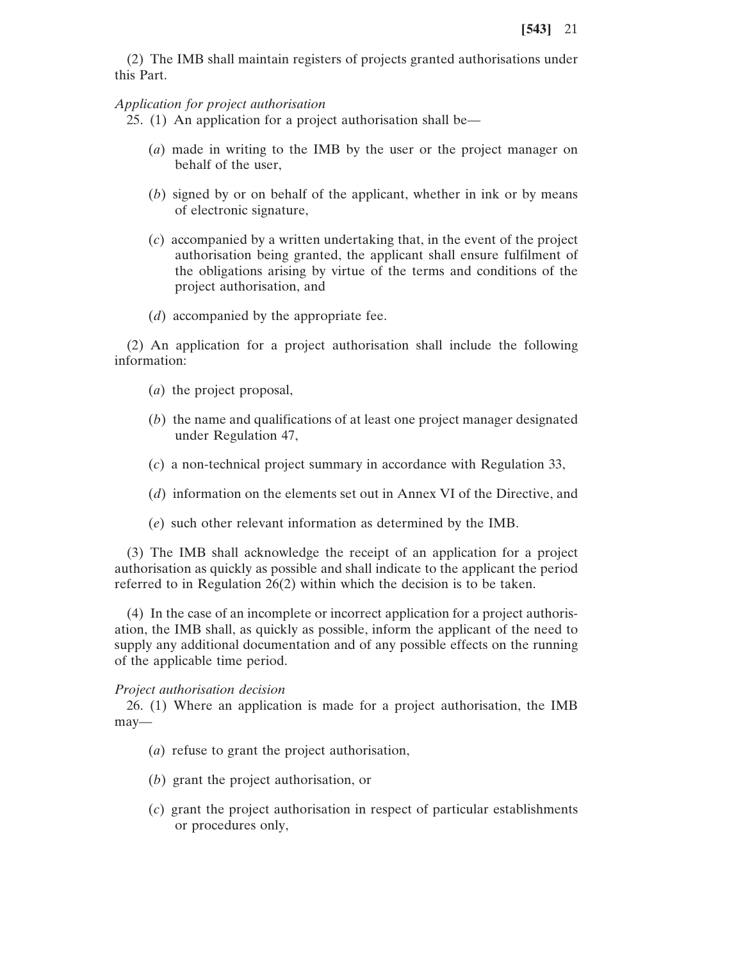(2) The IMB shall maintain registers of projects granted authorisations under this Part.

#### *Application for project authorisation*

25. (1) An application for a project authorisation shall be—

- (*a*) made in writing to the IMB by the user or the project manager on behalf of the user,
- (*b*) signed by or on behalf of the applicant, whether in ink or by means of electronic signature,
- (*c*) accompanied by a written undertaking that, in the event of the project authorisation being granted, the applicant shall ensure fulfilment of the obligations arising by virtue of the terms and conditions of the project authorisation, and
- (*d*) accompanied by the appropriate fee.

(2) An application for a project authorisation shall include the following information:

- (*a*) the project proposal,
- (*b*) the name and qualifications of at least one project manager designated under Regulation 47,
- (*c*) a non-technical project summary in accordance with Regulation 33,
- (*d*) information on the elements set out in Annex VI of the Directive, and
- (*e*) such other relevant information as determined by the IMB.

(3) The IMB shall acknowledge the receipt of an application for a project authorisation as quickly as possible and shall indicate to the applicant the period referred to in Regulation 26(2) within which the decision is to be taken.

(4) In the case of an incomplete or incorrect application for a project authorisation, the IMB shall, as quickly as possible, inform the applicant of the need to supply any additional documentation and of any possible effects on the running of the applicable time period.

#### *Project authorisation decision*

26. (1) Where an application is made for a project authorisation, the IMB may—

- (*a*) refuse to grant the project authorisation,
- (*b*) grant the project authorisation, or
- (*c*) grant the project authorisation in respect of particular establishments or procedures only,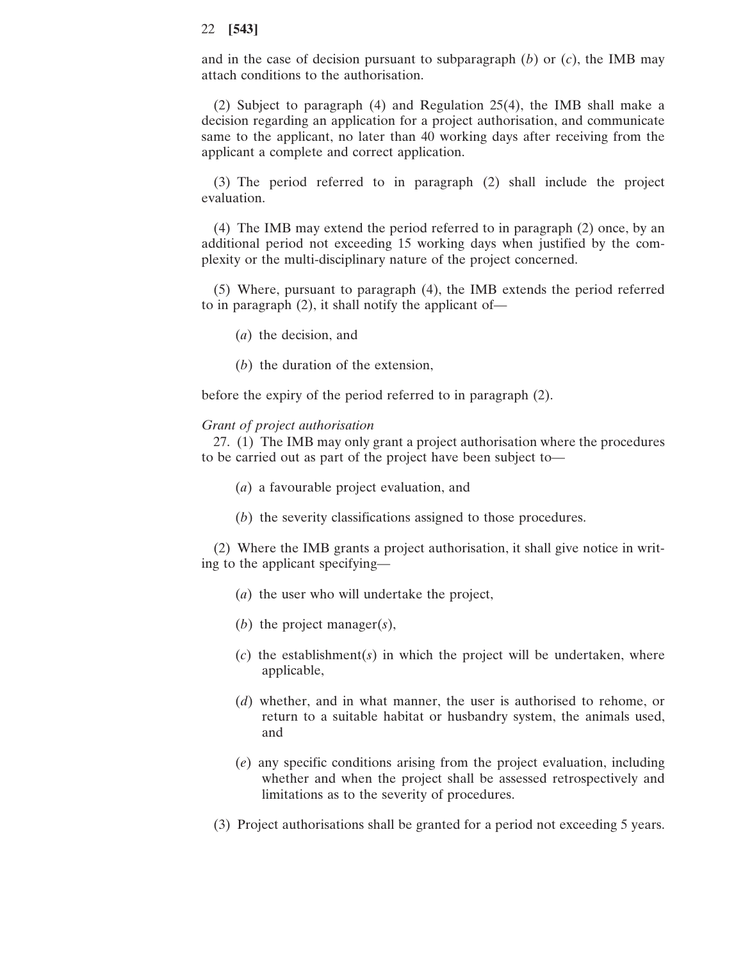and in the case of decision pursuant to subparagraph  $(b)$  or  $(c)$ , the IMB may attach conditions to the authorisation.

(2) Subject to paragraph (4) and Regulation 25(4), the IMB shall make a decision regarding an application for a project authorisation, and communicate same to the applicant, no later than 40 working days after receiving from the applicant a complete and correct application.

(3) The period referred to in paragraph (2) shall include the project evaluation.

(4) The IMB may extend the period referred to in paragraph (2) once, by an additional period not exceeding 15 working days when justified by the complexity or the multi-disciplinary nature of the project concerned.

(5) Where, pursuant to paragraph (4), the IMB extends the period referred to in paragraph (2), it shall notify the applicant of—

- (*a*) the decision, and
- (*b*) the duration of the extension,

before the expiry of the period referred to in paragraph (2).

## *Grant of project authorisation*

27. (1) The IMB may only grant a project authorisation where the procedures to be carried out as part of the project have been subject to—

- (*a*) a favourable project evaluation, and
- (*b*) the severity classifications assigned to those procedures.

(2) Where the IMB grants a project authorisation, it shall give notice in writing to the applicant specifying—

- (*a*) the user who will undertake the project,
- (*b*) the project manager(*s*),
- (*c*) the establishment(*s*) in which the project will be undertaken, where applicable,
- (*d*) whether, and in what manner, the user is authorised to rehome, or return to a suitable habitat or husbandry system, the animals used, and
- (*e*) any specific conditions arising from the project evaluation, including whether and when the project shall be assessed retrospectively and limitations as to the severity of procedures.
- (3) Project authorisations shall be granted for a period not exceeding 5 years.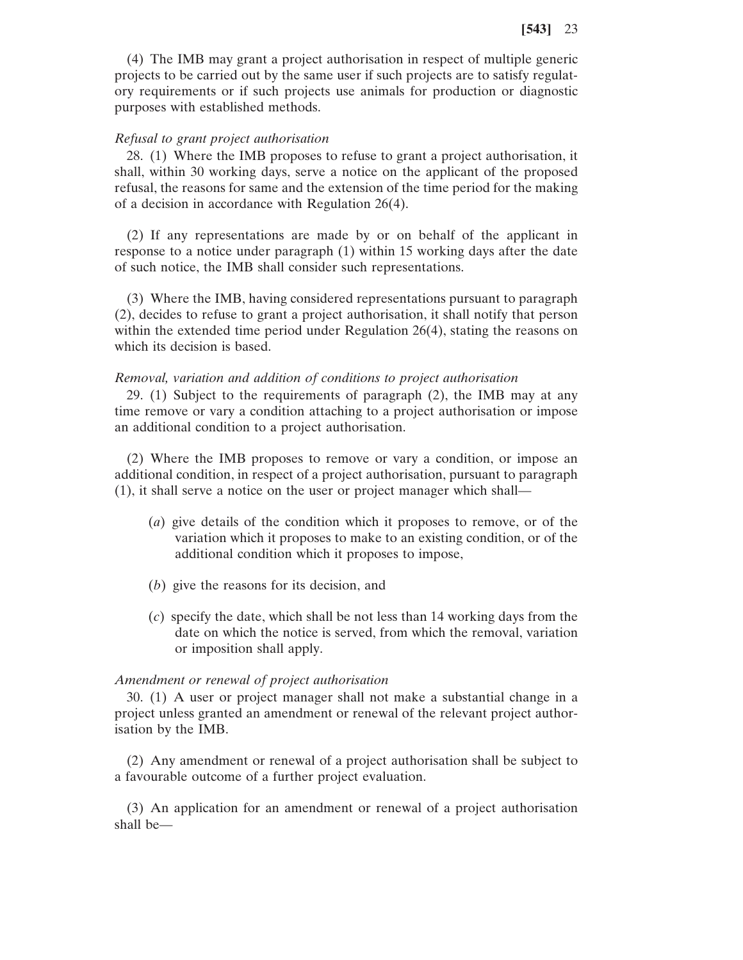(4) The IMB may grant a project authorisation in respect of multiple generic projects to be carried out by the same user if such projects are to satisfy regulatory requirements or if such projects use animals for production or diagnostic purposes with established methods.

## *Refusal to grant project authorisation*

28. (1) Where the IMB proposes to refuse to grant a project authorisation, it shall, within 30 working days, serve a notice on the applicant of the proposed refusal, the reasons for same and the extension of the time period for the making of a decision in accordance with Regulation 26(4).

(2) If any representations are made by or on behalf of the applicant in response to a notice under paragraph (1) within 15 working days after the date of such notice, the IMB shall consider such representations.

(3) Where the IMB, having considered representations pursuant to paragraph (2), decides to refuse to grant a project authorisation, it shall notify that person within the extended time period under Regulation 26(4), stating the reasons on which its decision is based.

#### *Removal, variation and addition of conditions to project authorisation*

29. (1) Subject to the requirements of paragraph (2), the IMB may at any time remove or vary a condition attaching to a project authorisation or impose an additional condition to a project authorisation.

(2) Where the IMB proposes to remove or vary a condition, or impose an additional condition, in respect of a project authorisation, pursuant to paragraph (1), it shall serve a notice on the user or project manager which shall—

- (*a*) give details of the condition which it proposes to remove, or of the variation which it proposes to make to an existing condition, or of the additional condition which it proposes to impose,
- (*b*) give the reasons for its decision, and
- (*c*) specify the date, which shall be not less than 14 working days from the date on which the notice is served, from which the removal, variation or imposition shall apply.

## *Amendment or renewal of project authorisation*

30. (1) A user or project manager shall not make a substantial change in a project unless granted an amendment or renewal of the relevant project authorisation by the IMB.

(2) Any amendment or renewal of a project authorisation shall be subject to a favourable outcome of a further project evaluation.

(3) An application for an amendment or renewal of a project authorisation shall be—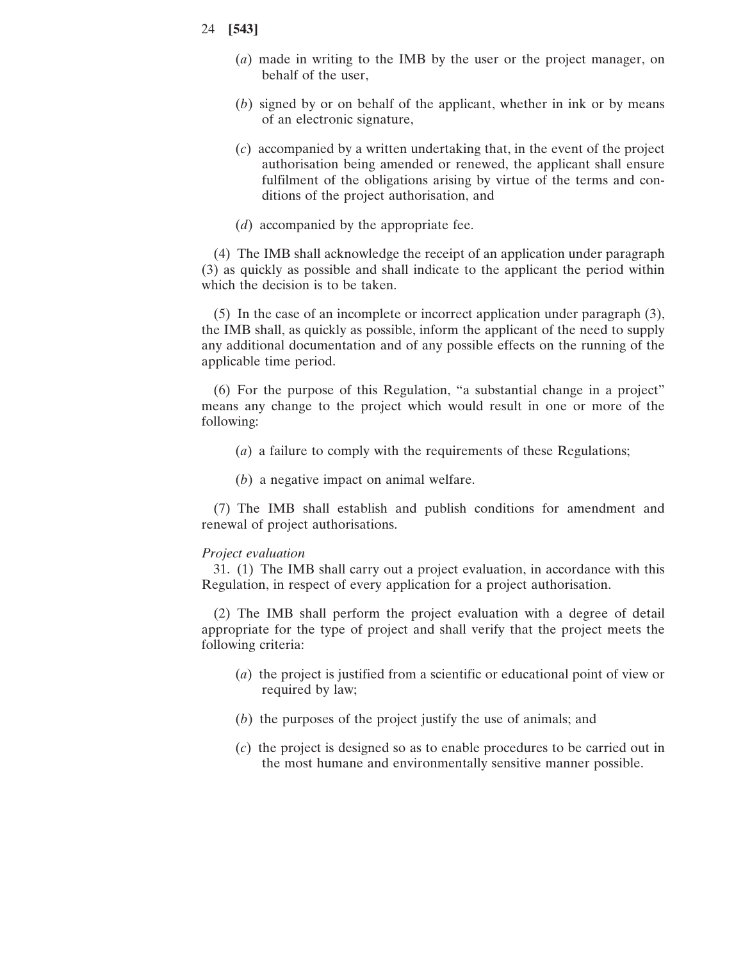- 24 **[543]**
	- (*a*) made in writing to the IMB by the user or the project manager, on behalf of the user,
	- (*b*) signed by or on behalf of the applicant, whether in ink or by means of an electronic signature,
	- (*c*) accompanied by a written undertaking that, in the event of the project authorisation being amended or renewed, the applicant shall ensure fulfilment of the obligations arising by virtue of the terms and conditions of the project authorisation, and
	- (*d*) accompanied by the appropriate fee.

(4) The IMB shall acknowledge the receipt of an application under paragraph (3) as quickly as possible and shall indicate to the applicant the period within which the decision is to be taken.

(5) In the case of an incomplete or incorrect application under paragraph (3), the IMB shall, as quickly as possible, inform the applicant of the need to supply any additional documentation and of any possible effects on the running of the applicable time period.

(6) For the purpose of this Regulation, "a substantial change in a project" means any change to the project which would result in one or more of the following:

- (*a*) a failure to comply with the requirements of these Regulations;
- (*b*) a negative impact on animal welfare.

(7) The IMB shall establish and publish conditions for amendment and renewal of project authorisations.

#### *Project evaluation*

31. (1) The IMB shall carry out a project evaluation, in accordance with this Regulation, in respect of every application for a project authorisation.

(2) The IMB shall perform the project evaluation with a degree of detail appropriate for the type of project and shall verify that the project meets the following criteria:

- (*a*) the project is justified from a scientific or educational point of view or required by law;
- (*b*) the purposes of the project justify the use of animals; and
- (*c*) the project is designed so as to enable procedures to be carried out in the most humane and environmentally sensitive manner possible.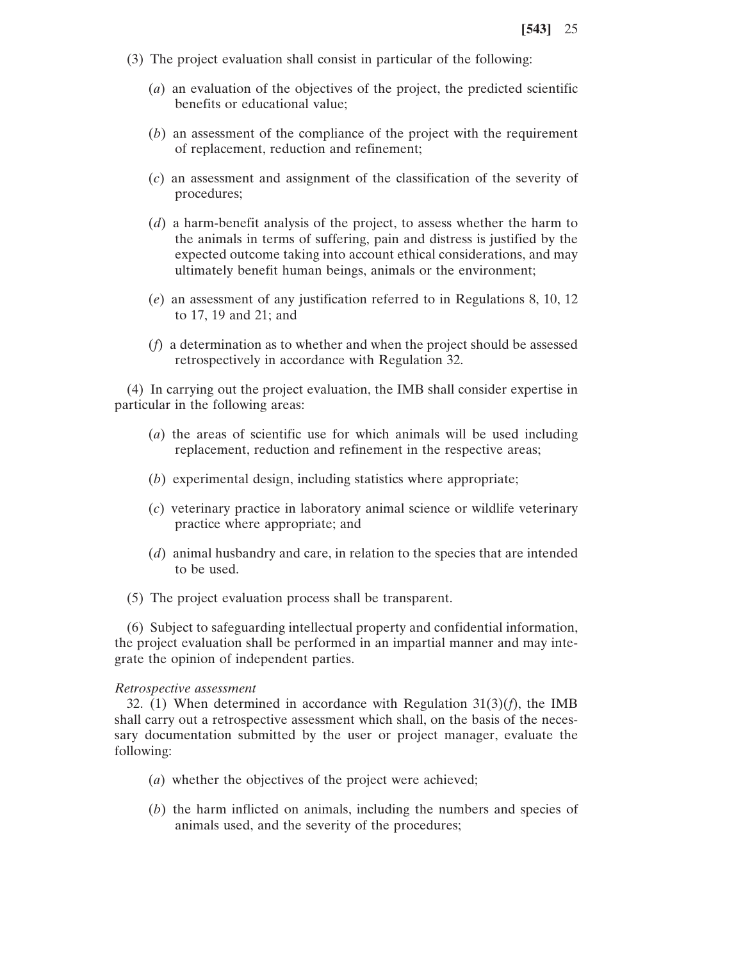- (3) The project evaluation shall consist in particular of the following:
	- (*a*) an evaluation of the objectives of the project, the predicted scientific benefits or educational value;
	- (*b*) an assessment of the compliance of the project with the requirement of replacement, reduction and refinement;
	- (*c*) an assessment and assignment of the classification of the severity of procedures;
	- (*d*) a harm-benefit analysis of the project, to assess whether the harm to the animals in terms of suffering, pain and distress is justified by the expected outcome taking into account ethical considerations, and may ultimately benefit human beings, animals or the environment;
	- (*e*) an assessment of any justification referred to in Regulations 8, 10, 12 to 17, 19 and 21; and
	- (*f*) a determination as to whether and when the project should be assessed retrospectively in accordance with Regulation 32.

(4) In carrying out the project evaluation, the IMB shall consider expertise in particular in the following areas:

- (*a*) the areas of scientific use for which animals will be used including replacement, reduction and refinement in the respective areas;
- (*b*) experimental design, including statistics where appropriate;
- (*c*) veterinary practice in laboratory animal science or wildlife veterinary practice where appropriate; and
- (*d*) animal husbandry and care, in relation to the species that are intended to be used.
- (5) The project evaluation process shall be transparent.

(6) Subject to safeguarding intellectual property and confidential information, the project evaluation shall be performed in an impartial manner and may integrate the opinion of independent parties.

#### *Retrospective assessment*

32. (1) When determined in accordance with Regulation 31(3)(*f*), the IMB shall carry out a retrospective assessment which shall, on the basis of the necessary documentation submitted by the user or project manager, evaluate the following:

- (*a*) whether the objectives of the project were achieved;
- (*b*) the harm inflicted on animals, including the numbers and species of animals used, and the severity of the procedures;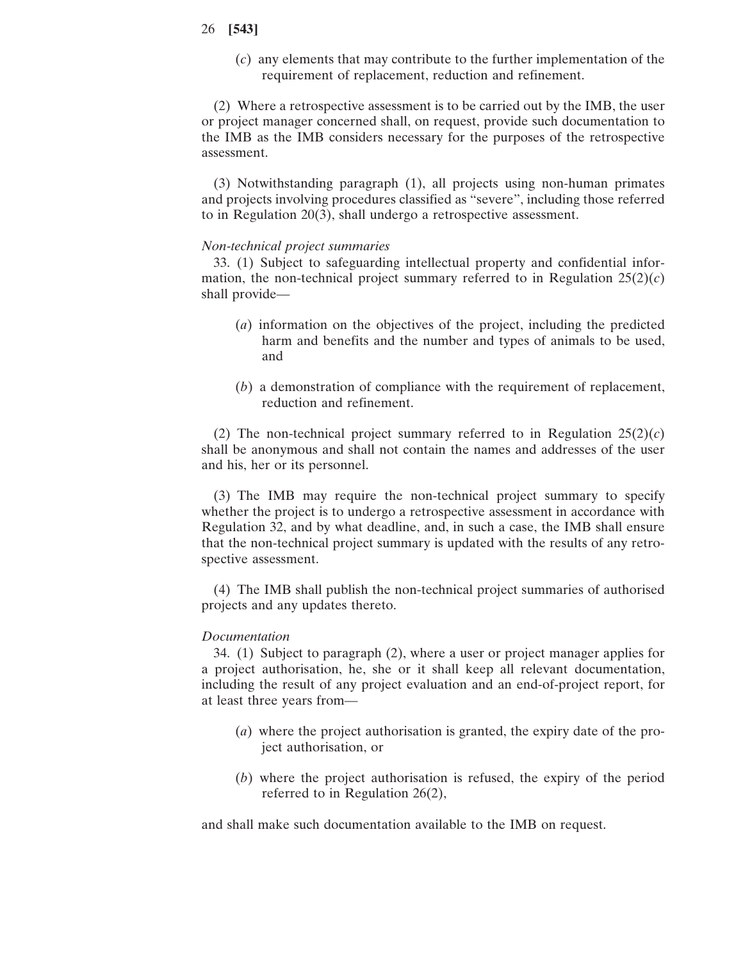(*c*) any elements that may contribute to the further implementation of the requirement of replacement, reduction and refinement.

(2) Where a retrospective assessment is to be carried out by the IMB, the user or project manager concerned shall, on request, provide such documentation to the IMB as the IMB considers necessary for the purposes of the retrospective assessment.

(3) Notwithstanding paragraph (1), all projects using non-human primates and projects involving procedures classified as "severe", including those referred to in Regulation 20(3), shall undergo a retrospective assessment.

# *Non-technical project summaries*

33. (1) Subject to safeguarding intellectual property and confidential information, the non-technical project summary referred to in Regulation  $25(2)(c)$ shall provide—

- (*a*) information on the objectives of the project, including the predicted harm and benefits and the number and types of animals to be used, and
- (*b*) a demonstration of compliance with the requirement of replacement, reduction and refinement.

(2) The non-technical project summary referred to in Regulation  $25(2)(c)$ shall be anonymous and shall not contain the names and addresses of the user and his, her or its personnel.

(3) The IMB may require the non-technical project summary to specify whether the project is to undergo a retrospective assessment in accordance with Regulation 32, and by what deadline, and, in such a case, the IMB shall ensure that the non-technical project summary is updated with the results of any retrospective assessment.

(4) The IMB shall publish the non-technical project summaries of authorised projects and any updates thereto.

#### *Documentation*

34. (1) Subject to paragraph (2), where a user or project manager applies for a project authorisation, he, she or it shall keep all relevant documentation, including the result of any project evaluation and an end-of-project report, for at least three years from—

- (*a*) where the project authorisation is granted, the expiry date of the project authorisation, or
- (*b*) where the project authorisation is refused, the expiry of the period referred to in Regulation 26(2),

and shall make such documentation available to the IMB on request.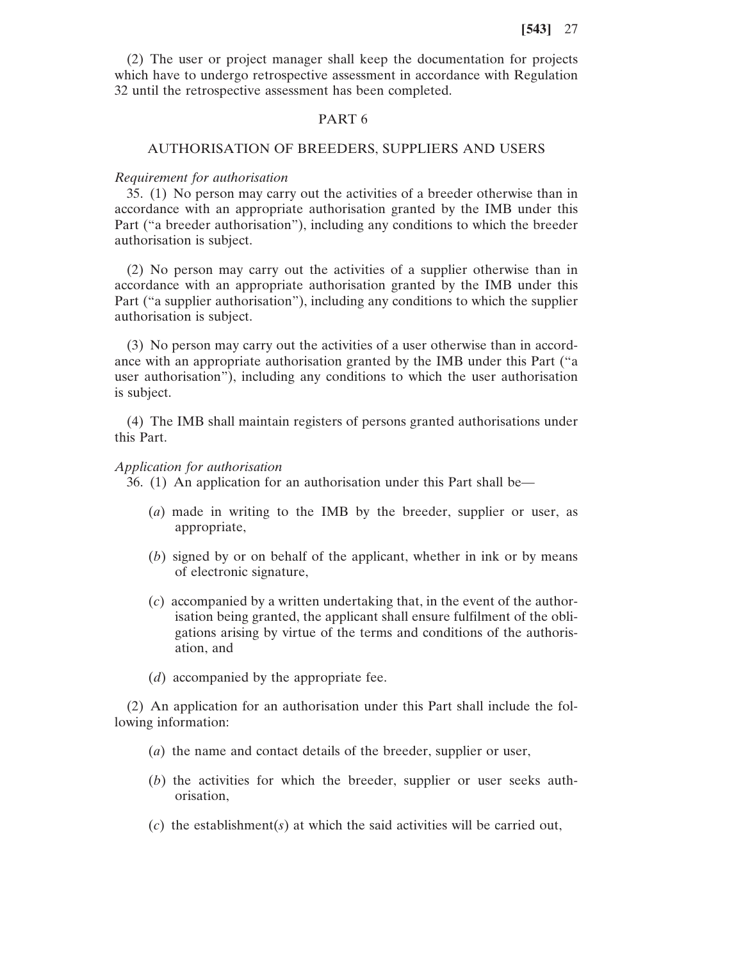(2) The user or project manager shall keep the documentation for projects which have to undergo retrospective assessment in accordance with Regulation 32 until the retrospective assessment has been completed.

## PART 6

## AUTHORISATION OF BREEDERS, SUPPLIERS AND USERS

#### *Requirement for authorisation*

35. (1) No person may carry out the activities of a breeder otherwise than in accordance with an appropriate authorisation granted by the IMB under this Part ("a breeder authorisation"), including any conditions to which the breeder authorisation is subject.

(2) No person may carry out the activities of a supplier otherwise than in accordance with an appropriate authorisation granted by the IMB under this Part ("a supplier authorisation"), including any conditions to which the supplier authorisation is subject.

(3) No person may carry out the activities of a user otherwise than in accordance with an appropriate authorisation granted by the IMB under this Part ("a user authorisation"), including any conditions to which the user authorisation is subject.

(4) The IMB shall maintain registers of persons granted authorisations under this Part.

#### *Application for authorisation*

36. (1) An application for an authorisation under this Part shall be—

- (*a*) made in writing to the IMB by the breeder, supplier or user, as appropriate,
- (*b*) signed by or on behalf of the applicant, whether in ink or by means of electronic signature,
- (*c*) accompanied by a written undertaking that, in the event of the authorisation being granted, the applicant shall ensure fulfilment of the obligations arising by virtue of the terms and conditions of the authorisation, and
- (*d*) accompanied by the appropriate fee.

(2) An application for an authorisation under this Part shall include the following information:

- (*a*) the name and contact details of the breeder, supplier or user,
- (*b*) the activities for which the breeder, supplier or user seeks authorisation,
- (*c*) the establishment(*s*) at which the said activities will be carried out,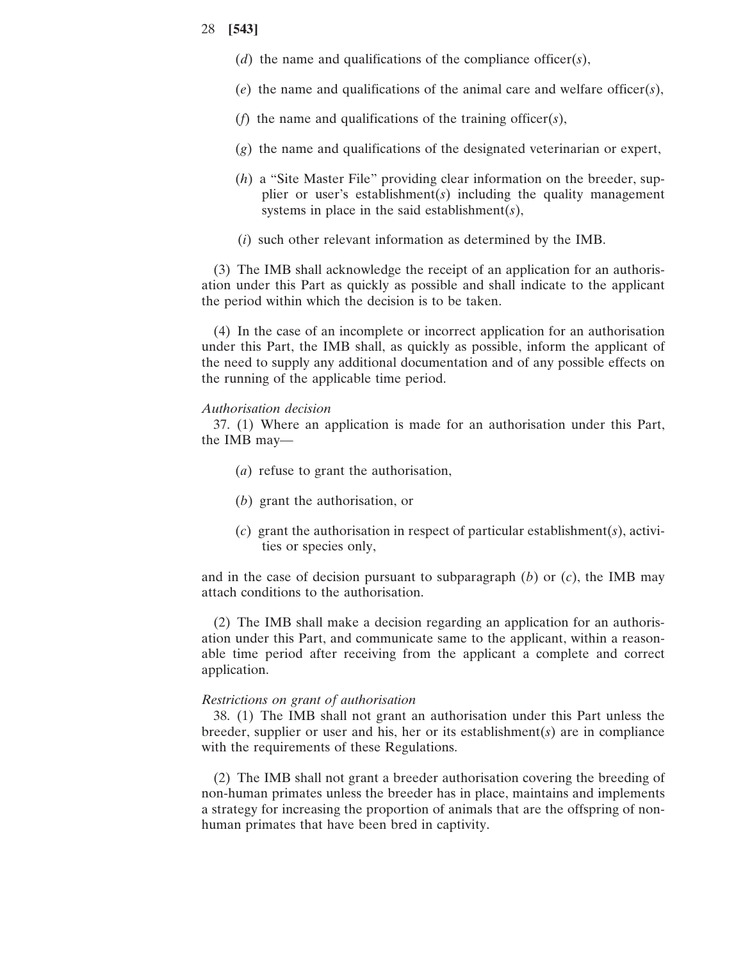- (*d*) the name and qualifications of the compliance officer(*s*),
- (*e*) the name and qualifications of the animal care and welfare officer(*s*),
- (*f*) the name and qualifications of the training officer(*s*),
- (*g*) the name and qualifications of the designated veterinarian or expert,
- (*h*) a "Site Master File" providing clear information on the breeder, supplier or user's establishment(*s*) including the quality management systems in place in the said establishment(*s*),
- (*i*) such other relevant information as determined by the IMB.

(3) The IMB shall acknowledge the receipt of an application for an authorisation under this Part as quickly as possible and shall indicate to the applicant the period within which the decision is to be taken.

(4) In the case of an incomplete or incorrect application for an authorisation under this Part, the IMB shall, as quickly as possible, inform the applicant of the need to supply any additional documentation and of any possible effects on the running of the applicable time period.

#### *Authorisation decision*

37. (1) Where an application is made for an authorisation under this Part, the IMB may—

- (*a*) refuse to grant the authorisation,
- (*b*) grant the authorisation, or
- (*c*) grant the authorisation in respect of particular establishment(*s*), activities or species only,

and in the case of decision pursuant to subparagraph  $(b)$  or  $(c)$ , the IMB may attach conditions to the authorisation.

(2) The IMB shall make a decision regarding an application for an authorisation under this Part, and communicate same to the applicant, within a reasonable time period after receiving from the applicant a complete and correct application.

# *Restrictions on grant of authorisation*

38. (1) The IMB shall not grant an authorisation under this Part unless the breeder, supplier or user and his, her or its establishment(*s*) are in compliance with the requirements of these Regulations.

(2) The IMB shall not grant a breeder authorisation covering the breeding of non-human primates unless the breeder has in place, maintains and implements a strategy for increasing the proportion of animals that are the offspring of nonhuman primates that have been bred in captivity.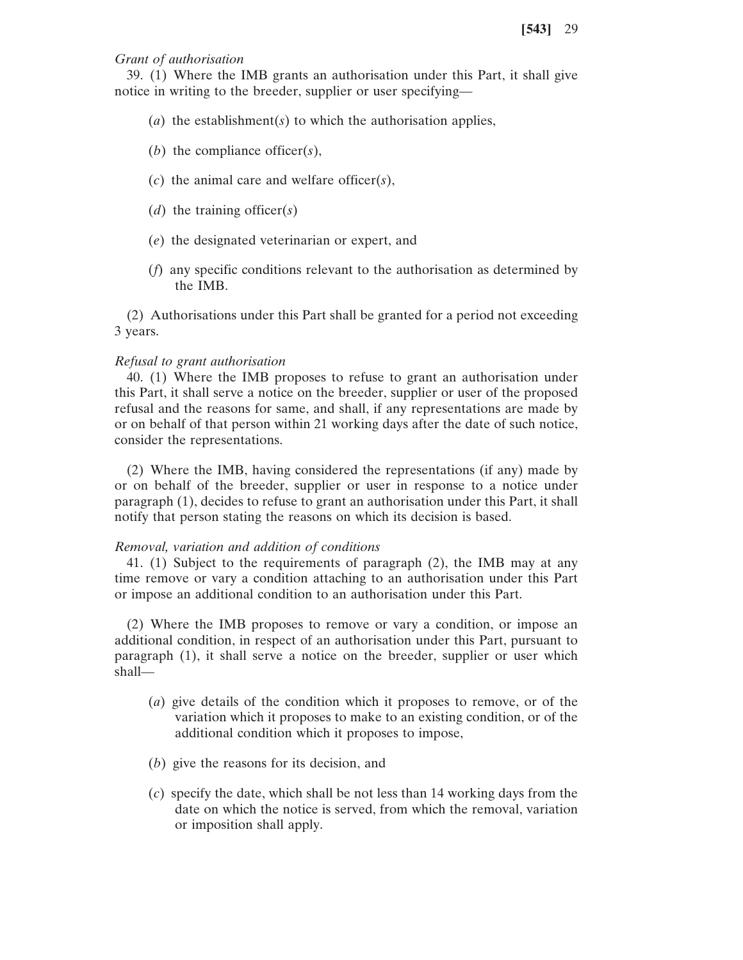## *Grant of authorisation*

39. (1) Where the IMB grants an authorisation under this Part, it shall give notice in writing to the breeder, supplier or user specifying—

- (*a*) the establishment(*s*) to which the authorisation applies,
- (*b*) the compliance officer(*s*),
- (*c*) the animal care and welfare officer(*s*),
- (*d*) the training officer(*s*)
- (*e*) the designated veterinarian or expert, and
- (*f*) any specific conditions relevant to the authorisation as determined by the IMB.

(2) Authorisations under this Part shall be granted for a period not exceeding 3 years.

#### *Refusal to grant authorisation*

40. (1) Where the IMB proposes to refuse to grant an authorisation under this Part, it shall serve a notice on the breeder, supplier or user of the proposed refusal and the reasons for same, and shall, if any representations are made by or on behalf of that person within 21 working days after the date of such notice, consider the representations.

(2) Where the IMB, having considered the representations (if any) made by or on behalf of the breeder, supplier or user in response to a notice under paragraph (1), decides to refuse to grant an authorisation under this Part, it shall notify that person stating the reasons on which its decision is based.

#### *Removal, variation and addition of conditions*

41. (1) Subject to the requirements of paragraph (2), the IMB may at any time remove or vary a condition attaching to an authorisation under this Part or impose an additional condition to an authorisation under this Part.

(2) Where the IMB proposes to remove or vary a condition, or impose an additional condition, in respect of an authorisation under this Part, pursuant to paragraph (1), it shall serve a notice on the breeder, supplier or user which shall—

- (*a*) give details of the condition which it proposes to remove, or of the variation which it proposes to make to an existing condition, or of the additional condition which it proposes to impose,
- (*b*) give the reasons for its decision, and
- (*c*) specify the date, which shall be not less than 14 working days from the date on which the notice is served, from which the removal, variation or imposition shall apply.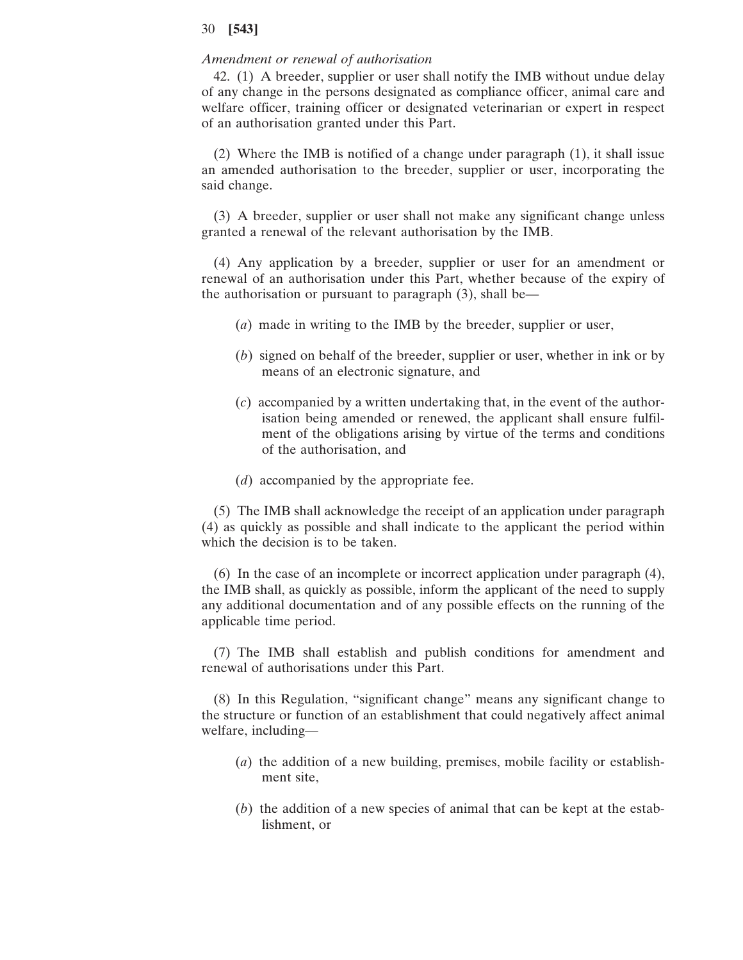#### *Amendment or renewal of authorisation*

42. (1) A breeder, supplier or user shall notify the IMB without undue delay of any change in the persons designated as compliance officer, animal care and welfare officer, training officer or designated veterinarian or expert in respect of an authorisation granted under this Part.

(2) Where the IMB is notified of a change under paragraph (1), it shall issue an amended authorisation to the breeder, supplier or user, incorporating the said change.

(3) A breeder, supplier or user shall not make any significant change unless granted a renewal of the relevant authorisation by the IMB.

(4) Any application by a breeder, supplier or user for an amendment or renewal of an authorisation under this Part, whether because of the expiry of the authorisation or pursuant to paragraph (3), shall be—

- (*a*) made in writing to the IMB by the breeder, supplier or user,
- (*b*) signed on behalf of the breeder, supplier or user, whether in ink or by means of an electronic signature, and
- (*c*) accompanied by a written undertaking that, in the event of the authorisation being amended or renewed, the applicant shall ensure fulfilment of the obligations arising by virtue of the terms and conditions of the authorisation, and
- (*d*) accompanied by the appropriate fee.

(5) The IMB shall acknowledge the receipt of an application under paragraph (4) as quickly as possible and shall indicate to the applicant the period within which the decision is to be taken.

(6) In the case of an incomplete or incorrect application under paragraph (4), the IMB shall, as quickly as possible, inform the applicant of the need to supply any additional documentation and of any possible effects on the running of the applicable time period.

(7) The IMB shall establish and publish conditions for amendment and renewal of authorisations under this Part.

(8) In this Regulation, "significant change" means any significant change to the structure or function of an establishment that could negatively affect animal welfare, including—

- (*a*) the addition of a new building, premises, mobile facility or establishment site,
- (*b*) the addition of a new species of animal that can be kept at the establishment, or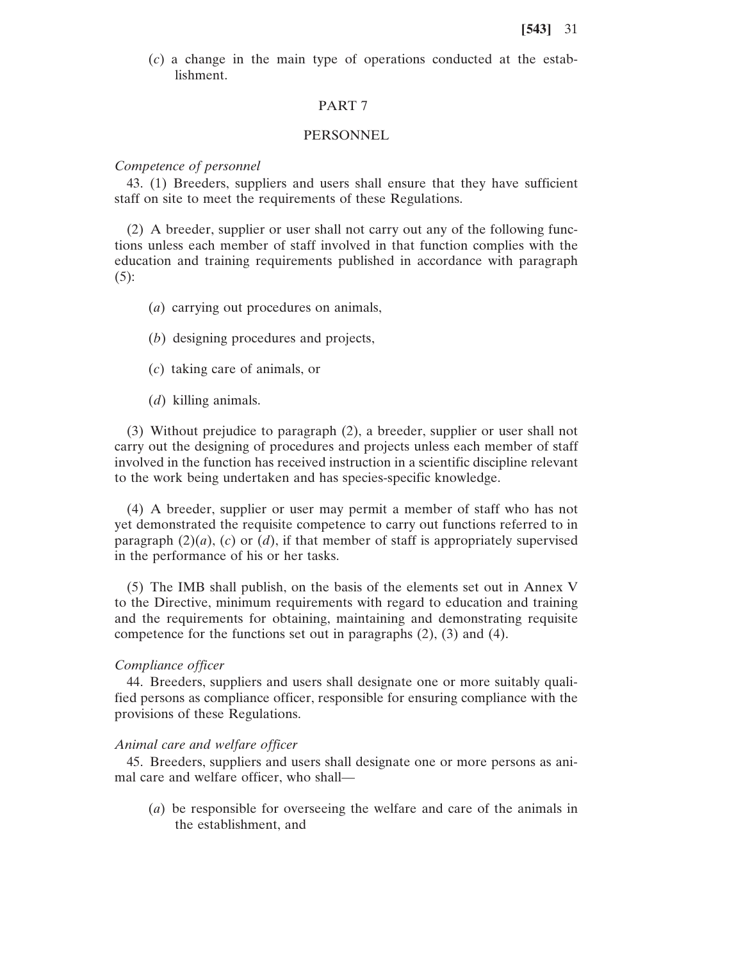(*c*) a change in the main type of operations conducted at the establishment.

# PART 7

#### PERSONNEL

#### *Competence of personnel*

43. (1) Breeders, suppliers and users shall ensure that they have sufficient staff on site to meet the requirements of these Regulations.

(2) A breeder, supplier or user shall not carry out any of the following functions unless each member of staff involved in that function complies with the education and training requirements published in accordance with paragraph  $(5)$ :

- (*a*) carrying out procedures on animals,
- (*b*) designing procedures and projects,
- (*c*) taking care of animals, or
- (*d*) killing animals.

(3) Without prejudice to paragraph (2), a breeder, supplier or user shall not carry out the designing of procedures and projects unless each member of staff involved in the function has received instruction in a scientific discipline relevant to the work being undertaken and has species-specific knowledge.

(4) A breeder, supplier or user may permit a member of staff who has not yet demonstrated the requisite competence to carry out functions referred to in paragraph  $(2)(a)$ ,  $(c)$  or  $(d)$ , if that member of staff is appropriately supervised in the performance of his or her tasks.

(5) The IMB shall publish, on the basis of the elements set out in Annex V to the Directive, minimum requirements with regard to education and training and the requirements for obtaining, maintaining and demonstrating requisite competence for the functions set out in paragraphs (2), (3) and (4).

#### *Compliance officer*

44. Breeders, suppliers and users shall designate one or more suitably qualified persons as compliance officer, responsible for ensuring compliance with the provisions of these Regulations.

#### *Animal care and welfare officer*

45. Breeders, suppliers and users shall designate one or more persons as animal care and welfare officer, who shall—

(*a*) be responsible for overseeing the welfare and care of the animals in the establishment, and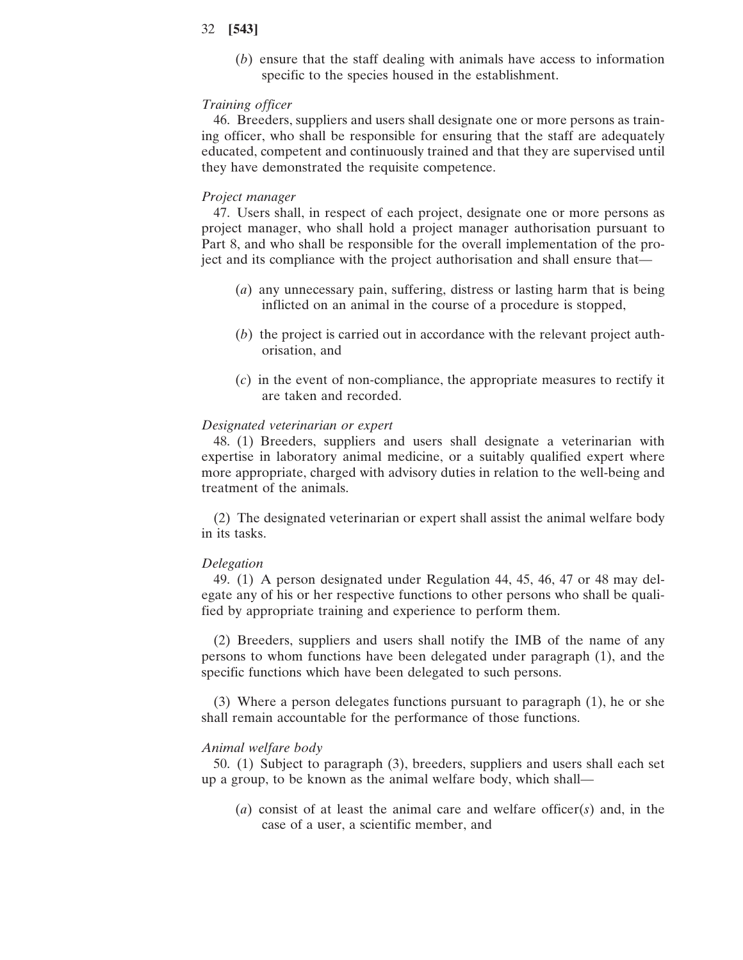(*b*) ensure that the staff dealing with animals have access to information specific to the species housed in the establishment.

#### *Training officer*

46. Breeders, suppliers and users shall designate one or more persons as training officer, who shall be responsible for ensuring that the staff are adequately educated, competent and continuously trained and that they are supervised until they have demonstrated the requisite competence.

#### *Project manager*

47. Users shall, in respect of each project, designate one or more persons as project manager, who shall hold a project manager authorisation pursuant to Part 8, and who shall be responsible for the overall implementation of the project and its compliance with the project authorisation and shall ensure that—

- (*a*) any unnecessary pain, suffering, distress or lasting harm that is being inflicted on an animal in the course of a procedure is stopped,
- (*b*) the project is carried out in accordance with the relevant project authorisation, and
- (*c*) in the event of non-compliance, the appropriate measures to rectify it are taken and recorded.

#### *Designated veterinarian or expert*

48. (1) Breeders, suppliers and users shall designate a veterinarian with expertise in laboratory animal medicine, or a suitably qualified expert where more appropriate, charged with advisory duties in relation to the well-being and treatment of the animals.

(2) The designated veterinarian or expert shall assist the animal welfare body in its tasks.

#### *Delegation*

49. (1) A person designated under Regulation 44, 45, 46, 47 or 48 may delegate any of his or her respective functions to other persons who shall be qualified by appropriate training and experience to perform them.

(2) Breeders, suppliers and users shall notify the IMB of the name of any persons to whom functions have been delegated under paragraph (1), and the specific functions which have been delegated to such persons.

(3) Where a person delegates functions pursuant to paragraph (1), he or she shall remain accountable for the performance of those functions.

## *Animal welfare body*

50. (1) Subject to paragraph (3), breeders, suppliers and users shall each set up a group, to be known as the animal welfare body, which shall—

(*a*) consist of at least the animal care and welfare officer(*s*) and, in the case of a user, a scientific member, and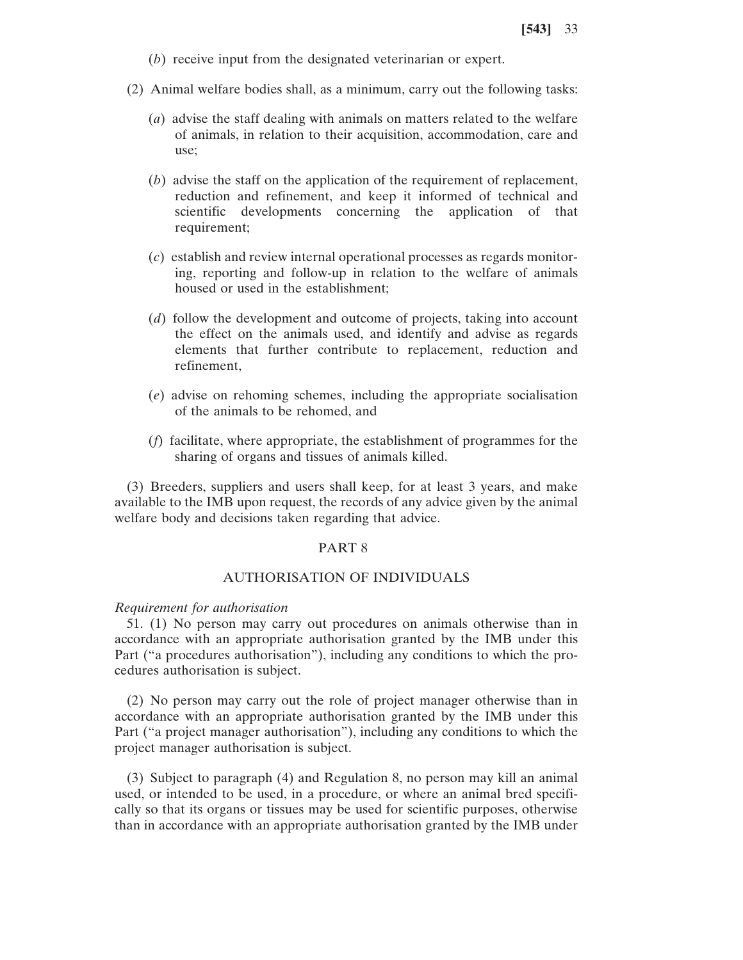- (*b*) receive input from the designated veterinarian or expert.
- (2) Animal welfare bodies shall, as a minimum, carry out the following tasks:
	- (*a*) advise the staff dealing with animals on matters related to the welfare of animals, in relation to their acquisition, accommodation, care and use;
	- (*b*) advise the staff on the application of the requirement of replacement, reduction and refinement, and keep it informed of technical and scientific developments concerning the application of that requirement;
	- (*c*) establish and review internal operational processes as regards monitoring, reporting and follow-up in relation to the welfare of animals housed or used in the establishment;
	- (*d*) follow the development and outcome of projects, taking into account the effect on the animals used, and identify and advise as regards elements that further contribute to replacement, reduction and refinement,
	- (*e*) advise on rehoming schemes, including the appropriate socialisation of the animals to be rehomed, and
	- (*f*) facilitate, where appropriate, the establishment of programmes for the sharing of organs and tissues of animals killed.

(3) Breeders, suppliers and users shall keep, for at least 3 years, and make available to the IMB upon request, the records of any advice given by the animal welfare body and decisions taken regarding that advice.

# PART 8

# AUTHORISATION OF INDIVIDUALS

## *Requirement for authorisation*

51. (1) No person may carry out procedures on animals otherwise than in accordance with an appropriate authorisation granted by the IMB under this Part ("a procedures authorisation"), including any conditions to which the procedures authorisation is subject.

(2) No person may carry out the role of project manager otherwise than in accordance with an appropriate authorisation granted by the IMB under this Part ("a project manager authorisation"), including any conditions to which the project manager authorisation is subject.

(3) Subject to paragraph (4) and Regulation 8, no person may kill an animal used, or intended to be used, in a procedure, or where an animal bred specifically so that its organs or tissues may be used for scientific purposes, otherwise than in accordance with an appropriate authorisation granted by the IMB under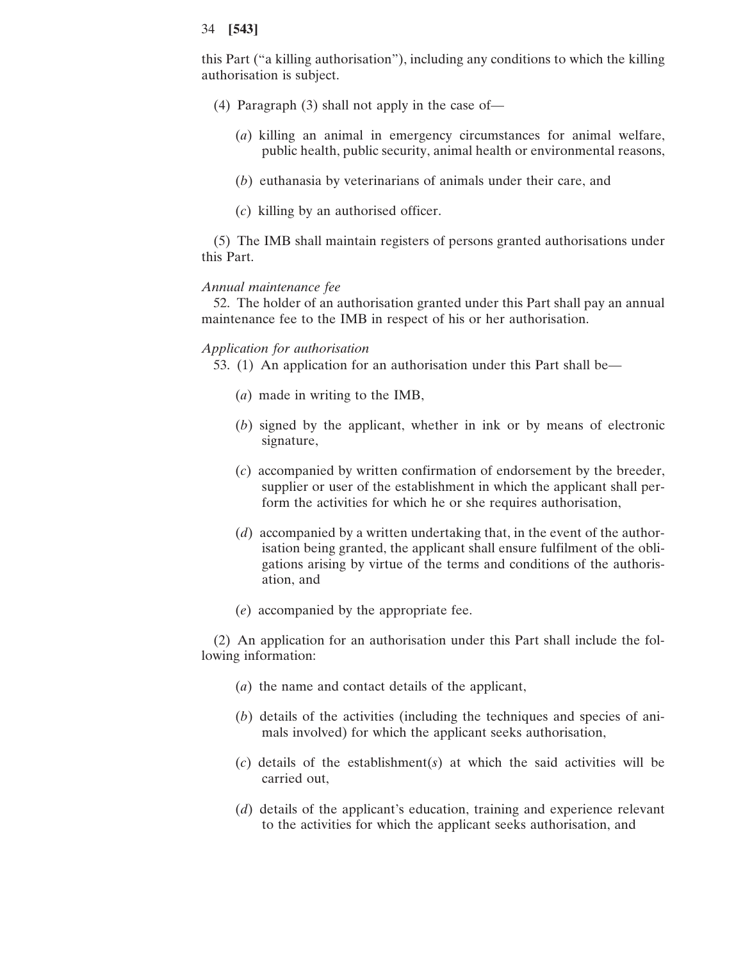this Part ("a killing authorisation"), including any conditions to which the killing authorisation is subject.

- (4) Paragraph (3) shall not apply in the case of—
	- (*a*) killing an animal in emergency circumstances for animal welfare, public health, public security, animal health or environmental reasons,
	- (*b*) euthanasia by veterinarians of animals under their care, and
	- (*c*) killing by an authorised officer.

(5) The IMB shall maintain registers of persons granted authorisations under this Part.

# *Annual maintenance fee*

52. The holder of an authorisation granted under this Part shall pay an annual maintenance fee to the IMB in respect of his or her authorisation.

# *Application for authorisation*

53. (1) An application for an authorisation under this Part shall be—

- (*a*) made in writing to the IMB,
- (*b*) signed by the applicant, whether in ink or by means of electronic signature,
- (*c*) accompanied by written confirmation of endorsement by the breeder, supplier or user of the establishment in which the applicant shall perform the activities for which he or she requires authorisation,
- (*d*) accompanied by a written undertaking that, in the event of the authorisation being granted, the applicant shall ensure fulfilment of the obligations arising by virtue of the terms and conditions of the authorisation, and
- (*e*) accompanied by the appropriate fee.

(2) An application for an authorisation under this Part shall include the following information:

- (*a*) the name and contact details of the applicant,
- (*b*) details of the activities (including the techniques and species of animals involved) for which the applicant seeks authorisation,
- (*c*) details of the establishment(*s*) at which the said activities will be carried out,
- (*d*) details of the applicant's education, training and experience relevant to the activities for which the applicant seeks authorisation, and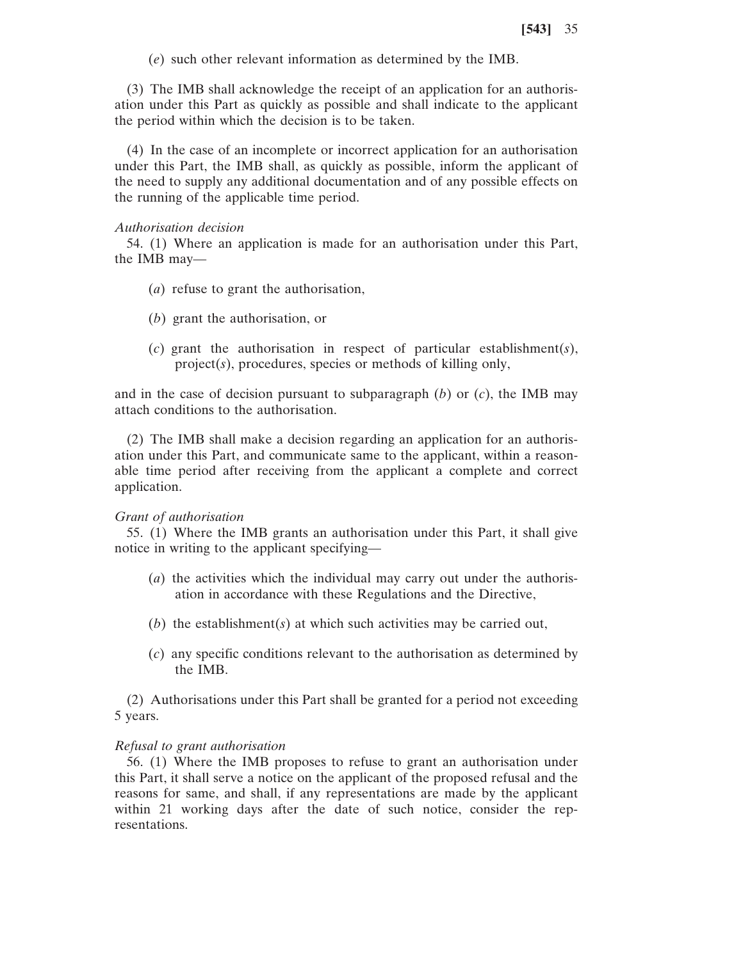(*e*) such other relevant information as determined by the IMB.

(3) The IMB shall acknowledge the receipt of an application for an authorisation under this Part as quickly as possible and shall indicate to the applicant the period within which the decision is to be taken.

(4) In the case of an incomplete or incorrect application for an authorisation under this Part, the IMB shall, as quickly as possible, inform the applicant of the need to supply any additional documentation and of any possible effects on the running of the applicable time period.

## *Authorisation decision*

54. (1) Where an application is made for an authorisation under this Part, the IMB may—

- (*a*) refuse to grant the authorisation,
- (*b*) grant the authorisation, or
- (*c*) grant the authorisation in respect of particular establishment(*s*), project(*s*), procedures, species or methods of killing only,

and in the case of decision pursuant to subparagraph  $(b)$  or  $(c)$ , the IMB may attach conditions to the authorisation.

(2) The IMB shall make a decision regarding an application for an authorisation under this Part, and communicate same to the applicant, within a reasonable time period after receiving from the applicant a complete and correct application.

#### *Grant of authorisation*

55. (1) Where the IMB grants an authorisation under this Part, it shall give notice in writing to the applicant specifying—

- (*a*) the activities which the individual may carry out under the authorisation in accordance with these Regulations and the Directive,
- (*b*) the establishment(*s*) at which such activities may be carried out,
- (*c*) any specific conditions relevant to the authorisation as determined by the IMB.

(2) Authorisations under this Part shall be granted for a period not exceeding 5 years.

## *Refusal to grant authorisation*

56. (1) Where the IMB proposes to refuse to grant an authorisation under this Part, it shall serve a notice on the applicant of the proposed refusal and the reasons for same, and shall, if any representations are made by the applicant within 21 working days after the date of such notice, consider the representations.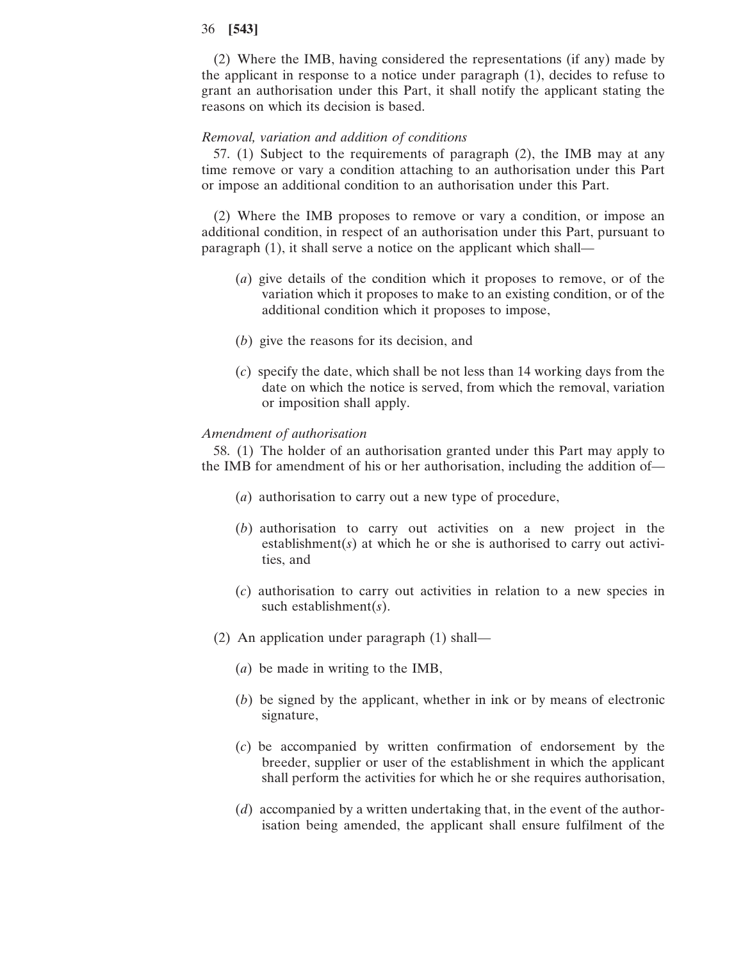(2) Where the IMB, having considered the representations (if any) made by the applicant in response to a notice under paragraph (1), decides to refuse to grant an authorisation under this Part, it shall notify the applicant stating the reasons on which its decision is based.

# *Removal, variation and addition of conditions*

57. (1) Subject to the requirements of paragraph (2), the IMB may at any time remove or vary a condition attaching to an authorisation under this Part or impose an additional condition to an authorisation under this Part.

(2) Where the IMB proposes to remove or vary a condition, or impose an additional condition, in respect of an authorisation under this Part, pursuant to paragraph (1), it shall serve a notice on the applicant which shall—

- (*a*) give details of the condition which it proposes to remove, or of the variation which it proposes to make to an existing condition, or of the additional condition which it proposes to impose,
- (*b*) give the reasons for its decision, and
- (*c*) specify the date, which shall be not less than 14 working days from the date on which the notice is served, from which the removal, variation or imposition shall apply.

# *Amendment of authorisation*

58. (1) The holder of an authorisation granted under this Part may apply to the IMB for amendment of his or her authorisation, including the addition of—

- (*a*) authorisation to carry out a new type of procedure,
- (*b*) authorisation to carry out activities on a new project in the establishment(*s*) at which he or she is authorised to carry out activities, and
- (*c*) authorisation to carry out activities in relation to a new species in such establishment(*s*).
- (2) An application under paragraph (1) shall—
	- (*a*) be made in writing to the IMB,
	- (*b*) be signed by the applicant, whether in ink or by means of electronic signature,
	- (*c*) be accompanied by written confirmation of endorsement by the breeder, supplier or user of the establishment in which the applicant shall perform the activities for which he or she requires authorisation,
	- (*d*) accompanied by a written undertaking that, in the event of the authorisation being amended, the applicant shall ensure fulfilment of the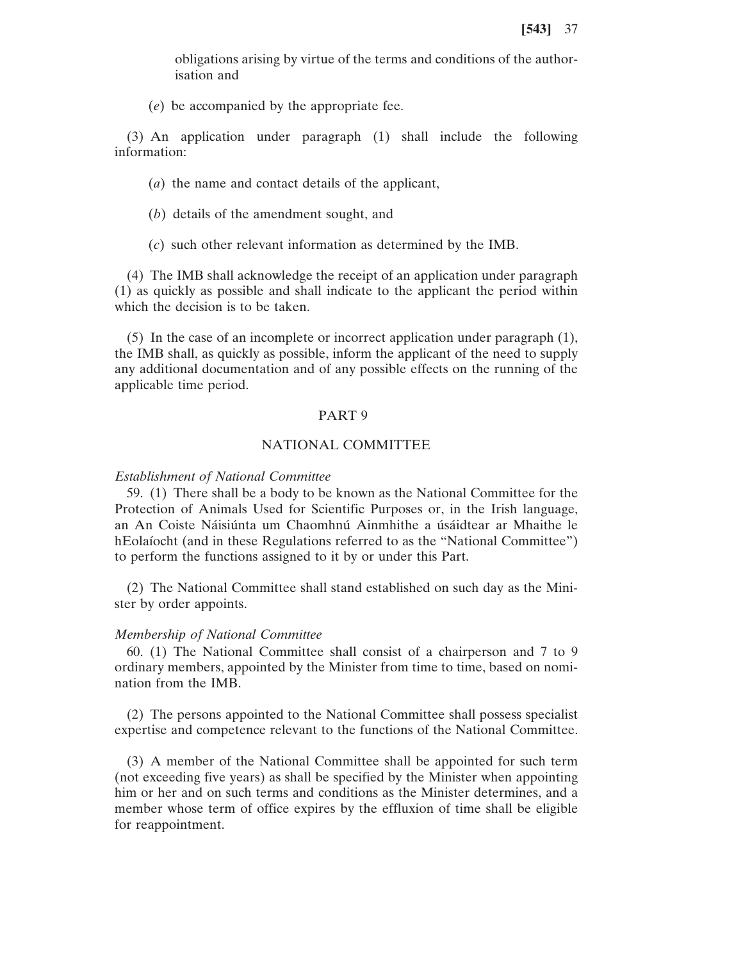obligations arising by virtue of the terms and conditions of the authorisation and

(*e*) be accompanied by the appropriate fee.

(3) An application under paragraph (1) shall include the following information:

(*a*) the name and contact details of the applicant,

- (*b*) details of the amendment sought, and
- (*c*) such other relevant information as determined by the IMB.

(4) The IMB shall acknowledge the receipt of an application under paragraph (1) as quickly as possible and shall indicate to the applicant the period within which the decision is to be taken.

(5) In the case of an incomplete or incorrect application under paragraph (1), the IMB shall, as quickly as possible, inform the applicant of the need to supply any additional documentation and of any possible effects on the running of the applicable time period.

#### PART 9

# NATIONAL COMMITTEE

#### *Establishment of National Committee*

59. (1) There shall be a body to be known as the National Committee for the Protection of Animals Used for Scientific Purposes or, in the Irish language, an An Coiste Náisiúnta um Chaomhnú Ainmhithe a úsáidtear ar Mhaithe le hEolaíocht (and in these Regulations referred to as the "National Committee") to perform the functions assigned to it by or under this Part.

(2) The National Committee shall stand established on such day as the Minister by order appoints.

#### *Membership of National Committee*

60. (1) The National Committee shall consist of a chairperson and 7 to 9 ordinary members, appointed by the Minister from time to time, based on nomination from the IMB.

(2) The persons appointed to the National Committee shall possess specialist expertise and competence relevant to the functions of the National Committee.

(3) A member of the National Committee shall be appointed for such term (not exceeding five years) as shall be specified by the Minister when appointing him or her and on such terms and conditions as the Minister determines, and a member whose term of office expires by the effluxion of time shall be eligible for reappointment.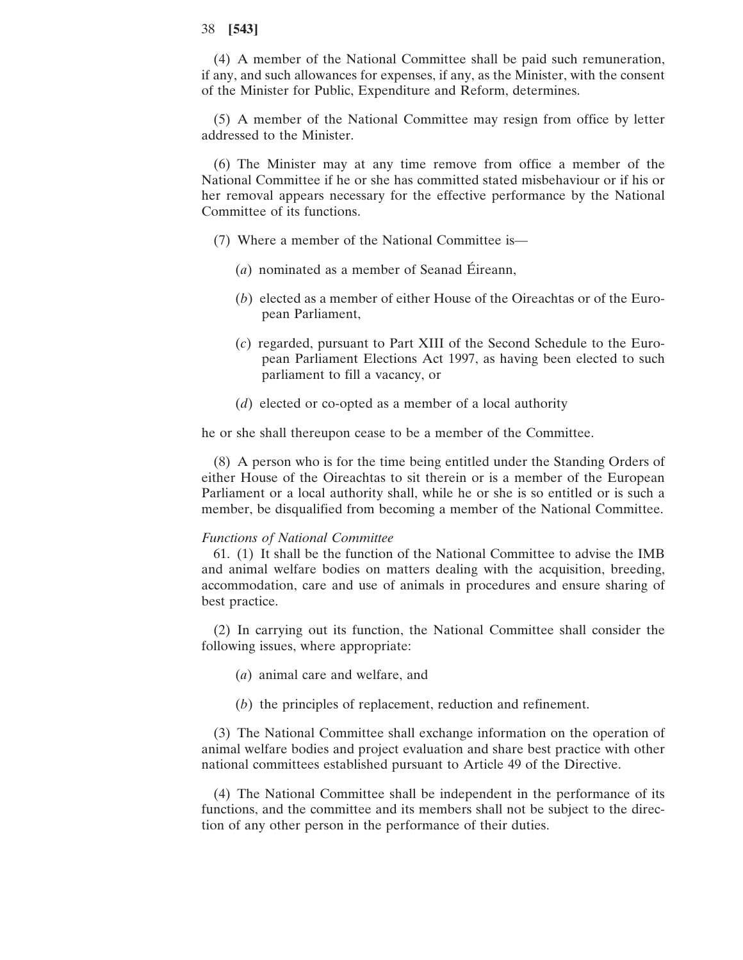(4) A member of the National Committee shall be paid such remuneration, if any, and such allowances for expenses, if any, as the Minister, with the consent of the Minister for Public, Expenditure and Reform, determines.

(5) A member of the National Committee may resign from office by letter addressed to the Minister.

(6) The Minister may at any time remove from office a member of the National Committee if he or she has committed stated misbehaviour or if his or her removal appears necessary for the effective performance by the National Committee of its functions.

- (7) Where a member of the National Committee is—
	- (*a*) nominated as a member of Seanad Éireann,
	- (*b*) elected as a member of either House of the Oireachtas or of the European Parliament,
	- (*c*) regarded, pursuant to Part XIII of the Second Schedule to the European Parliament Elections Act 1997, as having been elected to such parliament to fill a vacancy, or
	- (*d*) elected or co-opted as a member of a local authority

he or she shall thereupon cease to be a member of the Committee.

(8) A person who is for the time being entitled under the Standing Orders of either House of the Oireachtas to sit therein or is a member of the European Parliament or a local authority shall, while he or she is so entitled or is such a member, be disqualified from becoming a member of the National Committee.

#### *Functions of National Committee*

61. (1) It shall be the function of the National Committee to advise the IMB and animal welfare bodies on matters dealing with the acquisition, breeding, accommodation, care and use of animals in procedures and ensure sharing of best practice.

(2) In carrying out its function, the National Committee shall consider the following issues, where appropriate:

- (*a*) animal care and welfare, and
- (*b*) the principles of replacement, reduction and refinement.

(3) The National Committee shall exchange information on the operation of animal welfare bodies and project evaluation and share best practice with other national committees established pursuant to Article 49 of the Directive.

(4) The National Committee shall be independent in the performance of its functions, and the committee and its members shall not be subject to the direction of any other person in the performance of their duties.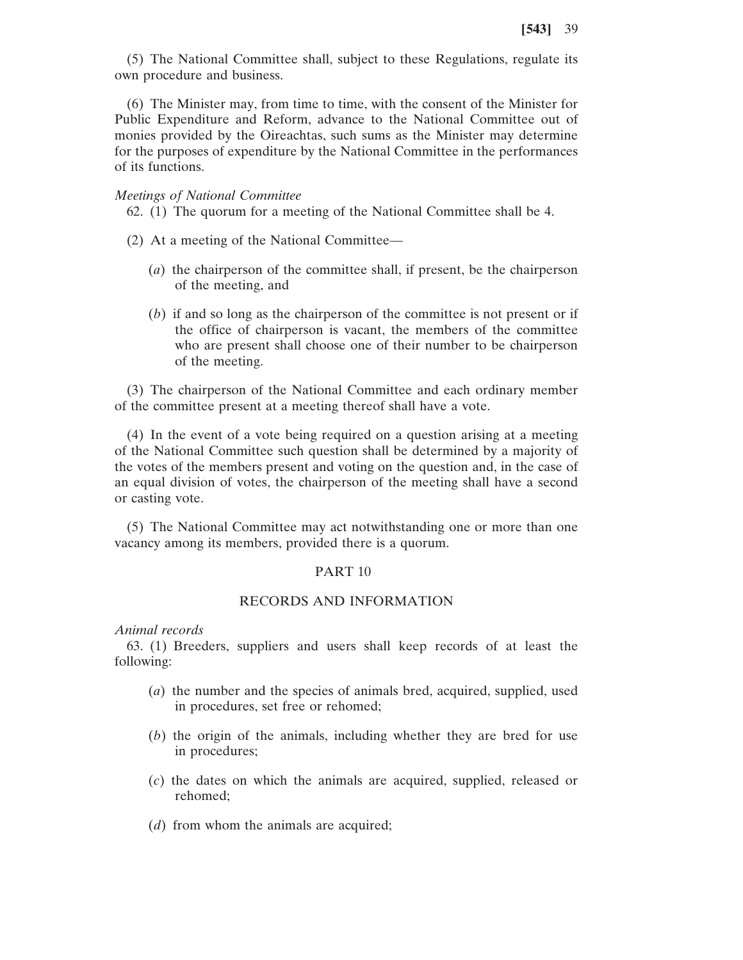(5) The National Committee shall, subject to these Regulations, regulate its own procedure and business.

(6) The Minister may, from time to time, with the consent of the Minister for Public Expenditure and Reform, advance to the National Committee out of monies provided by the Oireachtas, such sums as the Minister may determine for the purposes of expenditure by the National Committee in the performances of its functions.

## *Meetings of National Committee*

62. (1) The quorum for a meeting of the National Committee shall be 4.

- (2) At a meeting of the National Committee—
	- (*a*) the chairperson of the committee shall, if present, be the chairperson of the meeting, and
	- (*b*) if and so long as the chairperson of the committee is not present or if the office of chairperson is vacant, the members of the committee who are present shall choose one of their number to be chairperson of the meeting.

(3) The chairperson of the National Committee and each ordinary member of the committee present at a meeting thereof shall have a vote.

(4) In the event of a vote being required on a question arising at a meeting of the National Committee such question shall be determined by a majority of the votes of the members present and voting on the question and, in the case of an equal division of votes, the chairperson of the meeting shall have a second or casting vote.

(5) The National Committee may act notwithstanding one or more than one vacancy among its members, provided there is a quorum.

# PART 10

# RECORDS AND INFORMATION

*Animal records*

63. (1) Breeders, suppliers and users shall keep records of at least the following:

- (*a*) the number and the species of animals bred, acquired, supplied, used in procedures, set free or rehomed;
- (*b*) the origin of the animals, including whether they are bred for use in procedures;
- (*c*) the dates on which the animals are acquired, supplied, released or rehomed;
- (*d*) from whom the animals are acquired;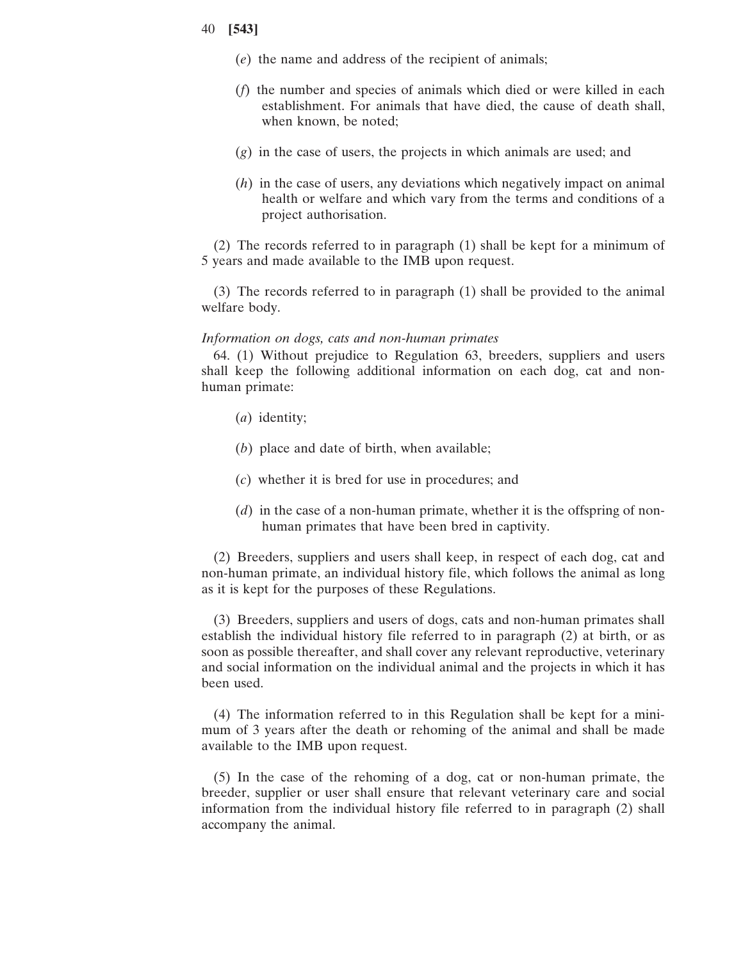- (*e*) the name and address of the recipient of animals;
- (*f*) the number and species of animals which died or were killed in each establishment. For animals that have died, the cause of death shall, when known, be noted;
- (*g*) in the case of users, the projects in which animals are used; and
- (*h*) in the case of users, any deviations which negatively impact on animal health or welfare and which vary from the terms and conditions of a project authorisation.

(2) The records referred to in paragraph (1) shall be kept for a minimum of 5 years and made available to the IMB upon request.

(3) The records referred to in paragraph (1) shall be provided to the animal welfare body.

## *Information on dogs, cats and non-human primates*

64. (1) Without prejudice to Regulation 63, breeders, suppliers and users shall keep the following additional information on each dog, cat and nonhuman primate:

- (*a*) identity;
- (*b*) place and date of birth, when available;
- (*c*) whether it is bred for use in procedures; and
- (*d*) in the case of a non-human primate, whether it is the offspring of nonhuman primates that have been bred in captivity.

(2) Breeders, suppliers and users shall keep, in respect of each dog, cat and non-human primate, an individual history file, which follows the animal as long as it is kept for the purposes of these Regulations.

(3) Breeders, suppliers and users of dogs, cats and non-human primates shall establish the individual history file referred to in paragraph (2) at birth, or as soon as possible thereafter, and shall cover any relevant reproductive, veterinary and social information on the individual animal and the projects in which it has been used.

(4) The information referred to in this Regulation shall be kept for a minimum of 3 years after the death or rehoming of the animal and shall be made available to the IMB upon request.

(5) In the case of the rehoming of a dog, cat or non-human primate, the breeder, supplier or user shall ensure that relevant veterinary care and social information from the individual history file referred to in paragraph (2) shall accompany the animal.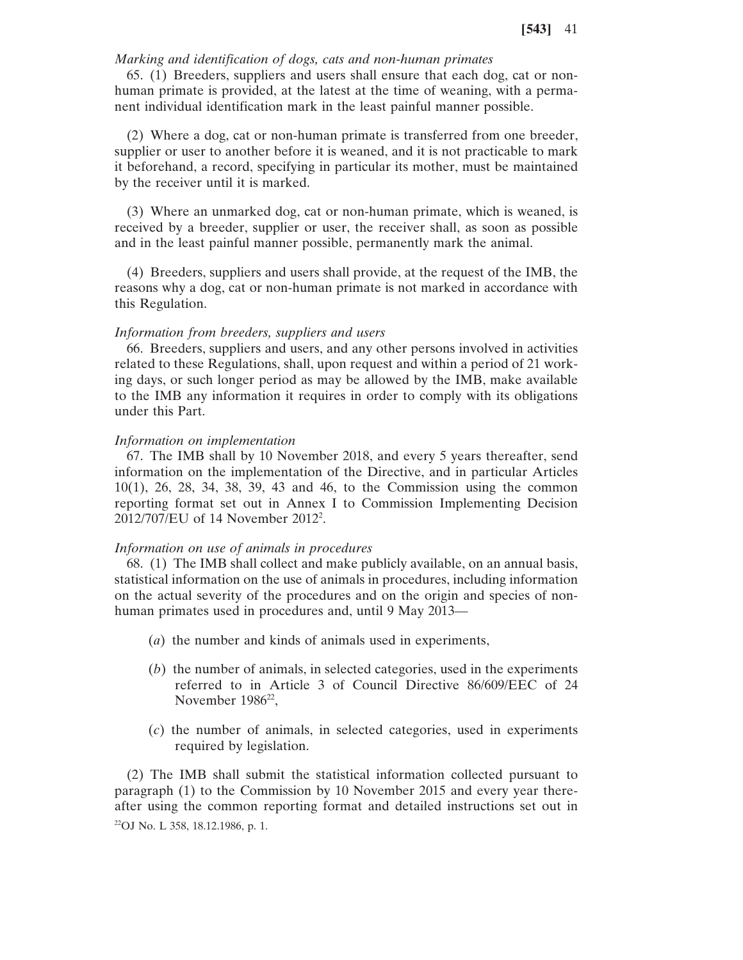# *Marking and identification of dogs, cats and non-human primates*

65. (1) Breeders, suppliers and users shall ensure that each dog, cat or nonhuman primate is provided, at the latest at the time of weaning, with a permanent individual identification mark in the least painful manner possible.

(2) Where a dog, cat or non-human primate is transferred from one breeder, supplier or user to another before it is weaned, and it is not practicable to mark it beforehand, a record, specifying in particular its mother, must be maintained by the receiver until it is marked.

(3) Where an unmarked dog, cat or non-human primate, which is weaned, is received by a breeder, supplier or user, the receiver shall, as soon as possible and in the least painful manner possible, permanently mark the animal.

(4) Breeders, suppliers and users shall provide, at the request of the IMB, the reasons why a dog, cat or non-human primate is not marked in accordance with this Regulation.

#### *Information from breeders, suppliers and users*

66. Breeders, suppliers and users, and any other persons involved in activities related to these Regulations, shall, upon request and within a period of 21 working days, or such longer period as may be allowed by the IMB, make available to the IMB any information it requires in order to comply with its obligations under this Part.

#### *Information on implementation*

67. The IMB shall by 10 November 2018, and every 5 years thereafter, send information on the implementation of the Directive, and in particular Articles 10(1), 26, 28, 34, 38, 39, 43 and 46, to the Commission using the common reporting format set out in Annex I to Commission Implementing Decision 2012/707/EU of 14 November 2012<sup>2</sup>.

#### *Information on use of animals in procedures*

68. (1) The IMB shall collect and make publicly available, on an annual basis, statistical information on the use of animals in procedures, including information on the actual severity of the procedures and on the origin and species of nonhuman primates used in procedures and, until 9 May 2013—

- (*a*) the number and kinds of animals used in experiments,
- (*b*) the number of animals, in selected categories, used in the experiments referred to in Article 3 of Council Directive 86/609/EEC of 24 November  $1986^{22}$ ,
- (*c*) the number of animals, in selected categories, used in experiments required by legislation.

(2) The IMB shall submit the statistical information collected pursuant to paragraph (1) to the Commission by 10 November 2015 and every year thereafter using the common reporting format and detailed instructions set out in 22OJ No. L 358, 18.12.1986, p. 1.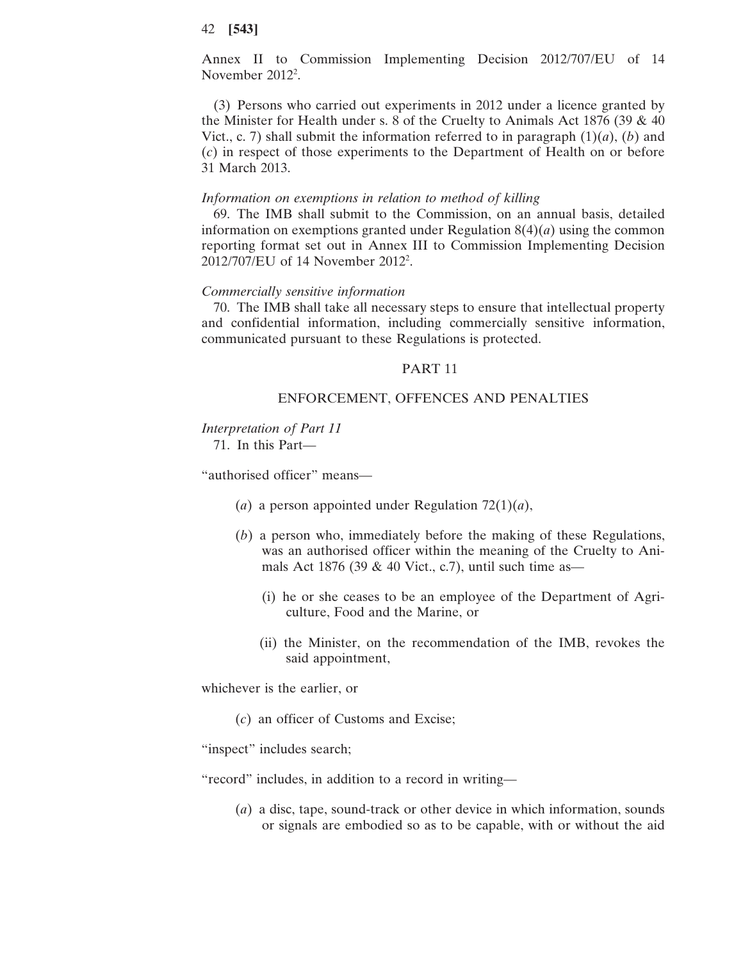Annex II to Commission Implementing Decision 2012/707/EU of 14 November 2012<sup>2</sup>.

(3) Persons who carried out experiments in 2012 under a licence granted by the Minister for Health under s. 8 of the Cruelty to Animals Act 1876 (39 & 40 Vict., c. 7) shall submit the information referred to in paragraph  $(1)(a)$ ,  $(b)$  and (*c*) in respect of those experiments to the Department of Health on or before 31 March 2013.

#### *Information on exemptions in relation to method of killing*

69. The IMB shall submit to the Commission, on an annual basis, detailed information on exemptions granted under Regulation 8(4)(*a*) using the common reporting format set out in Annex III to Commission Implementing Decision 2012/707/EU of 14 November 2012<sup>2</sup>.

#### *Commercially sensitive information*

70. The IMB shall take all necessary steps to ensure that intellectual property and confidential information, including commercially sensitive information, communicated pursuant to these Regulations is protected.

# PART 11

# ENFORCEMENT, OFFENCES AND PENALTIES

#### *Interpretation of Part 11* 71. In this Part—

"authorised officer" means—

- (*a*) a person appointed under Regulation 72(1)(*a*),
- (*b*) a person who, immediately before the making of these Regulations, was an authorised officer within the meaning of the Cruelty to Animals Act 1876 (39  $&$  40 Vict., c.7), until such time as—
	- (i) he or she ceases to be an employee of the Department of Agriculture, Food and the Marine, or
	- (ii) the Minister, on the recommendation of the IMB, revokes the said appointment,

whichever is the earlier, or

(*c*) an officer of Customs and Excise;

"inspect" includes search;

"record" includes, in addition to a record in writing—

(*a*) a disc, tape, sound-track or other device in which information, sounds or signals are embodied so as to be capable, with or without the aid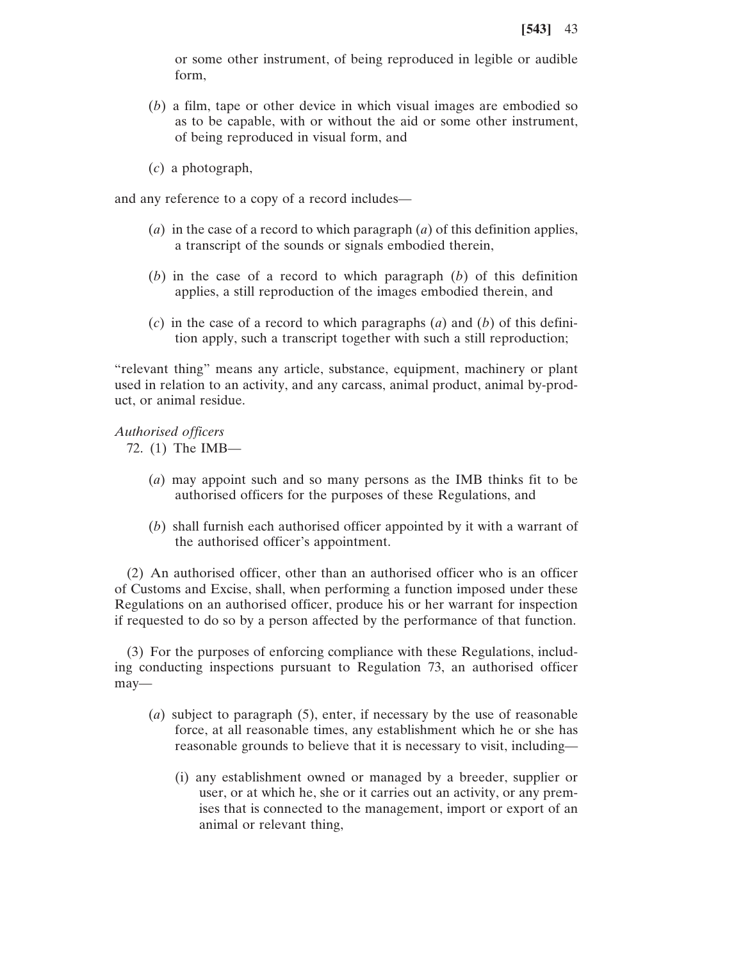or some other instrument, of being reproduced in legible or audible form,

- (*b*) a film, tape or other device in which visual images are embodied so as to be capable, with or without the aid or some other instrument, of being reproduced in visual form, and
- (*c*) a photograph,

and any reference to a copy of a record includes—

- (*a*) in the case of a record to which paragraph (*a*) of this definition applies, a transcript of the sounds or signals embodied therein,
- (*b*) in the case of a record to which paragraph (*b*) of this definition applies, a still reproduction of the images embodied therein, and
- (*c*) in the case of a record to which paragraphs (*a*) and (*b*) of this definition apply, such a transcript together with such a still reproduction;

"relevant thing" means any article, substance, equipment, machinery or plant used in relation to an activity, and any carcass, animal product, animal by-product, or animal residue.

*Authorised officers*

72. (1) The IMB—

- (*a*) may appoint such and so many persons as the IMB thinks fit to be authorised officers for the purposes of these Regulations, and
- (*b*) shall furnish each authorised officer appointed by it with a warrant of the authorised officer's appointment.

(2) An authorised officer, other than an authorised officer who is an officer of Customs and Excise, shall, when performing a function imposed under these Regulations on an authorised officer, produce his or her warrant for inspection if requested to do so by a person affected by the performance of that function.

(3) For the purposes of enforcing compliance with these Regulations, including conducting inspections pursuant to Regulation 73, an authorised officer may—

- (*a*) subject to paragraph (5), enter, if necessary by the use of reasonable force, at all reasonable times, any establishment which he or she has reasonable grounds to believe that it is necessary to visit, including—
	- (i) any establishment owned or managed by a breeder, supplier or user, or at which he, she or it carries out an activity, or any premises that is connected to the management, import or export of an animal or relevant thing,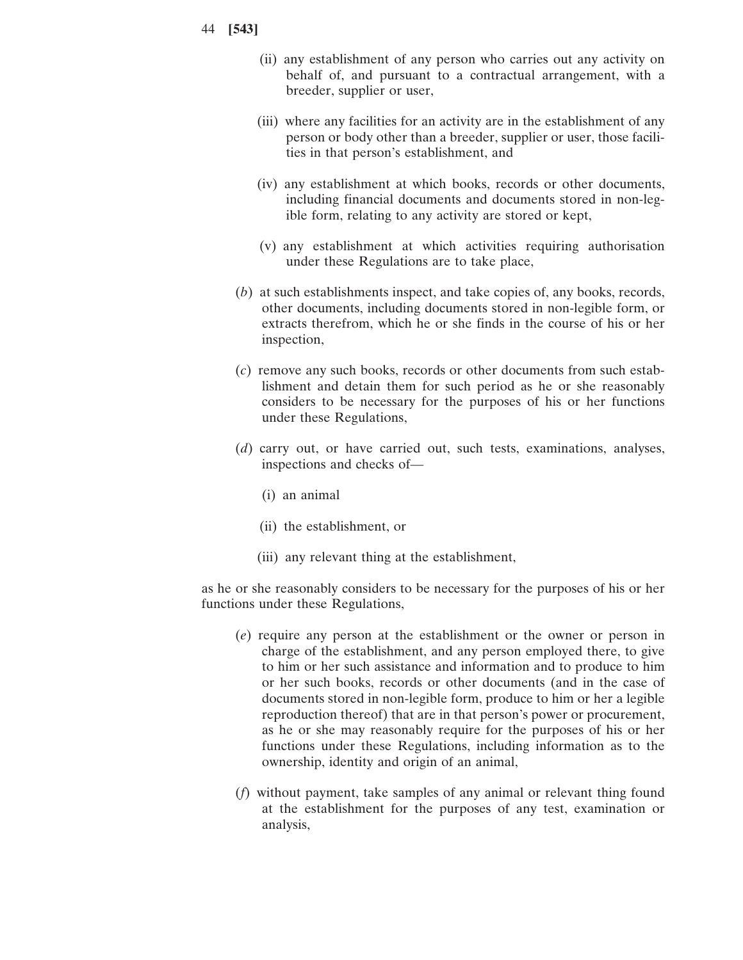- 44 **[543]**
	- (ii) any establishment of any person who carries out any activity on behalf of, and pursuant to a contractual arrangement, with a breeder, supplier or user,
	- (iii) where any facilities for an activity are in the establishment of any person or body other than a breeder, supplier or user, those facilities in that person's establishment, and
	- (iv) any establishment at which books, records or other documents, including financial documents and documents stored in non-legible form, relating to any activity are stored or kept,
	- (v) any establishment at which activities requiring authorisation under these Regulations are to take place,
	- (*b*) at such establishments inspect, and take copies of, any books, records, other documents, including documents stored in non-legible form, or extracts therefrom, which he or she finds in the course of his or her inspection,
	- (*c*) remove any such books, records or other documents from such establishment and detain them for such period as he or she reasonably considers to be necessary for the purposes of his or her functions under these Regulations,
	- (*d*) carry out, or have carried out, such tests, examinations, analyses, inspections and checks of—
		- (i) an animal
		- (ii) the establishment, or
		- (iii) any relevant thing at the establishment,

as he or she reasonably considers to be necessary for the purposes of his or her functions under these Regulations,

- (*e*) require any person at the establishment or the owner or person in charge of the establishment, and any person employed there, to give to him or her such assistance and information and to produce to him or her such books, records or other documents (and in the case of documents stored in non-legible form, produce to him or her a legible reproduction thereof) that are in that person's power or procurement, as he or she may reasonably require for the purposes of his or her functions under these Regulations, including information as to the ownership, identity and origin of an animal,
- (*f*) without payment, take samples of any animal or relevant thing found at the establishment for the purposes of any test, examination or analysis,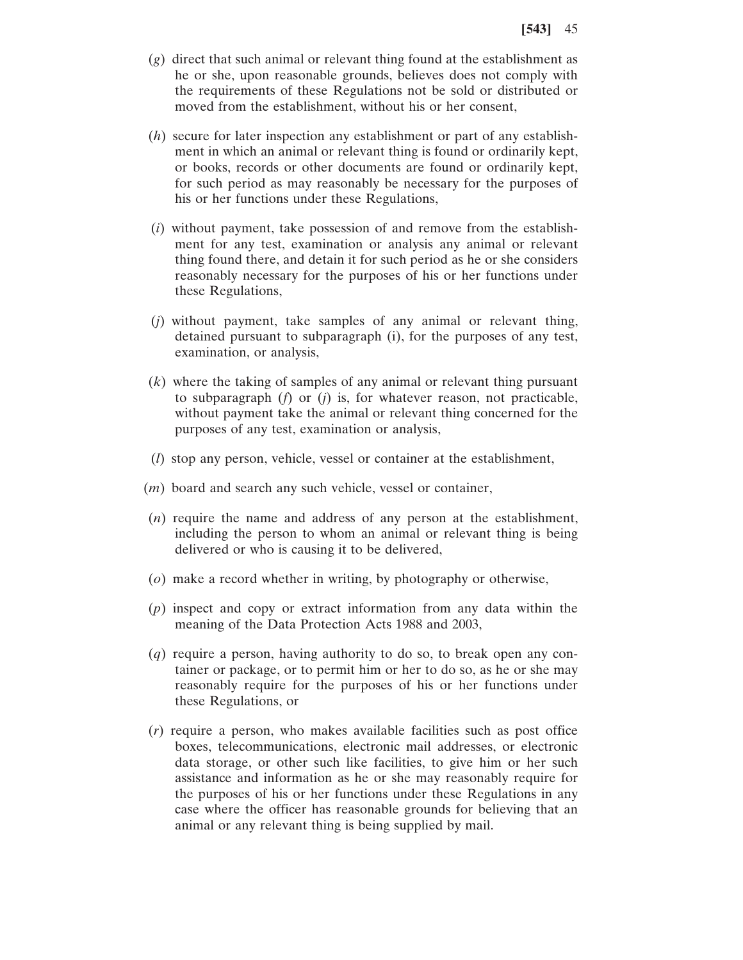- (*g*) direct that such animal or relevant thing found at the establishment as he or she, upon reasonable grounds, believes does not comply with the requirements of these Regulations not be sold or distributed or moved from the establishment, without his or her consent,
- (*h*) secure for later inspection any establishment or part of any establishment in which an animal or relevant thing is found or ordinarily kept, or books, records or other documents are found or ordinarily kept, for such period as may reasonably be necessary for the purposes of his or her functions under these Regulations,
- (*i*) without payment, take possession of and remove from the establishment for any test, examination or analysis any animal or relevant thing found there, and detain it for such period as he or she considers reasonably necessary for the purposes of his or her functions under these Regulations,
- (*j*) without payment, take samples of any animal or relevant thing, detained pursuant to subparagraph (i), for the purposes of any test, examination, or analysis,
- (*k*) where the taking of samples of any animal or relevant thing pursuant to subparagraph (*f*) or (*j*) is, for whatever reason, not practicable, without payment take the animal or relevant thing concerned for the purposes of any test, examination or analysis,
- (*l*) stop any person, vehicle, vessel or container at the establishment,
- (*m*) board and search any such vehicle, vessel or container,
- (*n*) require the name and address of any person at the establishment, including the person to whom an animal or relevant thing is being delivered or who is causing it to be delivered,
- (*o*) make a record whether in writing, by photography or otherwise,
- (*p*) inspect and copy or extract information from any data within the meaning of the Data Protection Acts 1988 and 2003,
- (*q*) require a person, having authority to do so, to break open any container or package, or to permit him or her to do so, as he or she may reasonably require for the purposes of his or her functions under these Regulations, or
- (*r*) require a person, who makes available facilities such as post office boxes, telecommunications, electronic mail addresses, or electronic data storage, or other such like facilities, to give him or her such assistance and information as he or she may reasonably require for the purposes of his or her functions under these Regulations in any case where the officer has reasonable grounds for believing that an animal or any relevant thing is being supplied by mail.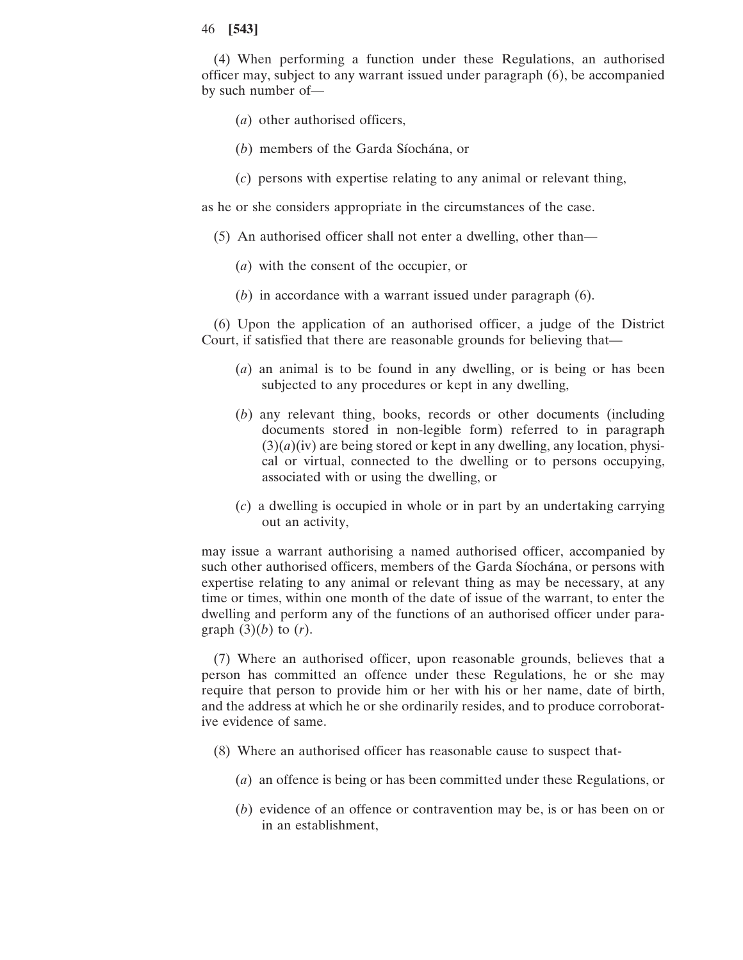(4) When performing a function under these Regulations, an authorised officer may, subject to any warrant issued under paragraph (6), be accompanied by such number of—

- (*a*) other authorised officers,
- (*b*) members of the Garda Síochána, or
- (*c*) persons with expertise relating to any animal or relevant thing,

as he or she considers appropriate in the circumstances of the case.

- (5) An authorised officer shall not enter a dwelling, other than—
	- (*a*) with the consent of the occupier, or
	- (*b*) in accordance with a warrant issued under paragraph (6).

(6) Upon the application of an authorised officer, a judge of the District Court, if satisfied that there are reasonable grounds for believing that—

- (*a*) an animal is to be found in any dwelling, or is being or has been subjected to any procedures or kept in any dwelling,
- (*b*) any relevant thing, books, records or other documents (including documents stored in non-legible form) referred to in paragraph  $(3)(a)(iv)$  are being stored or kept in any dwelling, any location, physical or virtual, connected to the dwelling or to persons occupying, associated with or using the dwelling, or
- (*c*) a dwelling is occupied in whole or in part by an undertaking carrying out an activity,

may issue a warrant authorising a named authorised officer, accompanied by such other authorised officers, members of the Garda Síochána, or persons with expertise relating to any animal or relevant thing as may be necessary, at any time or times, within one month of the date of issue of the warrant, to enter the dwelling and perform any of the functions of an authorised officer under paragraph  $(3)(b)$  to  $(r)$ .

(7) Where an authorised officer, upon reasonable grounds, believes that a person has committed an offence under these Regulations, he or she may require that person to provide him or her with his or her name, date of birth, and the address at which he or she ordinarily resides, and to produce corroborative evidence of same.

- (8) Where an authorised officer has reasonable cause to suspect that-
	- (*a*) an offence is being or has been committed under these Regulations, or
	- (*b*) evidence of an offence or contravention may be, is or has been on or in an establishment,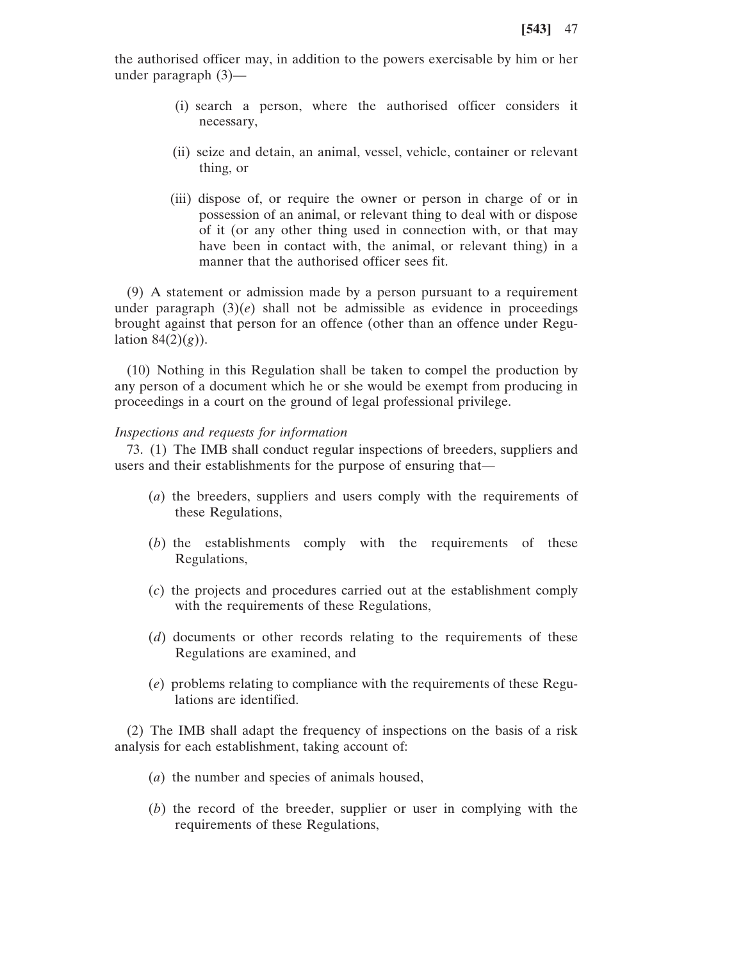the authorised officer may, in addition to the powers exercisable by him or her under paragraph (3)—

- (i) search a person, where the authorised officer considers it necessary,
- (ii) seize and detain, an animal, vessel, vehicle, container or relevant thing, or
- (iii) dispose of, or require the owner or person in charge of or in possession of an animal, or relevant thing to deal with or dispose of it (or any other thing used in connection with, or that may have been in contact with, the animal, or relevant thing) in a manner that the authorised officer sees fit.

(9) A statement or admission made by a person pursuant to a requirement under paragraph  $(3)(e)$  shall not be admissible as evidence in proceedings brought against that person for an offence (other than an offence under Regulation  $84(2)(g)$ ).

(10) Nothing in this Regulation shall be taken to compel the production by any person of a document which he or she would be exempt from producing in proceedings in a court on the ground of legal professional privilege.

## *Inspections and requests for information*

73. (1) The IMB shall conduct regular inspections of breeders, suppliers and users and their establishments for the purpose of ensuring that—

- (*a*) the breeders, suppliers and users comply with the requirements of these Regulations,
- (*b*) the establishments comply with the requirements of these Regulations,
- (*c*) the projects and procedures carried out at the establishment comply with the requirements of these Regulations,
- (*d*) documents or other records relating to the requirements of these Regulations are examined, and
- (*e*) problems relating to compliance with the requirements of these Regulations are identified.

(2) The IMB shall adapt the frequency of inspections on the basis of a risk analysis for each establishment, taking account of:

- (*a*) the number and species of animals housed,
- (*b*) the record of the breeder, supplier or user in complying with the requirements of these Regulations,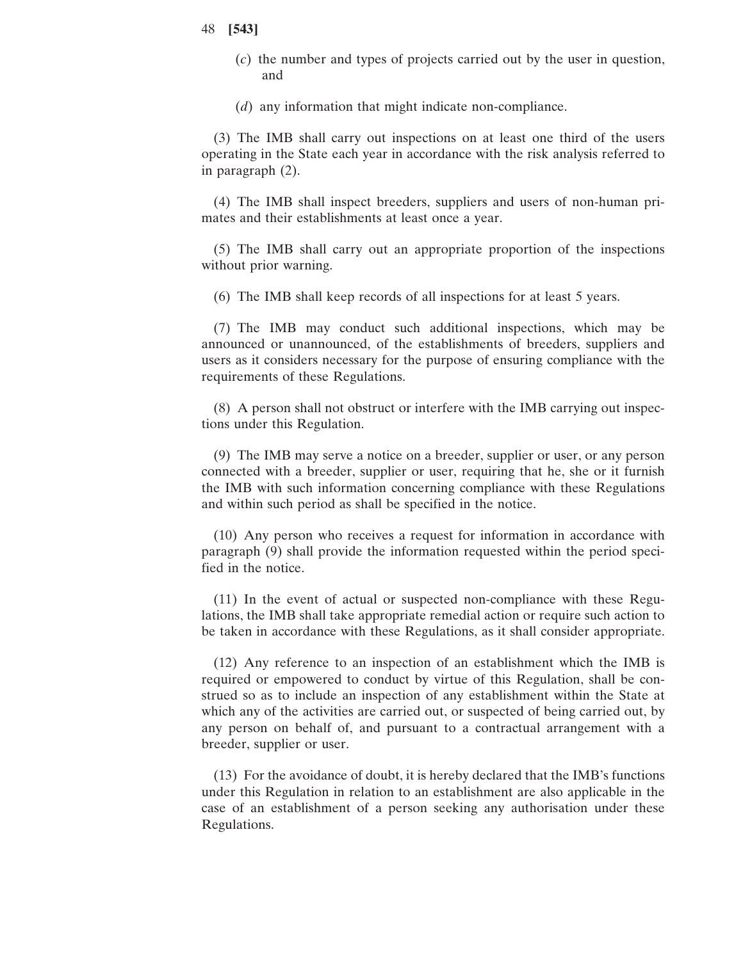(*c*) the number and types of projects carried out by the user in question, and

(*d*) any information that might indicate non-compliance.

(3) The IMB shall carry out inspections on at least one third of the users operating in the State each year in accordance with the risk analysis referred to in paragraph (2).

(4) The IMB shall inspect breeders, suppliers and users of non-human primates and their establishments at least once a year.

(5) The IMB shall carry out an appropriate proportion of the inspections without prior warning.

(6) The IMB shall keep records of all inspections for at least 5 years.

(7) The IMB may conduct such additional inspections, which may be announced or unannounced, of the establishments of breeders, suppliers and users as it considers necessary for the purpose of ensuring compliance with the requirements of these Regulations.

(8) A person shall not obstruct or interfere with the IMB carrying out inspections under this Regulation.

(9) The IMB may serve a notice on a breeder, supplier or user, or any person connected with a breeder, supplier or user, requiring that he, she or it furnish the IMB with such information concerning compliance with these Regulations and within such period as shall be specified in the notice.

(10) Any person who receives a request for information in accordance with paragraph (9) shall provide the information requested within the period specified in the notice.

(11) In the event of actual or suspected non-compliance with these Regulations, the IMB shall take appropriate remedial action or require such action to be taken in accordance with these Regulations, as it shall consider appropriate.

(12) Any reference to an inspection of an establishment which the IMB is required or empowered to conduct by virtue of this Regulation, shall be construed so as to include an inspection of any establishment within the State at which any of the activities are carried out, or suspected of being carried out, by any person on behalf of, and pursuant to a contractual arrangement with a breeder, supplier or user.

(13) For the avoidance of doubt, it is hereby declared that the IMB's functions under this Regulation in relation to an establishment are also applicable in the case of an establishment of a person seeking any authorisation under these Regulations.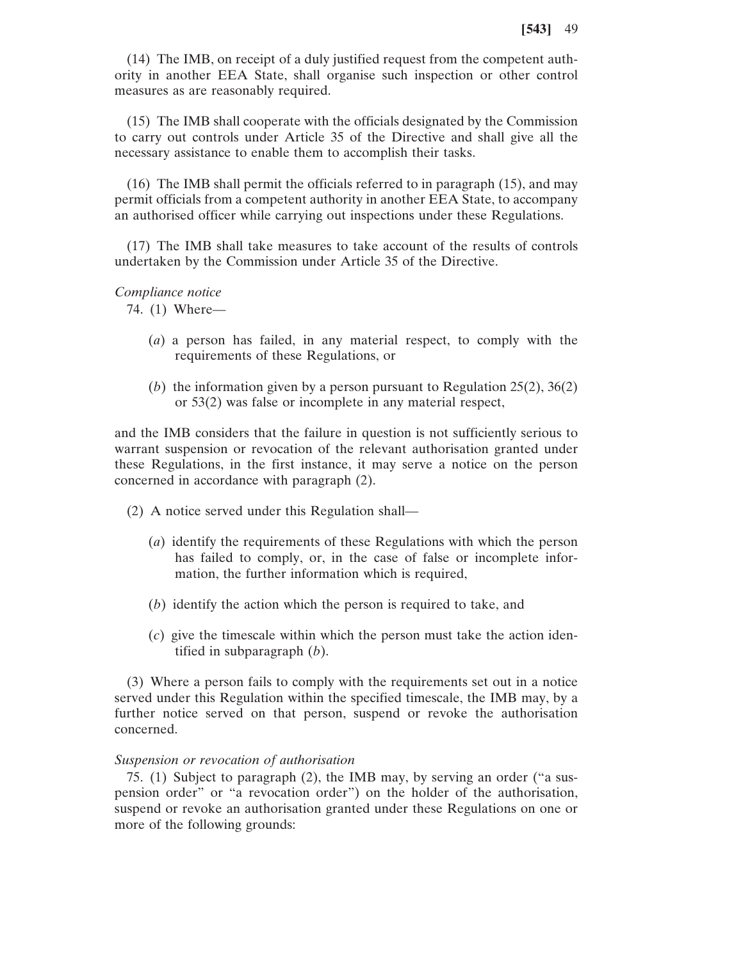(14) The IMB, on receipt of a duly justified request from the competent authority in another EEA State, shall organise such inspection or other control measures as are reasonably required.

(15) The IMB shall cooperate with the officials designated by the Commission to carry out controls under Article 35 of the Directive and shall give all the necessary assistance to enable them to accomplish their tasks.

(16) The IMB shall permit the officials referred to in paragraph (15), and may permit officials from a competent authority in another EEA State, to accompany an authorised officer while carrying out inspections under these Regulations.

(17) The IMB shall take measures to take account of the results of controls undertaken by the Commission under Article 35 of the Directive.

## *Compliance notice*

74. (1) Where—

- (*a*) a person has failed, in any material respect, to comply with the requirements of these Regulations, or
- (*b*) the information given by a person pursuant to Regulation 25(2), 36(2) or 53(2) was false or incomplete in any material respect,

and the IMB considers that the failure in question is not sufficiently serious to warrant suspension or revocation of the relevant authorisation granted under these Regulations, in the first instance, it may serve a notice on the person concerned in accordance with paragraph (2).

- (2) A notice served under this Regulation shall—
	- (*a*) identify the requirements of these Regulations with which the person has failed to comply, or, in the case of false or incomplete information, the further information which is required,
	- (*b*) identify the action which the person is required to take, and
	- (*c*) give the timescale within which the person must take the action identified in subparagraph (*b*).

(3) Where a person fails to comply with the requirements set out in a notice served under this Regulation within the specified timescale, the IMB may, by a further notice served on that person, suspend or revoke the authorisation concerned.

# *Suspension or revocation of authorisation*

75. (1) Subject to paragraph (2), the IMB may, by serving an order ("a suspension order" or "a revocation order") on the holder of the authorisation, suspend or revoke an authorisation granted under these Regulations on one or more of the following grounds: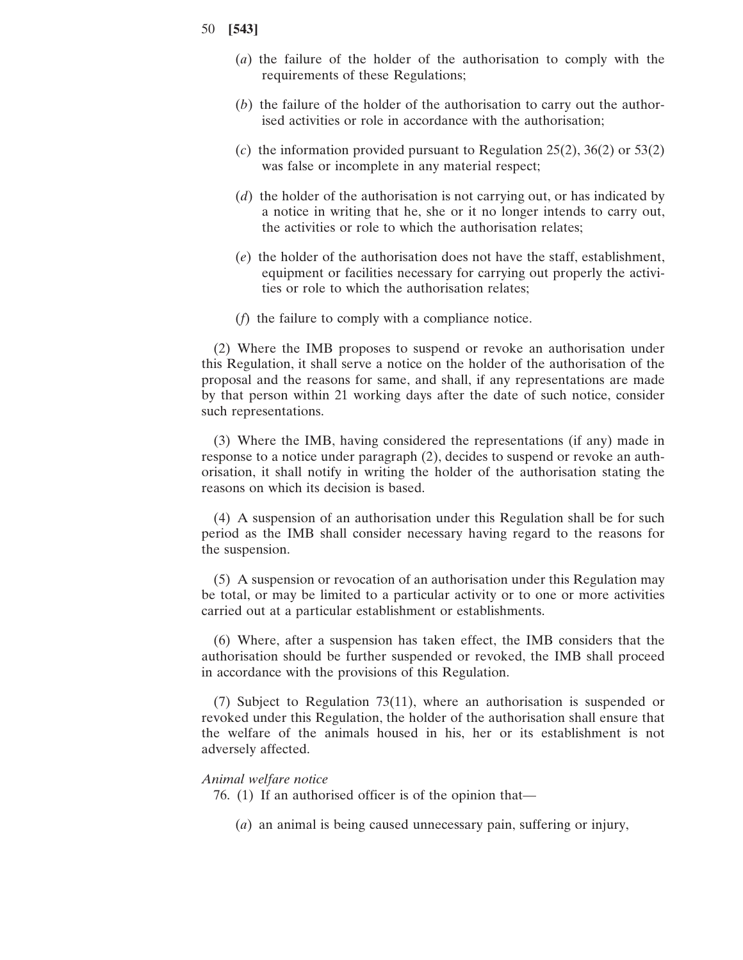- (*a*) the failure of the holder of the authorisation to comply with the requirements of these Regulations;
- (*b*) the failure of the holder of the authorisation to carry out the authorised activities or role in accordance with the authorisation;
- (*c*) the information provided pursuant to Regulation 25(2), 36(2) or 53(2) was false or incomplete in any material respect;
- (*d*) the holder of the authorisation is not carrying out, or has indicated by a notice in writing that he, she or it no longer intends to carry out, the activities or role to which the authorisation relates;
- (*e*) the holder of the authorisation does not have the staff, establishment, equipment or facilities necessary for carrying out properly the activities or role to which the authorisation relates;
- (*f*) the failure to comply with a compliance notice.

(2) Where the IMB proposes to suspend or revoke an authorisation under this Regulation, it shall serve a notice on the holder of the authorisation of the proposal and the reasons for same, and shall, if any representations are made by that person within 21 working days after the date of such notice, consider such representations.

(3) Where the IMB, having considered the representations (if any) made in response to a notice under paragraph (2), decides to suspend or revoke an authorisation, it shall notify in writing the holder of the authorisation stating the reasons on which its decision is based.

(4) A suspension of an authorisation under this Regulation shall be for such period as the IMB shall consider necessary having regard to the reasons for the suspension.

(5) A suspension or revocation of an authorisation under this Regulation may be total, or may be limited to a particular activity or to one or more activities carried out at a particular establishment or establishments.

(6) Where, after a suspension has taken effect, the IMB considers that the authorisation should be further suspended or revoked, the IMB shall proceed in accordance with the provisions of this Regulation.

(7) Subject to Regulation 73(11), where an authorisation is suspended or revoked under this Regulation, the holder of the authorisation shall ensure that the welfare of the animals housed in his, her or its establishment is not adversely affected.

# *Animal welfare notice*

- 76. (1) If an authorised officer is of the opinion that—
	- (*a*) an animal is being caused unnecessary pain, suffering or injury,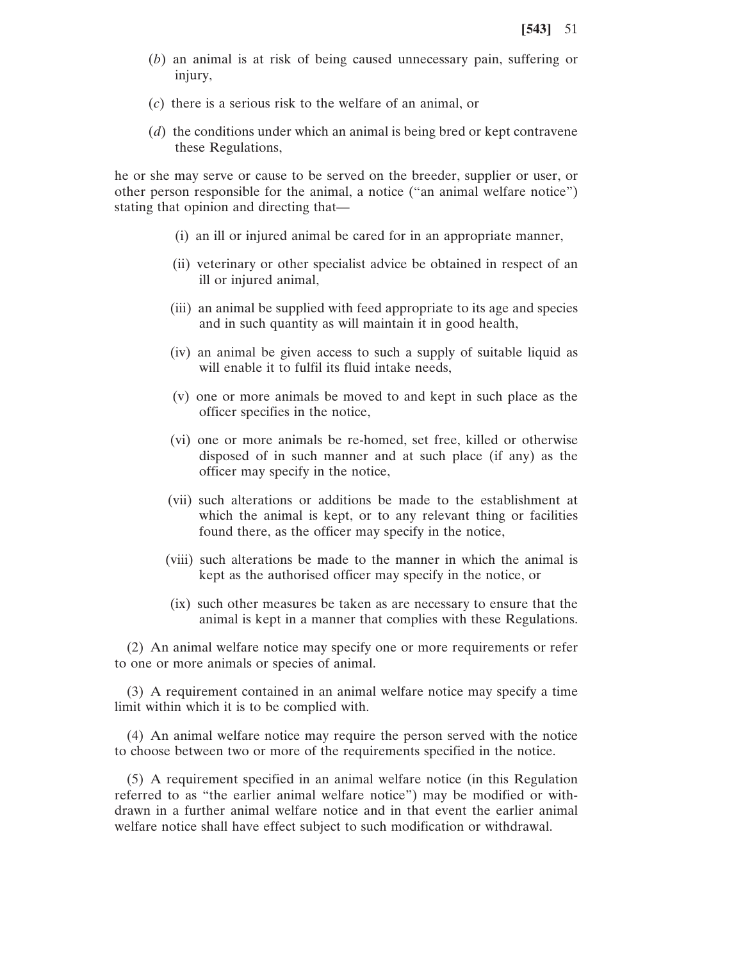- (*b*) an animal is at risk of being caused unnecessary pain, suffering or injury,
- (*c*) there is a serious risk to the welfare of an animal, or
- (*d*) the conditions under which an animal is being bred or kept contravene these Regulations,

he or she may serve or cause to be served on the breeder, supplier or user, or other person responsible for the animal, a notice ("an animal welfare notice") stating that opinion and directing that—

- (i) an ill or injured animal be cared for in an appropriate manner,
- (ii) veterinary or other specialist advice be obtained in respect of an ill or injured animal,
- (iii) an animal be supplied with feed appropriate to its age and species and in such quantity as will maintain it in good health,
- (iv) an animal be given access to such a supply of suitable liquid as will enable it to fulfil its fluid intake needs,
- (v) one or more animals be moved to and kept in such place as the officer specifies in the notice,
- (vi) one or more animals be re-homed, set free, killed or otherwise disposed of in such manner and at such place (if any) as the officer may specify in the notice,
- (vii) such alterations or additions be made to the establishment at which the animal is kept, or to any relevant thing or facilities found there, as the officer may specify in the notice,
- (viii) such alterations be made to the manner in which the animal is kept as the authorised officer may specify in the notice, or
- (ix) such other measures be taken as are necessary to ensure that the animal is kept in a manner that complies with these Regulations.

(2) An animal welfare notice may specify one or more requirements or refer to one or more animals or species of animal.

(3) A requirement contained in an animal welfare notice may specify a time limit within which it is to be complied with.

(4) An animal welfare notice may require the person served with the notice to choose between two or more of the requirements specified in the notice.

(5) A requirement specified in an animal welfare notice (in this Regulation referred to as "the earlier animal welfare notice") may be modified or withdrawn in a further animal welfare notice and in that event the earlier animal welfare notice shall have effect subject to such modification or withdrawal.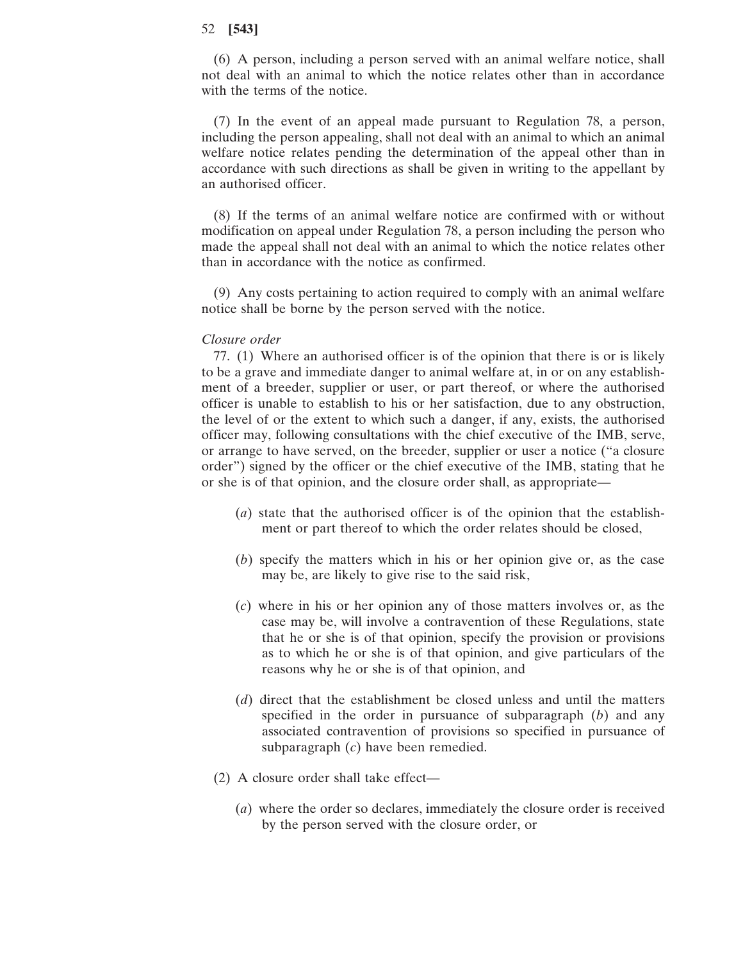(6) A person, including a person served with an animal welfare notice, shall not deal with an animal to which the notice relates other than in accordance with the terms of the notice.

(7) In the event of an appeal made pursuant to Regulation 78, a person, including the person appealing, shall not deal with an animal to which an animal welfare notice relates pending the determination of the appeal other than in accordance with such directions as shall be given in writing to the appellant by an authorised officer.

(8) If the terms of an animal welfare notice are confirmed with or without modification on appeal under Regulation 78, a person including the person who made the appeal shall not deal with an animal to which the notice relates other than in accordance with the notice as confirmed.

(9) Any costs pertaining to action required to comply with an animal welfare notice shall be borne by the person served with the notice.

#### *Closure order*

77. (1) Where an authorised officer is of the opinion that there is or is likely to be a grave and immediate danger to animal welfare at, in or on any establishment of a breeder, supplier or user, or part thereof, or where the authorised officer is unable to establish to his or her satisfaction, due to any obstruction, the level of or the extent to which such a danger, if any, exists, the authorised officer may, following consultations with the chief executive of the IMB, serve, or arrange to have served, on the breeder, supplier or user a notice ("a closure order") signed by the officer or the chief executive of the IMB, stating that he or she is of that opinion, and the closure order shall, as appropriate—

- (*a*) state that the authorised officer is of the opinion that the establishment or part thereof to which the order relates should be closed,
- (*b*) specify the matters which in his or her opinion give or, as the case may be, are likely to give rise to the said risk,
- (*c*) where in his or her opinion any of those matters involves or, as the case may be, will involve a contravention of these Regulations, state that he or she is of that opinion, specify the provision or provisions as to which he or she is of that opinion, and give particulars of the reasons why he or she is of that opinion, and
- (*d*) direct that the establishment be closed unless and until the matters specified in the order in pursuance of subparagraph (*b*) and any associated contravention of provisions so specified in pursuance of subparagraph (*c*) have been remedied.
- (2) A closure order shall take effect—
	- (*a*) where the order so declares, immediately the closure order is received by the person served with the closure order, or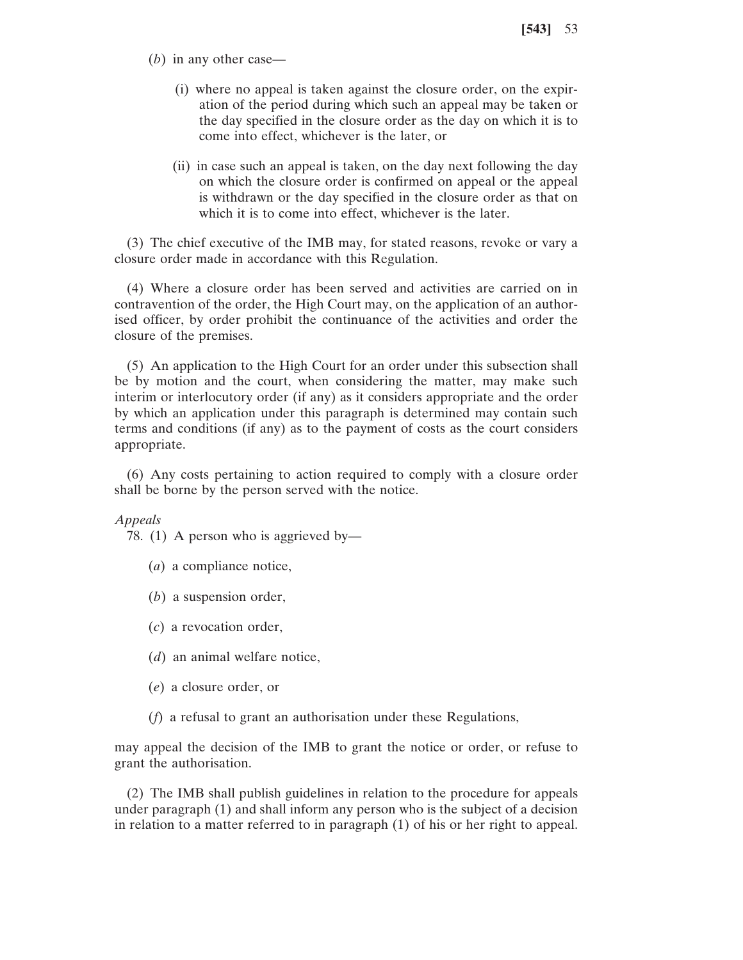- (*b*) in any other case—
	- (i) where no appeal is taken against the closure order, on the expiration of the period during which such an appeal may be taken or the day specified in the closure order as the day on which it is to come into effect, whichever is the later, or
	- (ii) in case such an appeal is taken, on the day next following the day on which the closure order is confirmed on appeal or the appeal is withdrawn or the day specified in the closure order as that on which it is to come into effect, whichever is the later.

(3) The chief executive of the IMB may, for stated reasons, revoke or vary a closure order made in accordance with this Regulation.

(4) Where a closure order has been served and activities are carried on in contravention of the order, the High Court may, on the application of an authorised officer, by order prohibit the continuance of the activities and order the closure of the premises.

(5) An application to the High Court for an order under this subsection shall be by motion and the court, when considering the matter, may make such interim or interlocutory order (if any) as it considers appropriate and the order by which an application under this paragraph is determined may contain such terms and conditions (if any) as to the payment of costs as the court considers appropriate.

(6) Any costs pertaining to action required to comply with a closure order shall be borne by the person served with the notice.

*Appeals*

78. (1) A person who is aggrieved by—

- (*a*) a compliance notice,
- (*b*) a suspension order,
- (*c*) a revocation order,
- (*d*) an animal welfare notice,
- (*e*) a closure order, or
- (*f*) a refusal to grant an authorisation under these Regulations,

may appeal the decision of the IMB to grant the notice or order, or refuse to grant the authorisation.

(2) The IMB shall publish guidelines in relation to the procedure for appeals under paragraph (1) and shall inform any person who is the subject of a decision in relation to a matter referred to in paragraph (1) of his or her right to appeal.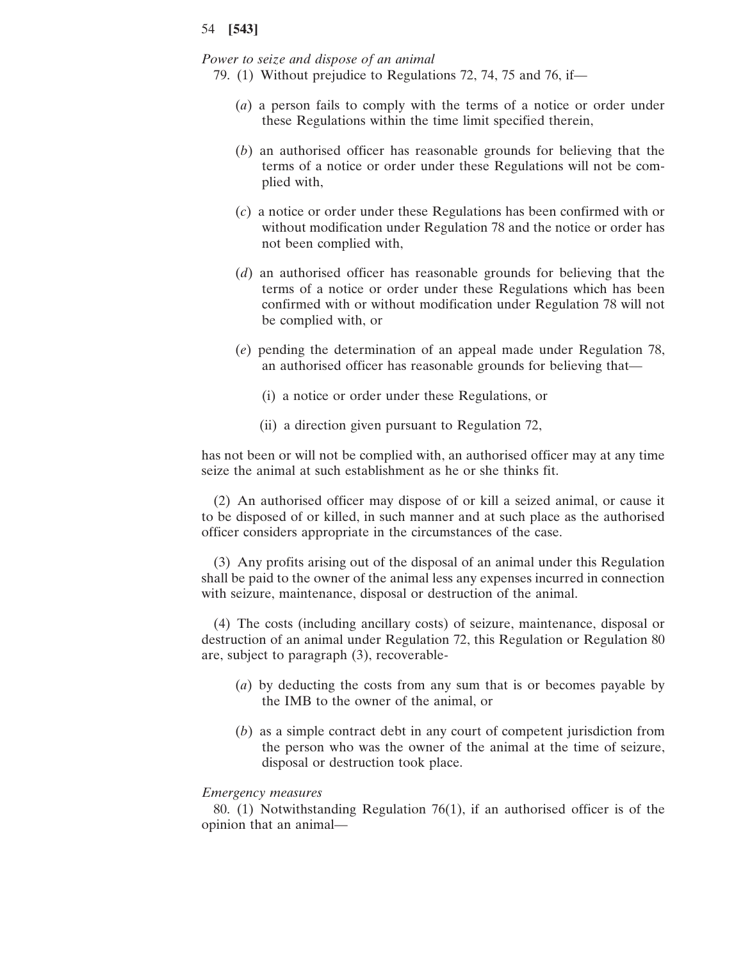*Power to seize and dispose of an animal*

- 79. (1) Without prejudice to Regulations 72, 74, 75 and 76, if—
	- (*a*) a person fails to comply with the terms of a notice or order under these Regulations within the time limit specified therein,
	- (*b*) an authorised officer has reasonable grounds for believing that the terms of a notice or order under these Regulations will not be complied with,
	- (*c*) a notice or order under these Regulations has been confirmed with or without modification under Regulation 78 and the notice or order has not been complied with,
	- (*d*) an authorised officer has reasonable grounds for believing that the terms of a notice or order under these Regulations which has been confirmed with or without modification under Regulation 78 will not be complied with, or
	- (*e*) pending the determination of an appeal made under Regulation 78, an authorised officer has reasonable grounds for believing that—
		- (i) a notice or order under these Regulations, or
		- (ii) a direction given pursuant to Regulation 72,

has not been or will not be complied with, an authorised officer may at any time seize the animal at such establishment as he or she thinks fit.

(2) An authorised officer may dispose of or kill a seized animal, or cause it to be disposed of or killed, in such manner and at such place as the authorised officer considers appropriate in the circumstances of the case.

(3) Any profits arising out of the disposal of an animal under this Regulation shall be paid to the owner of the animal less any expenses incurred in connection with seizure, maintenance, disposal or destruction of the animal.

(4) The costs (including ancillary costs) of seizure, maintenance, disposal or destruction of an animal under Regulation 72, this Regulation or Regulation 80 are, subject to paragraph (3), recoverable-

- (*a*) by deducting the costs from any sum that is or becomes payable by the IMB to the owner of the animal, or
- (*b*) as a simple contract debt in any court of competent jurisdiction from the person who was the owner of the animal at the time of seizure, disposal or destruction took place.

#### *Emergency measures*

80. (1) Notwithstanding Regulation 76(1), if an authorised officer is of the opinion that an animal—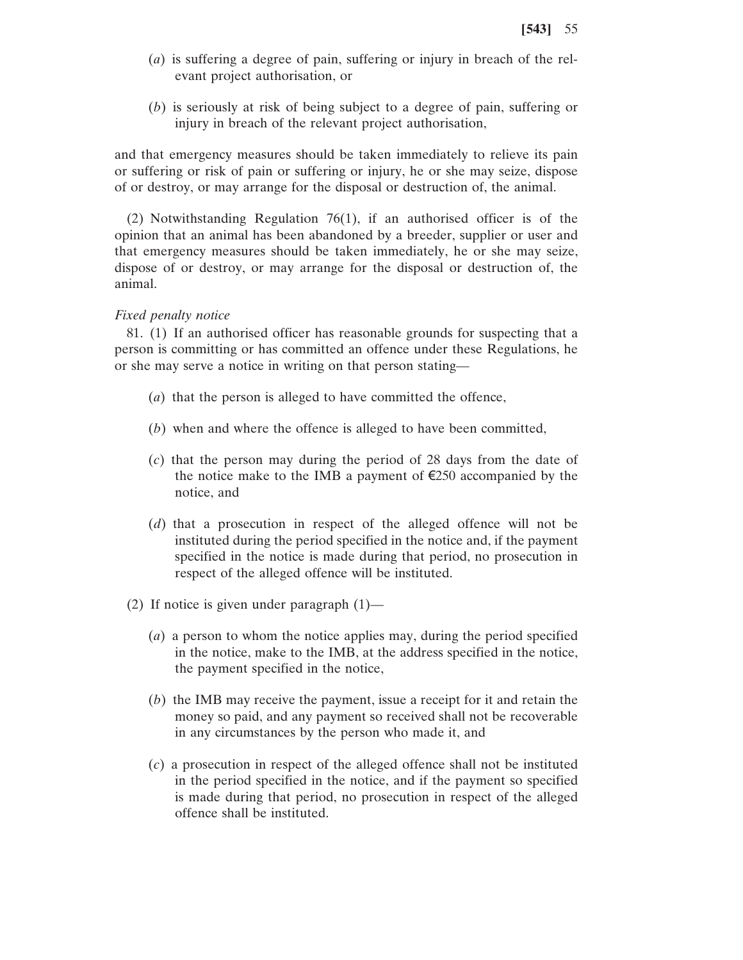- (*a*) is suffering a degree of pain, suffering or injury in breach of the relevant project authorisation, or
- (*b*) is seriously at risk of being subject to a degree of pain, suffering or injury in breach of the relevant project authorisation,

and that emergency measures should be taken immediately to relieve its pain or suffering or risk of pain or suffering or injury, he or she may seize, dispose of or destroy, or may arrange for the disposal or destruction of, the animal.

(2) Notwithstanding Regulation 76(1), if an authorised officer is of the opinion that an animal has been abandoned by a breeder, supplier or user and that emergency measures should be taken immediately, he or she may seize, dispose of or destroy, or may arrange for the disposal or destruction of, the animal.

# *Fixed penalty notice*

81. (1) If an authorised officer has reasonable grounds for suspecting that a person is committing or has committed an offence under these Regulations, he or she may serve a notice in writing on that person stating—

- (*a*) that the person is alleged to have committed the offence,
- (*b*) when and where the offence is alleged to have been committed,
- (*c*) that the person may during the period of 28 days from the date of the notice make to the IMB a payment of  $\epsilon$ 250 accompanied by the notice, and
- (*d*) that a prosecution in respect of the alleged offence will not be instituted during the period specified in the notice and, if the payment specified in the notice is made during that period, no prosecution in respect of the alleged offence will be instituted.
- (2) If notice is given under paragraph  $(1)$ 
	- (*a*) a person to whom the notice applies may, during the period specified in the notice, make to the IMB, at the address specified in the notice, the payment specified in the notice,
	- (*b*) the IMB may receive the payment, issue a receipt for it and retain the money so paid, and any payment so received shall not be recoverable in any circumstances by the person who made it, and
	- (*c*) a prosecution in respect of the alleged offence shall not be instituted in the period specified in the notice, and if the payment so specified is made during that period, no prosecution in respect of the alleged offence shall be instituted.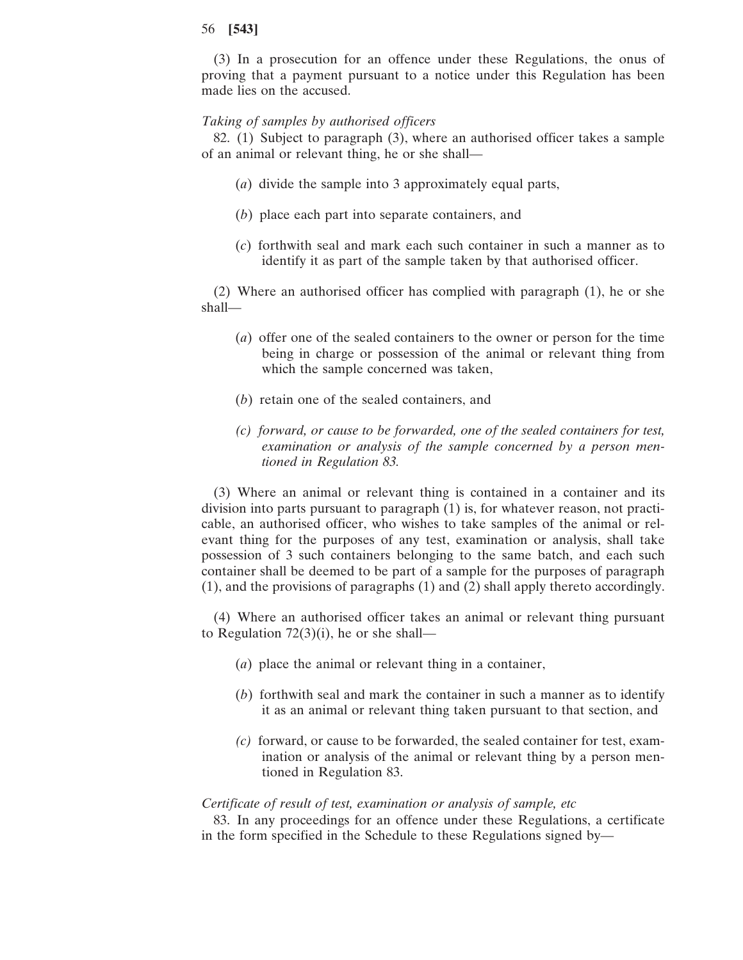(3) In a prosecution for an offence under these Regulations, the onus of proving that a payment pursuant to a notice under this Regulation has been made lies on the accused.

## *Taking of samples by authorised officers*

82. (1) Subject to paragraph (3), where an authorised officer takes a sample of an animal or relevant thing, he or she shall—

- (*a*) divide the sample into 3 approximately equal parts,
- (*b*) place each part into separate containers, and
- (*c*) forthwith seal and mark each such container in such a manner as to identify it as part of the sample taken by that authorised officer.

(2) Where an authorised officer has complied with paragraph (1), he or she shall—

- (*a*) offer one of the sealed containers to the owner or person for the time being in charge or possession of the animal or relevant thing from which the sample concerned was taken,
- (*b*) retain one of the sealed containers, and
- *(c) forward, or cause to be forwarded, one of the sealed containers for test, examination or analysis of the sample concerned by a person mentioned in Regulation 83.*

(3) Where an animal or relevant thing is contained in a container and its division into parts pursuant to paragraph (1) is, for whatever reason, not practicable, an authorised officer, who wishes to take samples of the animal or relevant thing for the purposes of any test, examination or analysis, shall take possession of 3 such containers belonging to the same batch, and each such container shall be deemed to be part of a sample for the purposes of paragraph (1), and the provisions of paragraphs (1) and (2) shall apply thereto accordingly.

(4) Where an authorised officer takes an animal or relevant thing pursuant to Regulation  $72(3)(i)$ , he or she shall—

- (*a*) place the animal or relevant thing in a container,
- (*b*) forthwith seal and mark the container in such a manner as to identify it as an animal or relevant thing taken pursuant to that section, and
- *(c)* forward, or cause to be forwarded, the sealed container for test, examination or analysis of the animal or relevant thing by a person mentioned in Regulation 83.

#### *Certificate of result of test, examination or analysis of sample, etc*

83. In any proceedings for an offence under these Regulations, a certificate in the form specified in the Schedule to these Regulations signed by—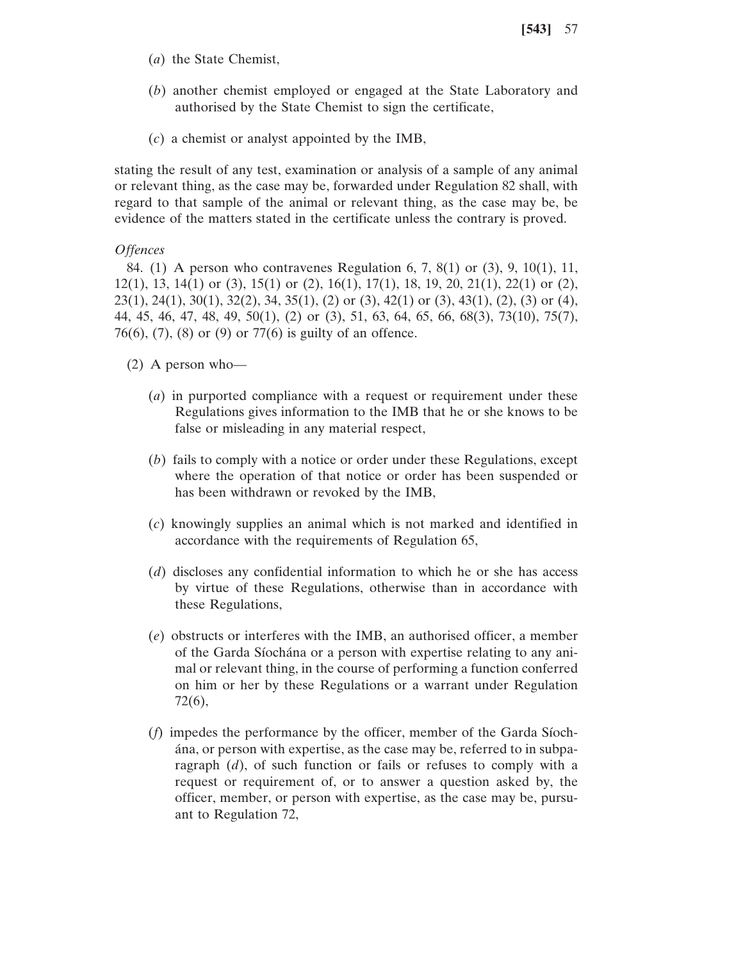- (*a*) the State Chemist,
- (*b*) another chemist employed or engaged at the State Laboratory and authorised by the State Chemist to sign the certificate,
- (*c*) a chemist or analyst appointed by the IMB,

stating the result of any test, examination or analysis of a sample of any animal or relevant thing, as the case may be, forwarded under Regulation 82 shall, with regard to that sample of the animal or relevant thing, as the case may be, be evidence of the matters stated in the certificate unless the contrary is proved.

# *Offences*

84. (1) A person who contravenes Regulation 6, 7, 8(1) or (3), 9, 10(1), 11, 12(1), 13, 14(1) or (3), 15(1) or (2), 16(1), 17(1), 18, 19, 20, 21(1), 22(1) or (2), 23(1), 24(1), 30(1), 32(2), 34, 35(1), (2) or (3), 42(1) or (3), 43(1), (2), (3) or (4), 44, 45, 46, 47, 48, 49, 50(1), (2) or (3), 51, 63, 64, 65, 66, 68(3), 73(10), 75(7), 76(6), (7), (8) or (9) or 77(6) is guilty of an offence.

## (2) A person who—

- (*a*) in purported compliance with a request or requirement under these Regulations gives information to the IMB that he or she knows to be false or misleading in any material respect,
- (*b*) fails to comply with a notice or order under these Regulations, except where the operation of that notice or order has been suspended or has been withdrawn or revoked by the IMB,
- (*c*) knowingly supplies an animal which is not marked and identified in accordance with the requirements of Regulation 65,
- (*d*) discloses any confidential information to which he or she has access by virtue of these Regulations, otherwise than in accordance with these Regulations,
- (*e*) obstructs or interferes with the IMB, an authorised officer, a member of the Garda Síochána or a person with expertise relating to any animal or relevant thing, in the course of performing a function conferred on him or her by these Regulations or a warrant under Regulation 72(6),
- (*f*) impedes the performance by the officer, member of the Garda Síochána, or person with expertise, as the case may be, referred to in subparagraph (*d*), of such function or fails or refuses to comply with a request or requirement of, or to answer a question asked by, the officer, member, or person with expertise, as the case may be, pursuant to Regulation 72,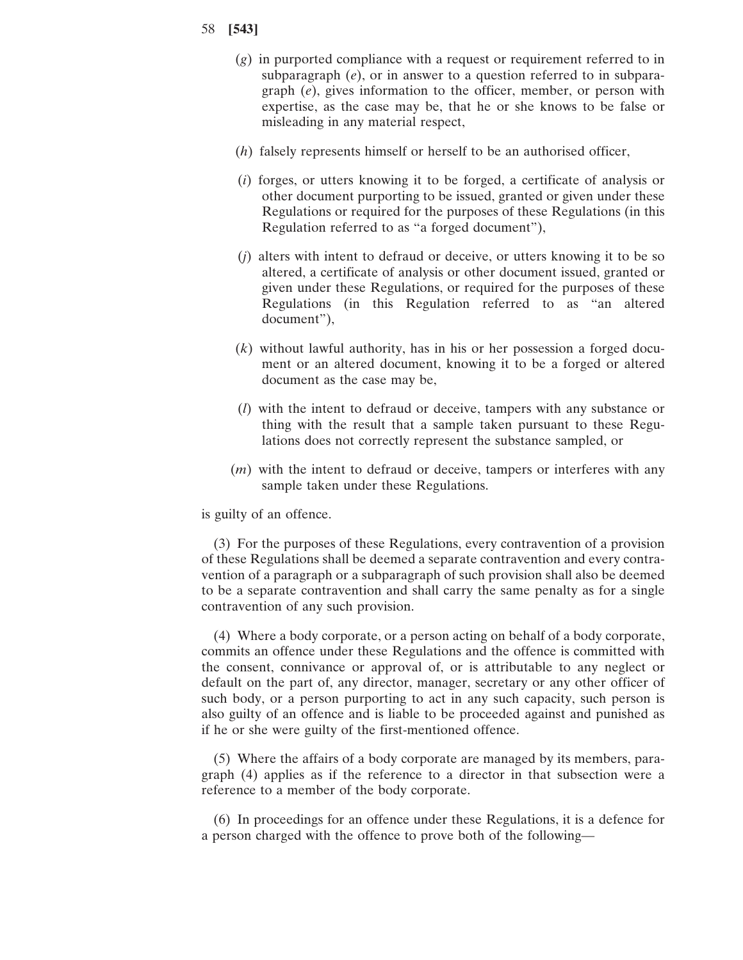- (*g*) in purported compliance with a request or requirement referred to in subparagraph (*e*), or in answer to a question referred to in subparagraph (*e*), gives information to the officer, member, or person with expertise, as the case may be, that he or she knows to be false or misleading in any material respect,
- (*h*) falsely represents himself or herself to be an authorised officer,
- (*i*) forges, or utters knowing it to be forged, a certificate of analysis or other document purporting to be issued, granted or given under these Regulations or required for the purposes of these Regulations (in this Regulation referred to as "a forged document"),
- (*j*) alters with intent to defraud or deceive, or utters knowing it to be so altered, a certificate of analysis or other document issued, granted or given under these Regulations, or required for the purposes of these Regulations (in this Regulation referred to as "an altered document"),
- (*k*) without lawful authority, has in his or her possession a forged document or an altered document, knowing it to be a forged or altered document as the case may be,
- (*l*) with the intent to defraud or deceive, tampers with any substance or thing with the result that a sample taken pursuant to these Regulations does not correctly represent the substance sampled, or
- (*m*) with the intent to defraud or deceive, tampers or interferes with any sample taken under these Regulations.

is guilty of an offence.

(3) For the purposes of these Regulations, every contravention of a provision of these Regulations shall be deemed a separate contravention and every contravention of a paragraph or a subparagraph of such provision shall also be deemed to be a separate contravention and shall carry the same penalty as for a single contravention of any such provision.

(4) Where a body corporate, or a person acting on behalf of a body corporate, commits an offence under these Regulations and the offence is committed with the consent, connivance or approval of, or is attributable to any neglect or default on the part of, any director, manager, secretary or any other officer of such body, or a person purporting to act in any such capacity, such person is also guilty of an offence and is liable to be proceeded against and punished as if he or she were guilty of the first-mentioned offence.

(5) Where the affairs of a body corporate are managed by its members, paragraph (4) applies as if the reference to a director in that subsection were a reference to a member of the body corporate.

(6) In proceedings for an offence under these Regulations, it is a defence for a person charged with the offence to prove both of the following—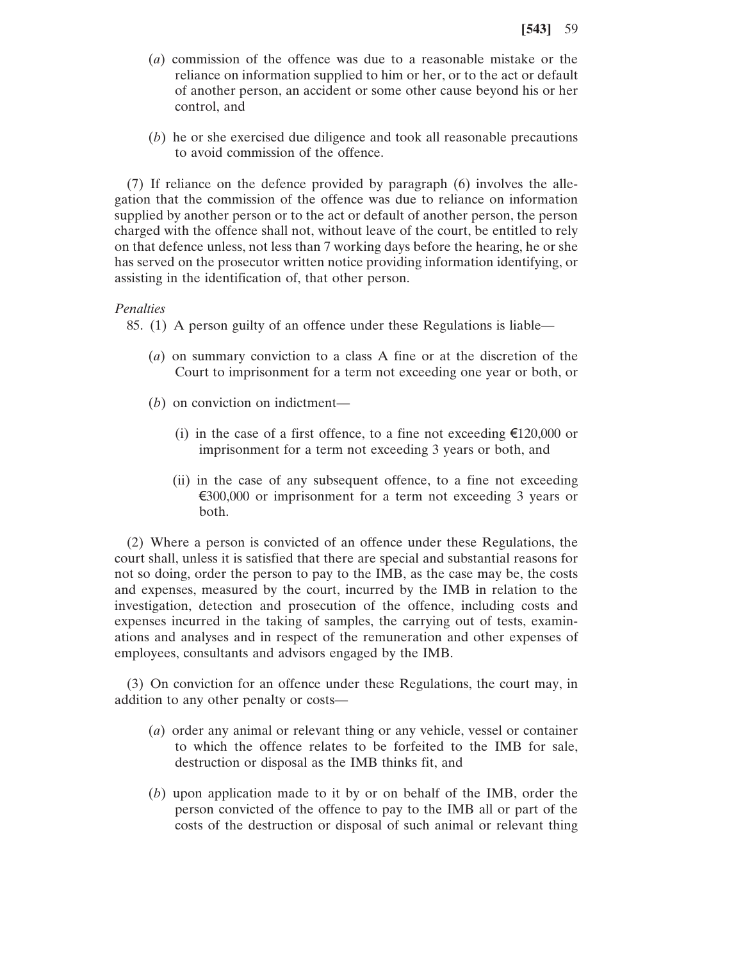- (*a*) commission of the offence was due to a reasonable mistake or the reliance on information supplied to him or her, or to the act or default of another person, an accident or some other cause beyond his or her control, and
- (*b*) he or she exercised due diligence and took all reasonable precautions to avoid commission of the offence.

(7) If reliance on the defence provided by paragraph (6) involves the allegation that the commission of the offence was due to reliance on information supplied by another person or to the act or default of another person, the person charged with the offence shall not, without leave of the court, be entitled to rely on that defence unless, not less than 7 working days before the hearing, he or she has served on the prosecutor written notice providing information identifying, or assisting in the identification of, that other person.

## *Penalties*

- 85. (1) A person guilty of an offence under these Regulations is liable—
	- (*a*) on summary conviction to a class A fine or at the discretion of the Court to imprisonment for a term not exceeding one year or both, or
	- (*b*) on conviction on indictment—
		- (i) in the case of a first offence, to a fine not exceeding  $\epsilon$ 120,000 or imprisonment for a term not exceeding 3 years or both, and
		- (ii) in the case of any subsequent offence, to a fine not exceeding €300,000 or imprisonment for a term not exceeding 3 years or both.

(2) Where a person is convicted of an offence under these Regulations, the court shall, unless it is satisfied that there are special and substantial reasons for not so doing, order the person to pay to the IMB, as the case may be, the costs and expenses, measured by the court, incurred by the IMB in relation to the investigation, detection and prosecution of the offence, including costs and expenses incurred in the taking of samples, the carrying out of tests, examinations and analyses and in respect of the remuneration and other expenses of employees, consultants and advisors engaged by the IMB.

(3) On conviction for an offence under these Regulations, the court may, in addition to any other penalty or costs—

- (*a*) order any animal or relevant thing or any vehicle, vessel or container to which the offence relates to be forfeited to the IMB for sale, destruction or disposal as the IMB thinks fit, and
- (*b*) upon application made to it by or on behalf of the IMB, order the person convicted of the offence to pay to the IMB all or part of the costs of the destruction or disposal of such animal or relevant thing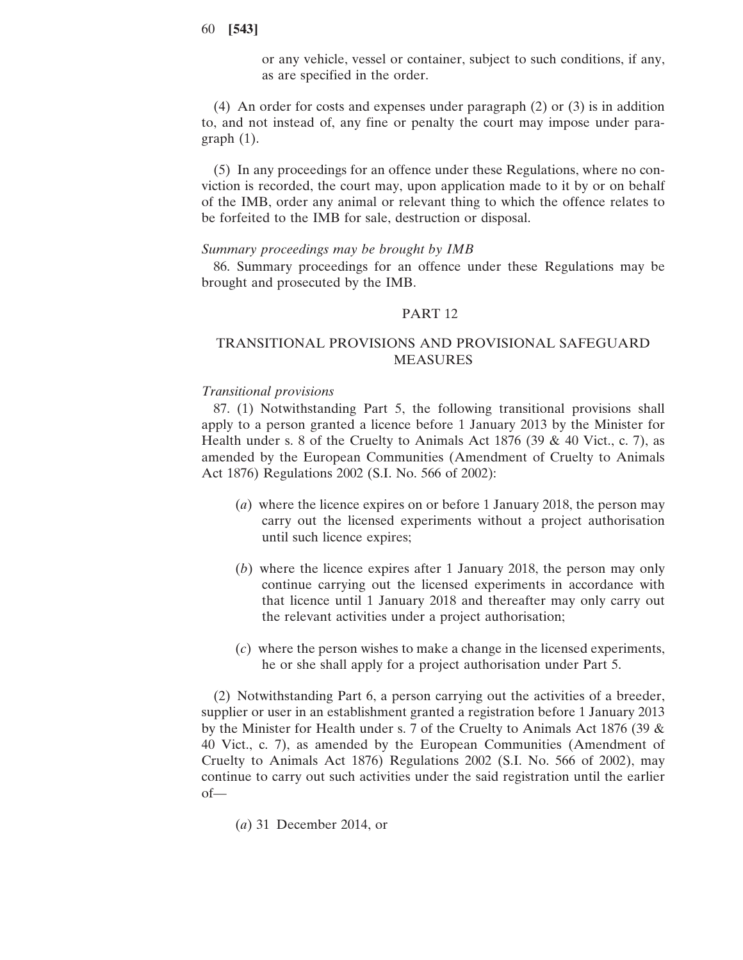or any vehicle, vessel or container, subject to such conditions, if any, as are specified in the order.

(4) An order for costs and expenses under paragraph (2) or (3) is in addition to, and not instead of, any fine or penalty the court may impose under paragraph (1).

(5) In any proceedings for an offence under these Regulations, where no conviction is recorded, the court may, upon application made to it by or on behalf of the IMB, order any animal or relevant thing to which the offence relates to be forfeited to the IMB for sale, destruction or disposal.

## *Summary proceedings may be brought by IMB*

86. Summary proceedings for an offence under these Regulations may be brought and prosecuted by the IMB.

# PART 12

# TRANSITIONAL PROVISIONS AND PROVISIONAL SAFEGUARD MEASURES

## *Transitional provisions*

87. (1) Notwithstanding Part 5, the following transitional provisions shall apply to a person granted a licence before 1 January 2013 by the Minister for Health under s. 8 of the Cruelty to Animals Act 1876 (39  $\&$  40 Vict., c. 7), as amended by the European Communities (Amendment of Cruelty to Animals Act 1876) Regulations 2002 (S.I. No. 566 of 2002):

- (*a*) where the licence expires on or before 1 January 2018, the person may carry out the licensed experiments without a project authorisation until such licence expires;
- (*b*) where the licence expires after 1 January 2018, the person may only continue carrying out the licensed experiments in accordance with that licence until 1 January 2018 and thereafter may only carry out the relevant activities under a project authorisation;
- (*c*) where the person wishes to make a change in the licensed experiments, he or she shall apply for a project authorisation under Part 5.

(2) Notwithstanding Part 6, a person carrying out the activities of a breeder, supplier or user in an establishment granted a registration before 1 January 2013 by the Minister for Health under s. 7 of the Cruelty to Animals Act 1876 (39 & 40 Vict., c. 7), as amended by the European Communities (Amendment of Cruelty to Animals Act 1876) Regulations 2002 (S.I. No. 566 of 2002), may continue to carry out such activities under the said registration until the earlier of—

(*a*) 31 December 2014, or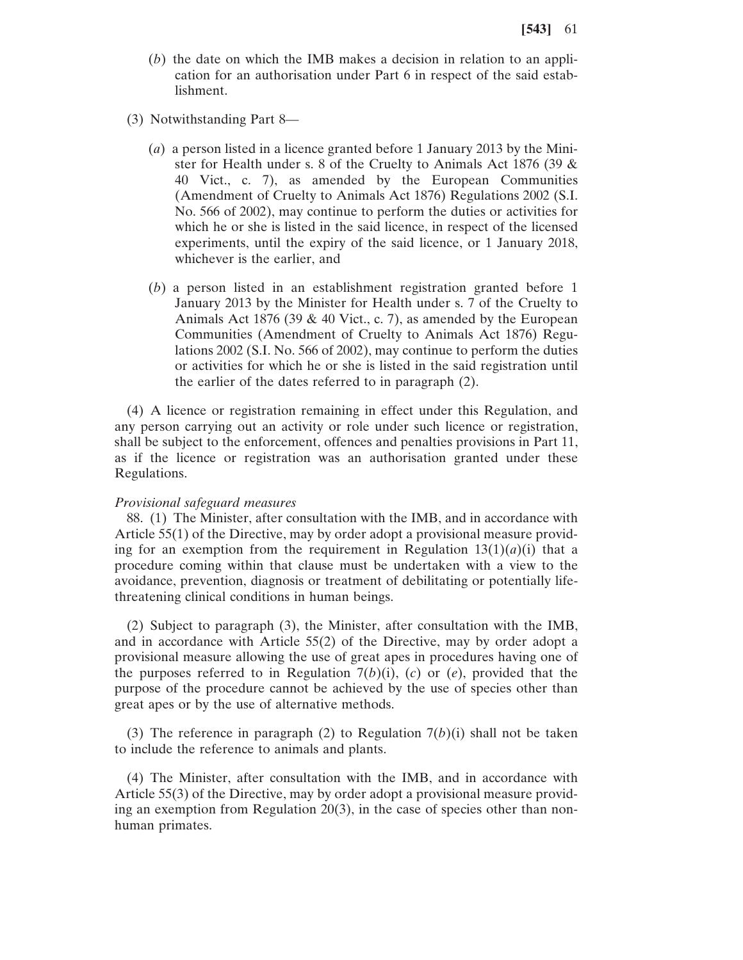- (*b*) the date on which the IMB makes a decision in relation to an application for an authorisation under Part 6 in respect of the said establishment.
- (3) Notwithstanding Part 8—
	- (*a*) a person listed in a licence granted before 1 January 2013 by the Minister for Health under s. 8 of the Cruelty to Animals Act 1876 (39 & 40 Vict., c. 7), as amended by the European Communities (Amendment of Cruelty to Animals Act 1876) Regulations 2002 (S.I. No. 566 of 2002), may continue to perform the duties or activities for which he or she is listed in the said licence, in respect of the licensed experiments, until the expiry of the said licence, or 1 January 2018, whichever is the earlier, and
	- (*b*) a person listed in an establishment registration granted before 1 January 2013 by the Minister for Health under s. 7 of the Cruelty to Animals Act 1876 (39 & 40 Vict., c. 7), as amended by the European Communities (Amendment of Cruelty to Animals Act 1876) Regulations 2002 (S.I. No. 566 of 2002), may continue to perform the duties or activities for which he or she is listed in the said registration until the earlier of the dates referred to in paragraph (2).

(4) A licence or registration remaining in effect under this Regulation, and any person carrying out an activity or role under such licence or registration, shall be subject to the enforcement, offences and penalties provisions in Part 11, as if the licence or registration was an authorisation granted under these Regulations.

## *Provisional safeguard measures*

88. (1) The Minister, after consultation with the IMB, and in accordance with Article 55(1) of the Directive, may by order adopt a provisional measure providing for an exemption from the requirement in Regulation  $13(1)(a)(i)$  that a procedure coming within that clause must be undertaken with a view to the avoidance, prevention, diagnosis or treatment of debilitating or potentially lifethreatening clinical conditions in human beings.

(2) Subject to paragraph (3), the Minister, after consultation with the IMB, and in accordance with Article 55(2) of the Directive, may by order adopt a provisional measure allowing the use of great apes in procedures having one of the purposes referred to in Regulation  $7(b)(i)$ ,  $(c)$  or  $(e)$ , provided that the purpose of the procedure cannot be achieved by the use of species other than great apes or by the use of alternative methods.

(3) The reference in paragraph (2) to Regulation 7(*b*)(i) shall not be taken to include the reference to animals and plants.

(4) The Minister, after consultation with the IMB, and in accordance with Article 55(3) of the Directive, may by order adopt a provisional measure providing an exemption from Regulation 20(3), in the case of species other than nonhuman primates.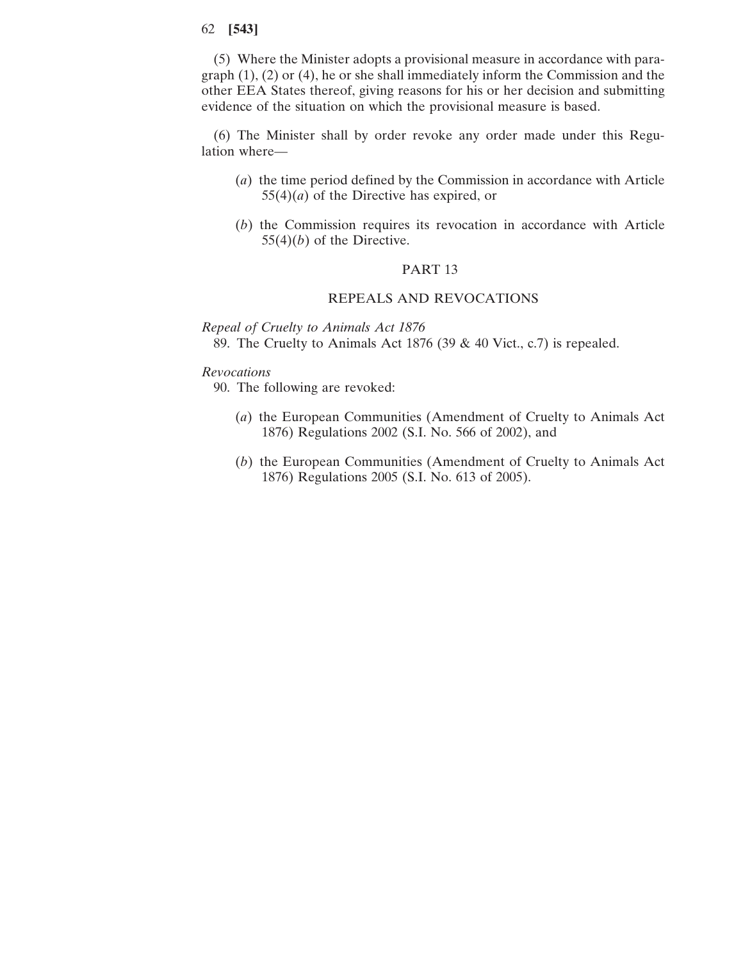(5) Where the Minister adopts a provisional measure in accordance with paragraph (1), (2) or (4), he or she shall immediately inform the Commission and the other EEA States thereof, giving reasons for his or her decision and submitting evidence of the situation on which the provisional measure is based.

(6) The Minister shall by order revoke any order made under this Regulation where—

- (*a*) the time period defined by the Commission in accordance with Article 55(4)(*a*) of the Directive has expired, or
- (*b*) the Commission requires its revocation in accordance with Article  $55(4)(b)$  of the Directive.

# PART 13

# REPEALS AND REVOCATIONS

*Repeal of Cruelty to Animals Act 1876* 89. The Cruelty to Animals Act 1876 (39 & 40 Vict., c.7) is repealed.

# *Revocations*

90. The following are revoked:

- (*a*) the European Communities (Amendment of Cruelty to Animals Act 1876) Regulations 2002 (S.I. No. 566 of 2002), and
- (*b*) the European Communities (Amendment of Cruelty to Animals Act 1876) Regulations 2005 (S.I. No. 613 of 2005).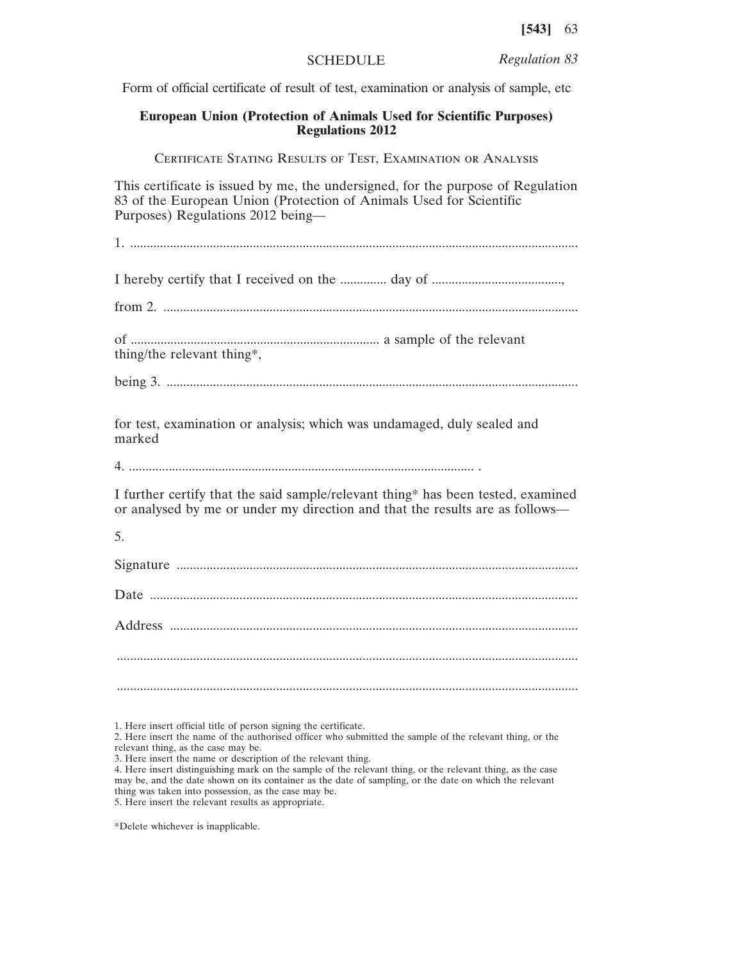SCHEDULE *Regulation 83*

Form of official certificate of result of test, examination or analysis of sample, etc

# **European Union (Protection of Animals Used for Scientific Purposes) Regulations 2012**

Certificate Stating Results of Test, Examination or Analysis

This certificate is issued by me, the undersigned, for the purpose of Regulation 83 of the European Union (Protection of Animals Used for Scientific Purposes) Regulations 2012 being—

1. .......................................................................................................................................

I hereby certify that I received on the .............. day of .......................................,

from 2. .............................................................................................................................

of ........................................................................... a sample of the relevant thing/the relevant thing\*,

being 3. ............................................................................................................................

for test, examination or analysis; which was undamaged, duly sealed and marked

4. ........................................................................................................ .

I further certify that the said sample/relevant thing\* has been tested, examined or analysed by me or under my direction and that the results are as follows—

5.

Signature .........................................................................................................................

Date .................................................................................................................................

Address ........................................................................................................................... ........................................................................................................................................... ...........................................................................................................................................

\*Delete whichever is inapplicable.

<sup>1.</sup> Here insert official title of person signing the certificate.

<sup>2.</sup> Here insert the name of the authorised officer who submitted the sample of the relevant thing, or the relevant thing, as the case may be.

<sup>3.</sup> Here insert the name or description of the relevant thing.

<sup>4.</sup> Here insert distinguishing mark on the sample of the relevant thing, or the relevant thing, as the case may be, and the date shown on its container as the date of sampling, or the date on which the relevant thing was taken into possession, as the case may be. 5. Here insert the relevant results as appropriate.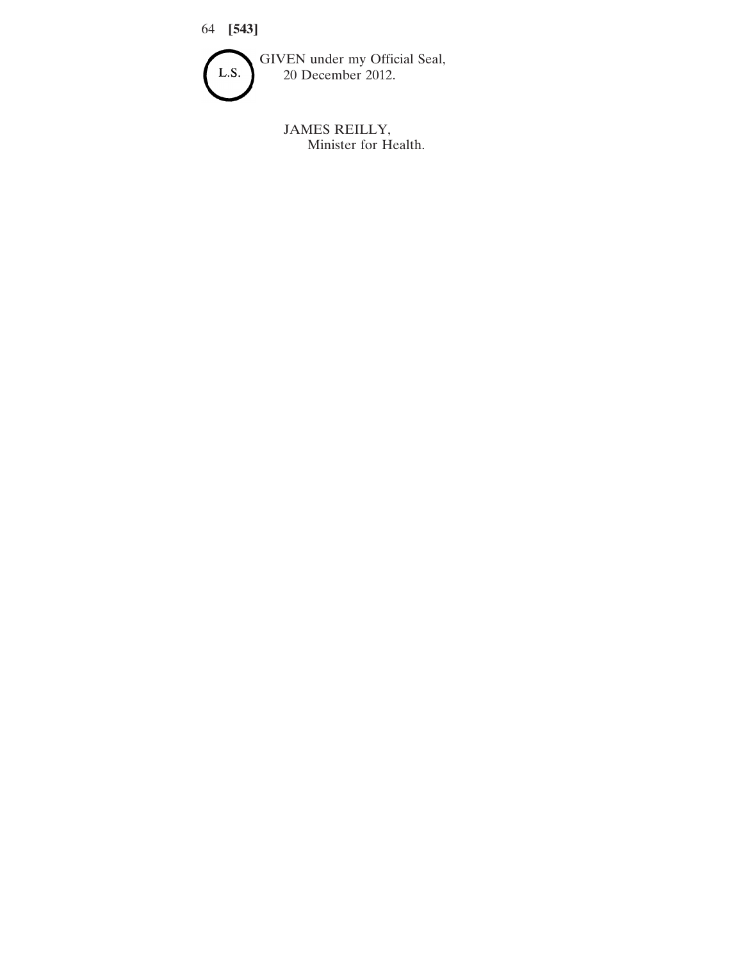

JAMES REILLY, Minister for Health.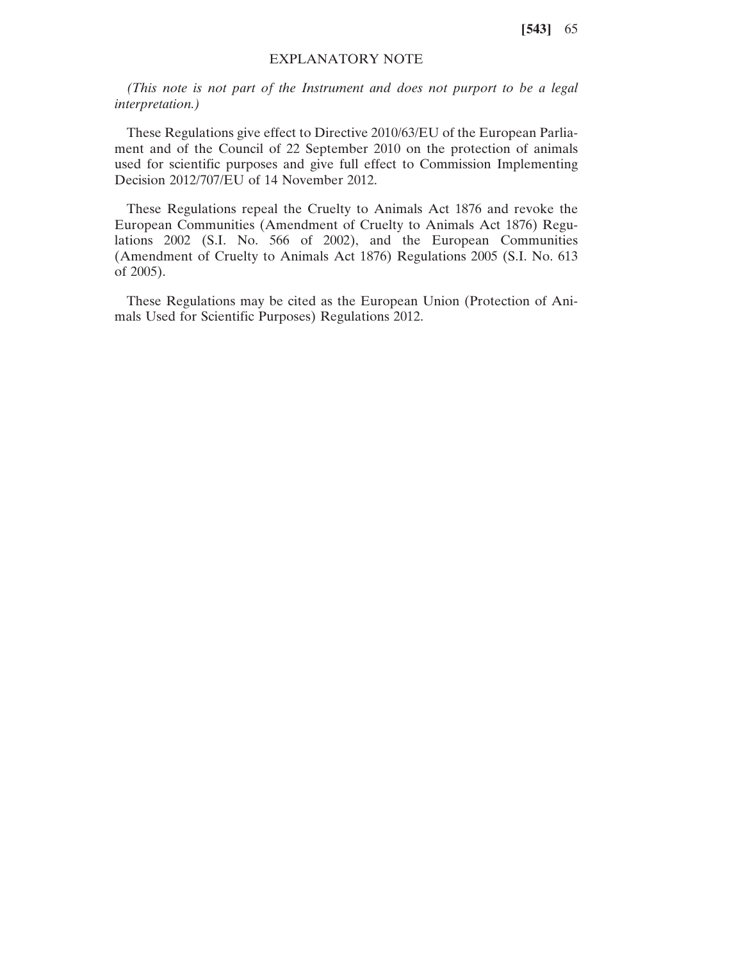# EXPLANATORY NOTE

*(This note is not part of the Instrument and does not purport to be a legal interpretation.)*

These Regulations give effect to Directive 2010/63/EU of the European Parliament and of the Council of 22 September 2010 on the protection of animals used for scientific purposes and give full effect to Commission Implementing Decision 2012/707/EU of 14 November 2012.

These Regulations repeal the Cruelty to Animals Act 1876 and revoke the European Communities (Amendment of Cruelty to Animals Act 1876) Regulations 2002 (S.I. No. 566 of 2002), and the European Communities (Amendment of Cruelty to Animals Act 1876) Regulations 2005 (S.I. No. 613 of 2005).

These Regulations may be cited as the European Union (Protection of Animals Used for Scientific Purposes) Regulations 2012.